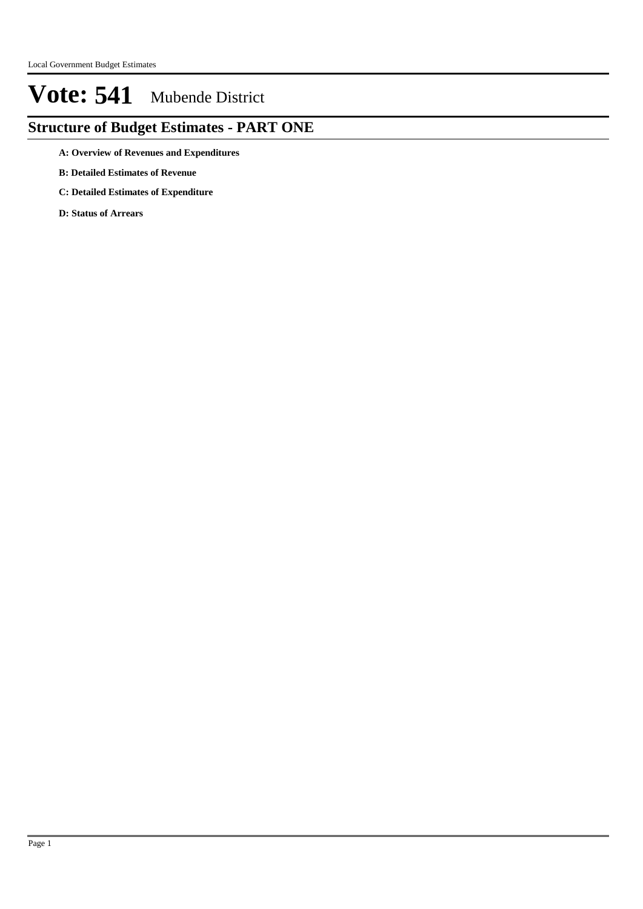## **Structure of Budget Estimates - PART ONE**

- **A: Overview of Revenues and Expenditures**
- **B: Detailed Estimates of Revenue**
- **C: Detailed Estimates of Expenditure**
- **D: Status of Arrears**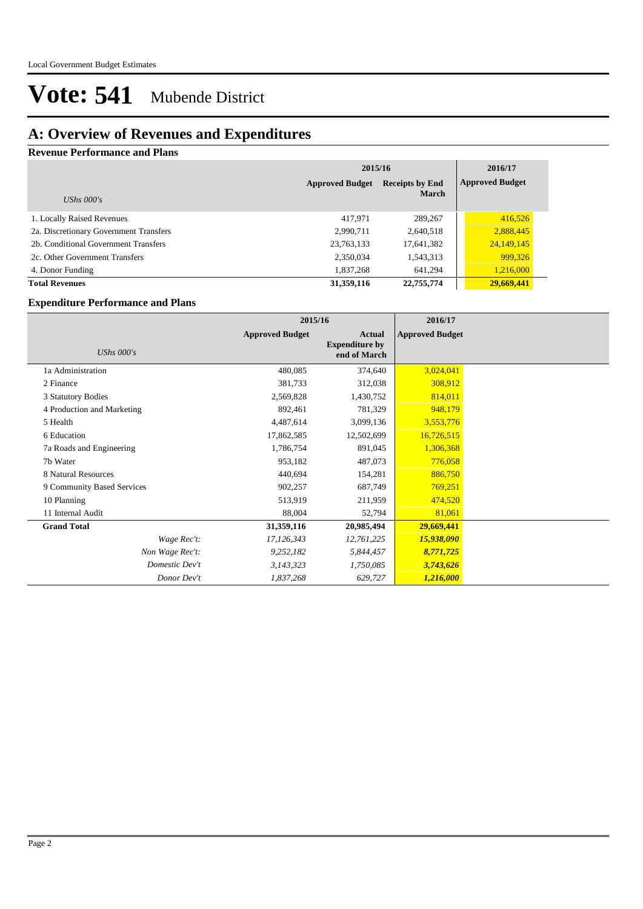## **A: Overview of Revenues and Expenditures**

### **Revenue Performance and Plans**

|                                        | 2015/16                |                        | 2016/17                |
|----------------------------------------|------------------------|------------------------|------------------------|
|                                        | <b>Approved Budget</b> | <b>Receipts by End</b> | <b>Approved Budget</b> |
| UShs $000's$                           |                        | <b>March</b>           |                        |
| 1. Locally Raised Revenues             | 417.971                | 289,267                | 416,526                |
| 2a. Discretionary Government Transfers | 2,990,711              | 2,640,518              | 2,888,445              |
| 2b. Conditional Government Transfers   | 23,763,133             | 17,641,382             | 24,149,145             |
| 2c. Other Government Transfers         | 2,350,034              | 1,543,313              | 999,326                |
| 4. Donor Funding                       | 1,837,268              | 641.294                | 1,216,000              |
| <b>Total Revenues</b>                  | 31,359,116             | 22,755,774             | 29,669,441             |

#### **Expenditure Performance and Plans**

|                            | 2015/16                |                                                 | 2016/17                |  |
|----------------------------|------------------------|-------------------------------------------------|------------------------|--|
| <b>UShs 000's</b>          | <b>Approved Budget</b> | Actual<br><b>Expenditure by</b><br>end of March | <b>Approved Budget</b> |  |
| 1a Administration          | 480,085                | 374,640                                         | 3,024,041              |  |
| 2 Finance                  | 381,733                | 312,038                                         | 308,912                |  |
| 3 Statutory Bodies         | 2,569,828              | 1,430,752                                       | 814,011                |  |
| 4 Production and Marketing | 892,461                | 781,329                                         | 948,179                |  |
| 5 Health                   | 4,487,614              | 3,099,136                                       | 3,553,776              |  |
| 6 Education                | 17,862,585             | 12,502,699                                      | 16,726,515             |  |
| 7a Roads and Engineering   | 1,786,754              | 891,045                                         | 1,306,368              |  |
| 7b Water                   | 953,182                | 487,073                                         | 776,058                |  |
| 8 Natural Resources        | 440,694                | 154,281                                         | 886,750                |  |
| 9 Community Based Services | 902,257                | 687,749                                         | 769,251                |  |
| 10 Planning                | 513,919                | 211,959                                         | 474,520                |  |
| 11 Internal Audit          | 88,004                 | 52,794                                          | 81,061                 |  |
| <b>Grand Total</b>         | 31,359,116             | 20,985,494                                      | 29,669,441             |  |
| Wage Rec't:                | 17,126,343             | 12,761,225                                      | 15,938,090             |  |
| Non Wage Rec't:            | 9,252,182              | 5,844,457                                       | 8,771,725              |  |
| Domestic Dev't             | 3,143,323              | 1,750,085                                       | 3,743,626              |  |
| Donor Dev't                | 1,837,268              | 629,727                                         | 1,216,000              |  |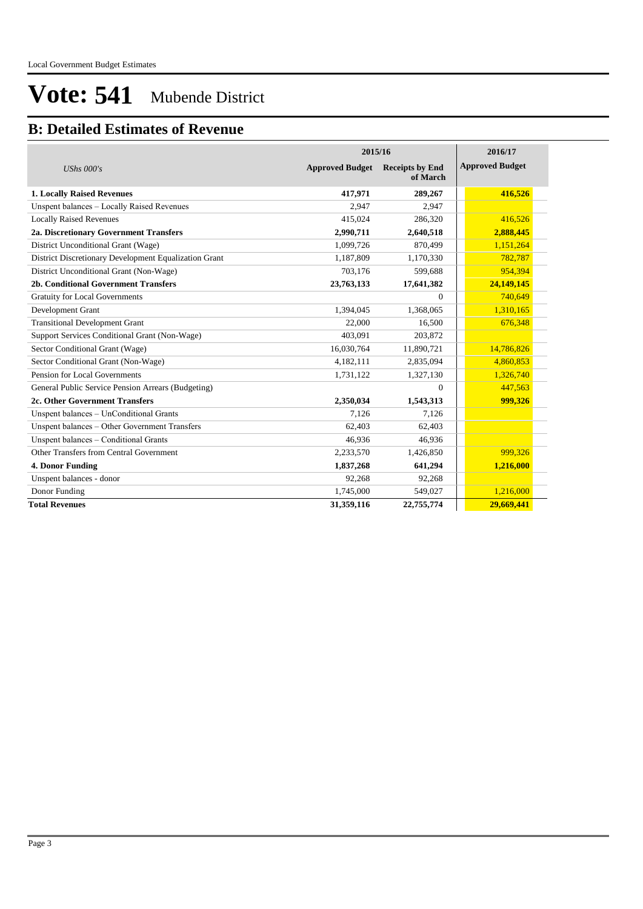### **B: Detailed Estimates of Revenue**

|                                                       | 2015/16                |                                    | 2016/17                |
|-------------------------------------------------------|------------------------|------------------------------------|------------------------|
| UShs $000's$                                          | <b>Approved Budget</b> | <b>Receipts by End</b><br>of March | <b>Approved Budget</b> |
| <b>1. Locally Raised Revenues</b>                     | 417,971                | 289,267                            | 416,526                |
| Unspent balances - Locally Raised Revenues            | 2,947                  | 2,947                              |                        |
| <b>Locally Raised Revenues</b>                        | 415,024                | 286,320                            | 416,526                |
| 2a. Discretionary Government Transfers                | 2,990,711              | 2,640,518                          | 2,888,445              |
| District Unconditional Grant (Wage)                   | 1,099,726              | 870,499                            | 1,151,264              |
| District Discretionary Development Equalization Grant | 1.187.809              | 1,170,330                          | 782,787                |
| District Unconditional Grant (Non-Wage)               | 703,176                | 599,688                            | 954,394                |
| 2b. Conditional Government Transfers                  | 23,763,133             | 17,641,382                         | 24,149,145             |
| <b>Gratuity for Local Governments</b>                 |                        | $\Omega$                           | 740,649                |
| Development Grant                                     | 1,394,045              | 1,368,065                          | 1,310,165              |
| <b>Transitional Development Grant</b>                 | 22,000                 | 16,500                             | 676,348                |
| Support Services Conditional Grant (Non-Wage)         | 403.091                | 203,872                            |                        |
| Sector Conditional Grant (Wage)                       | 16,030,764             | 11,890,721                         | 14,786,826             |
| Sector Conditional Grant (Non-Wage)                   | 4,182,111              | 2,835,094                          | 4,860,853              |
| Pension for Local Governments                         | 1,731,122              | 1,327,130                          | 1,326,740              |
| General Public Service Pension Arrears (Budgeting)    |                        | $\Omega$                           | 447,563                |
| 2c. Other Government Transfers                        | 2,350,034              | 1,543,313                          | 999,326                |
| Unspent balances - UnConditional Grants               | 7.126                  | 7,126                              |                        |
| Unspent balances - Other Government Transfers         | 62,403                 | 62,403                             |                        |
| Unspent balances - Conditional Grants                 | 46,936                 | 46,936                             |                        |
| Other Transfers from Central Government               | 2,233,570              | 1,426,850                          | 999,326                |
| 4. Donor Funding                                      | 1,837,268              | 641,294                            | 1,216,000              |
| Unspent balances - donor                              | 92,268                 | 92,268                             |                        |
| Donor Funding                                         | 1,745,000              | 549,027                            | 1,216,000              |
| <b>Total Revenues</b>                                 | 31,359,116             | 22,755,774                         | 29,669,441             |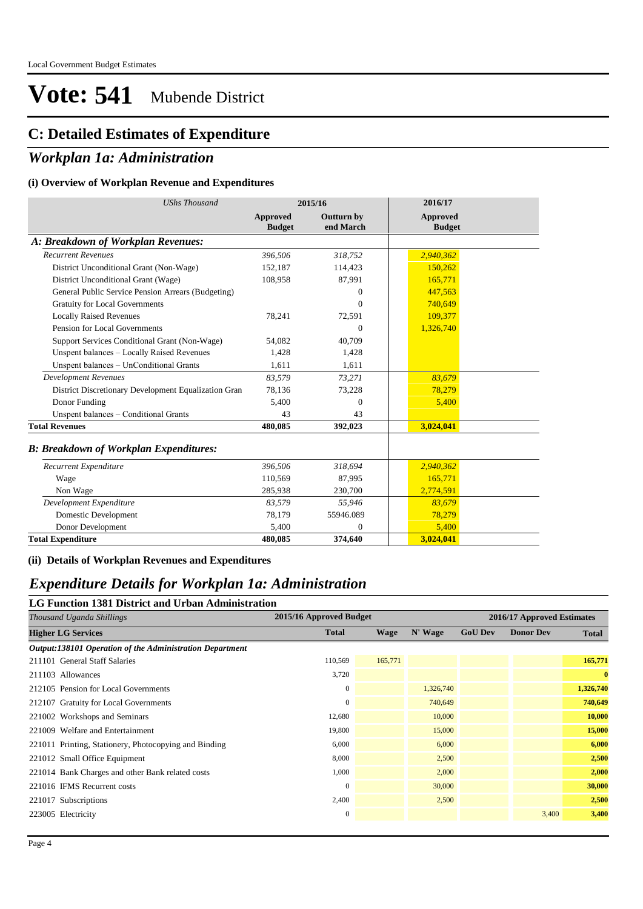## **C: Detailed Estimates of Expenditure**

### *Workplan 1a: Administration*

### **(i) Overview of Workplan Revenue and Expenditures**

| <b>UShs Thousand</b>                                 |                           | 2015/16                 | 2016/17                   |  |
|------------------------------------------------------|---------------------------|-------------------------|---------------------------|--|
|                                                      | Approved<br><b>Budget</b> | Outturn by<br>end March | Approved<br><b>Budget</b> |  |
| A: Breakdown of Workplan Revenues:                   |                           |                         |                           |  |
| <b>Recurrent Revenues</b>                            | 396,506                   | 318,752                 | 2,940,362                 |  |
| District Unconditional Grant (Non-Wage)              | 152,187                   | 114,423                 | 150,262                   |  |
| District Unconditional Grant (Wage)                  | 108,958                   | 87,991                  | 165,771                   |  |
| General Public Service Pension Arrears (Budgeting)   |                           | $\Omega$                | 447,563                   |  |
| <b>Gratuity for Local Governments</b>                |                           | $\theta$                | 740.649                   |  |
| <b>Locally Raised Revenues</b>                       | 78,241                    | 72,591                  | 109,377                   |  |
| Pension for Local Governments                        |                           | $\Omega$                | 1,326,740                 |  |
| Support Services Conditional Grant (Non-Wage)        | 54,082                    | 40,709                  |                           |  |
| Unspent balances - Locally Raised Revenues           | 1,428                     | 1,428                   |                           |  |
| Unspent balances - UnConditional Grants              | 1.611                     | 1,611                   |                           |  |
| <b>Development Revenues</b>                          | 83,579                    | 73,271                  | 83,679                    |  |
| District Discretionary Development Equalization Gran | 78,136                    | 73,228                  | 78,279                    |  |
| Donor Funding                                        | 5,400                     | $\theta$                | 5,400                     |  |
| Unspent balances - Conditional Grants                | 43                        | 43                      |                           |  |
| <b>Total Revenues</b>                                | 480,085                   | 392,023                 | 3,024,041                 |  |
| <b>B: Breakdown of Workplan Expenditures:</b>        |                           |                         |                           |  |
| Recurrent Expenditure                                | 396,506                   | 318,694                 | 2,940,362                 |  |
| Wage                                                 | 110,569                   | 87,995                  | 165,771                   |  |
| Non Wage                                             | 285,938                   | 230,700                 | 2,774,591                 |  |
| Development Expenditure                              | 83,579                    | 55,946                  | 83,679                    |  |

**(ii) Details of Workplan Revenues and Expenditures**

Domestic Development 78,179 Donor Development 5,400 **Total Expenditure 480,085**

### *Expenditure Details for Workplan 1a: Administration*

**LG Function 1381 District and Urban Administration**

| Thousand Uganda Shillings                                | 2015/16 Approved Budget |             |           |                | 2016/17 Approved Estimates |              |
|----------------------------------------------------------|-------------------------|-------------|-----------|----------------|----------------------------|--------------|
| <b>Higher LG Services</b>                                | <b>Total</b>            | <b>Wage</b> | N' Wage   | <b>GoU Dev</b> | <b>Donor Dev</b>           | <b>Total</b> |
| Output:138101 Operation of the Administration Department |                         |             |           |                |                            |              |
| 211101 General Staff Salaries                            | 110,569                 | 165,771     |           |                |                            | 165,771      |
| 211103 Allowances                                        | 3,720                   |             |           |                |                            | $\mathbf{0}$ |
| 212105 Pension for Local Governments                     | $\mathbf{0}$            |             | 1,326,740 |                |                            | 1,326,740    |
| 212107 Gratuity for Local Governments                    | $\boldsymbol{0}$        |             | 740,649   |                |                            | 740,649      |
| 221002 Workshops and Seminars                            | 12,680                  |             | 10,000    |                |                            | 10,000       |
| 221009 Welfare and Entertainment                         | 19,800                  |             | 15,000    |                |                            | 15,000       |
| 221011 Printing, Stationery, Photocopying and Binding    | 6,000                   |             | 6,000     |                |                            | 6,000        |
| 221012 Small Office Equipment                            | 8,000                   |             | 2,500     |                |                            | 2,500        |
| 221014 Bank Charges and other Bank related costs         | 1,000                   |             | 2,000     |                |                            | 2,000        |
| 221016 IFMS Recurrent costs                              | $\mathbf{0}$            |             | 30,000    |                |                            | 30,000       |
| 221017 Subscriptions                                     | 2,400                   |             | 2,500     |                |                            | 2,500        |
| 223005 Electricity                                       | $\boldsymbol{0}$        |             |           |                | 3,400                      | 3,400        |
|                                                          |                         |             |           |                |                            |              |

55946.089 0 **374,640**

78,279 5,400 **3,024,041**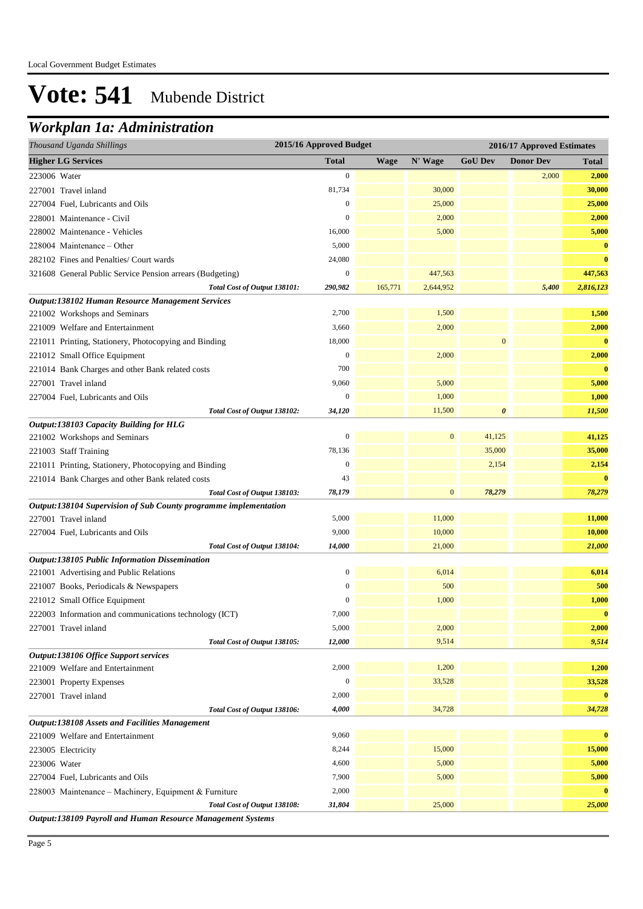## *Workplan 1a: Administration*

| Thousand Uganda Shillings                                        | 2015/16 Approved Budget |             |                  |                  | 2016/17 Approved Estimates |                   |
|------------------------------------------------------------------|-------------------------|-------------|------------------|------------------|----------------------------|-------------------|
| <b>Higher LG Services</b>                                        | <b>Total</b>            | <b>Wage</b> | N' Wage          | <b>GoU Dev</b>   | <b>Donor Dev</b>           | <b>Total</b>      |
| 223006 Water                                                     | $\boldsymbol{0}$        |             |                  |                  | 2,000                      | 2,000             |
| 227001 Travel inland                                             | 81,734                  |             | 30,000           |                  |                            | 30,000            |
| 227004 Fuel, Lubricants and Oils                                 | $\boldsymbol{0}$        |             | 25,000           |                  |                            | 25,000            |
| 228001 Maintenance - Civil                                       | $\boldsymbol{0}$        |             | 2,000            |                  |                            | 2,000             |
| 228002 Maintenance - Vehicles                                    | 16,000                  |             | 5,000            |                  |                            | 5,000             |
| 228004 Maintenance – Other                                       | 5,000                   |             |                  |                  |                            | $\bf{0}$          |
| 282102 Fines and Penalties/ Court wards                          | 24,080                  |             |                  |                  |                            | $\bf{0}$          |
| 321608 General Public Service Pension arrears (Budgeting)        | $\boldsymbol{0}$        |             | 447,563          |                  |                            | 447,563           |
| Total Cost of Output 138101:                                     | 290,982                 | 165,771     | 2,644,952        |                  | 5,400                      | 2,816,123         |
| Output:138102 Human Resource Management Services                 |                         |             |                  |                  |                            |                   |
| 221002 Workshops and Seminars                                    | 2,700                   |             | 1,500            |                  |                            | 1,500             |
| 221009 Welfare and Entertainment                                 | 3,660                   |             | 2,000            |                  |                            | 2,000             |
| 221011 Printing, Stationery, Photocopying and Binding            | 18,000                  |             |                  | $\boldsymbol{0}$ |                            | $\bf{0}$          |
| 221012 Small Office Equipment                                    | $\boldsymbol{0}$        |             | 2,000            |                  |                            | 2,000             |
| 221014 Bank Charges and other Bank related costs                 | 700                     |             |                  |                  |                            | $\bf{0}$          |
| 227001 Travel inland                                             | 9,060                   |             | 5,000            |                  |                            | 5,000             |
| 227004 Fuel, Lubricants and Oils                                 | $\boldsymbol{0}$        |             | 1,000            |                  |                            | 1,000             |
| Total Cost of Output 138102:                                     | 34,120                  |             | 11,500           | $\pmb{\theta}$   |                            | 11,500            |
| Output:138103 Capacity Building for HLG                          |                         |             |                  |                  |                            |                   |
| 221002 Workshops and Seminars                                    | $\mathbf{0}$            |             | $\boldsymbol{0}$ | 41,125           |                            | 41,125            |
| 221003 Staff Training                                            | 78,136                  |             |                  | 35,000           |                            | 35,000            |
| 221011 Printing, Stationery, Photocopying and Binding            | $\boldsymbol{0}$        |             |                  | 2,154            |                            | 2,154             |
| 221014 Bank Charges and other Bank related costs                 | 43                      |             |                  |                  |                            | $\bf{0}$          |
| Total Cost of Output 138103:                                     | 78,179                  |             | $\mathbf{0}$     | 78,279           |                            | 78,279            |
| Output:138104 Supervision of Sub County programme implementation |                         |             |                  |                  |                            |                   |
| 227001 Travel inland                                             | 5,000                   |             | 11,000           |                  |                            | 11,000            |
| 227004 Fuel, Lubricants and Oils                                 | 9,000                   |             | 10,000           |                  |                            | 10,000            |
| Total Cost of Output 138104:                                     | 14,000                  |             | 21,000           |                  |                            | 21,000            |
| Output:138105 Public Information Dissemination                   | $\boldsymbol{0}$        |             | 6,014            |                  |                            | 6,014             |
| 221001 Advertising and Public Relations                          | $\boldsymbol{0}$        |             | 500              |                  |                            | 500               |
| 221007 Books, Periodicals & Newspapers                           | $\mathbf{0}$            |             |                  |                  |                            |                   |
| 221012 Small Office Equipment                                    | 7,000                   |             | 1,000            |                  |                            | 1,000<br>$\bf{0}$ |
| 222003 Information and communications technology (ICT)           | 5,000                   |             | 2,000            |                  |                            | 2,000             |
| 227001 Travel inland<br>Total Cost of Output 138105:             | 12,000                  |             | 9,514            |                  |                            | 9,514             |
| Output:138106 Office Support services                            |                         |             |                  |                  |                            |                   |
| 221009 Welfare and Entertainment                                 | 2,000                   |             | 1,200            |                  |                            | 1,200             |
| 223001 Property Expenses                                         | $\mathbf{0}$            |             | 33,528           |                  |                            | 33,528            |
| 227001 Travel inland                                             | 2,000                   |             |                  |                  |                            | $\bf{0}$          |
| Total Cost of Output 138106:                                     | 4,000                   |             | 34,728           |                  |                            | 34,728            |
| <b>Output:138108 Assets and Facilities Management</b>            |                         |             |                  |                  |                            |                   |
| 221009 Welfare and Entertainment                                 | 9,060                   |             |                  |                  |                            | $\bf{0}$          |
| 223005 Electricity                                               | 8,244                   |             | 15,000           |                  |                            | 15,000            |
| 223006 Water                                                     | 4,600                   |             | 5,000            |                  |                            | 5,000             |
| 227004 Fuel, Lubricants and Oils                                 | 7,900                   |             | 5,000            |                  |                            | 5,000             |
| 228003 Maintenance - Machinery, Equipment & Furniture            | 2,000                   |             |                  |                  |                            | $\bf{0}$          |
| Total Cost of Output 138108:                                     | 31,804                  |             | 25,000           |                  |                            | 25,000            |
| A190100 D.                                                       |                         |             |                  |                  |                            |                   |

*Output:138109 Payroll and Human Resource Management Systems*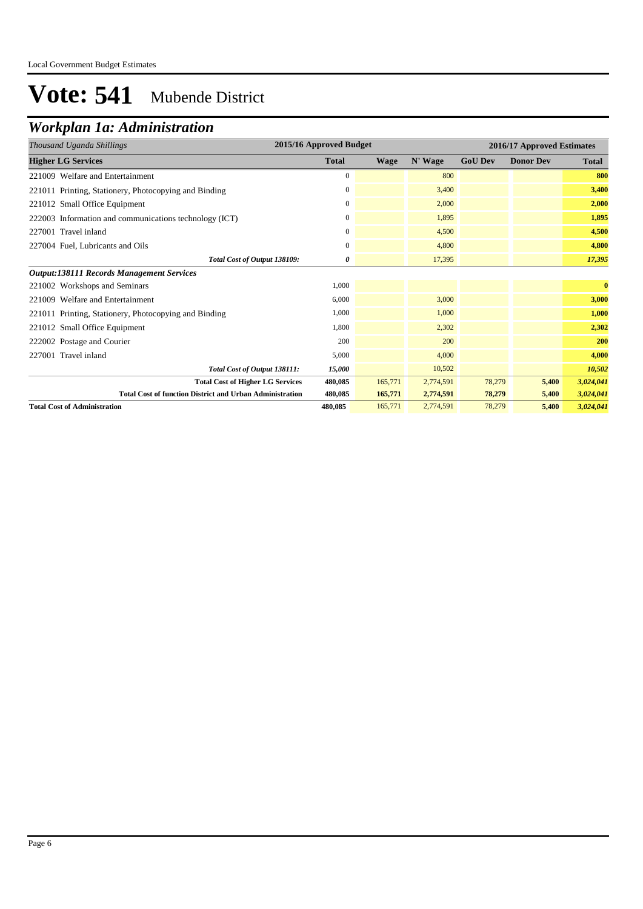## *Workplan 1a: Administration*

| Thousand Uganda Shillings                                       | 2015/16 Approved Budget |             |           |                | 2016/17 Approved Estimates |              |
|-----------------------------------------------------------------|-------------------------|-------------|-----------|----------------|----------------------------|--------------|
| <b>Higher LG Services</b>                                       | <b>Total</b>            | <b>Wage</b> | N' Wage   | <b>GoU Dev</b> | <b>Donor Dev</b>           | <b>Total</b> |
| 221009 Welfare and Entertainment                                | $\mathbf{0}$            |             | 800       |                |                            | 800          |
| 221011 Printing, Stationery, Photocopying and Binding           | $\mathbf{0}$            |             | 3,400     |                |                            | 3,400        |
| 221012 Small Office Equipment                                   | $\overline{0}$          |             | 2,000     |                |                            | 2,000        |
| 222003 Information and communications technology (ICT)          | $\mathbf{0}$            |             | 1.895     |                |                            | 1,895        |
| 227001 Travel inland                                            | $\boldsymbol{0}$        |             | 4,500     |                |                            | 4,500        |
| 227004 Fuel, Lubricants and Oils                                | 0                       |             | 4,800     |                |                            | 4,800        |
| Total Cost of Output 138109:                                    | 0                       |             | 17,395    |                |                            | 17,395       |
| <b>Output:138111 Records Management Services</b>                |                         |             |           |                |                            |              |
| 221002 Workshops and Seminars                                   | 1,000                   |             |           |                |                            | $\bf{0}$     |
| 221009 Welfare and Entertainment                                | 6,000                   |             | 3,000     |                |                            | 3,000        |
| 221011 Printing, Stationery, Photocopying and Binding           | 1,000                   |             | 1,000     |                |                            | 1,000        |
| 221012 Small Office Equipment                                   | 1,800                   |             | 2,302     |                |                            | 2,302        |
| 222002 Postage and Courier                                      | 200                     |             | 200       |                |                            | 200          |
| 227001 Travel inland                                            | 5,000                   |             | 4.000     |                |                            | 4,000        |
| Total Cost of Output 138111:                                    | 15,000                  |             | 10,502    |                |                            | 10,502       |
| <b>Total Cost of Higher LG Services</b>                         | 480,085                 | 165,771     | 2,774,591 | 78,279         | 5,400                      | 3,024,041    |
| <b>Total Cost of function District and Urban Administration</b> | 480,085                 | 165,771     | 2,774,591 | 78,279         | 5,400                      | 3,024,041    |
| <b>Total Cost of Administration</b>                             | 480,085                 | 165,771     | 2,774,591 | 78,279         | 5,400                      | 3,024,041    |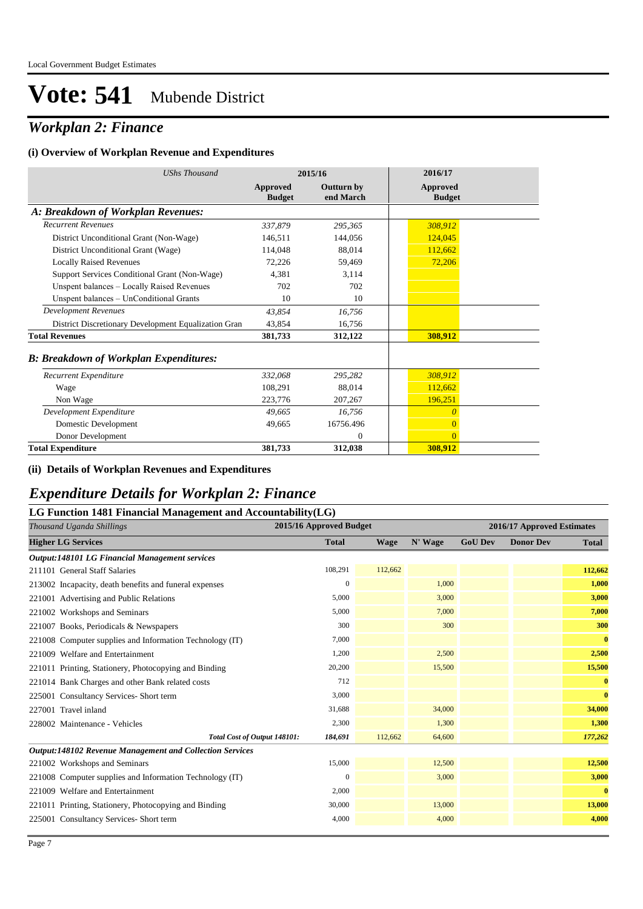## *Workplan 2: Finance*

#### **(i) Overview of Workplan Revenue and Expenditures**

| <b>UShs Thousand</b>                                 |                           | 2015/16                        | 2016/17                          |  |
|------------------------------------------------------|---------------------------|--------------------------------|----------------------------------|--|
|                                                      | Approved<br><b>Budget</b> | <b>Outturn by</b><br>end March | <b>Approved</b><br><b>Budget</b> |  |
| A: Breakdown of Workplan Revenues:                   |                           |                                |                                  |  |
| <b>Recurrent Revenues</b>                            | 337,879                   | 295,365                        | 308,912                          |  |
| District Unconditional Grant (Non-Wage)              | 146,511                   | 144,056                        | 124,045                          |  |
| District Unconditional Grant (Wage)                  | 114,048                   | 88.014                         | 112,662                          |  |
| <b>Locally Raised Revenues</b>                       | 72,226                    | 59,469                         | 72,206                           |  |
| Support Services Conditional Grant (Non-Wage)        | 4.381                     | 3.114                          |                                  |  |
| Unspent balances - Locally Raised Revenues           | 702                       | 702                            |                                  |  |
| Unspent balances - UnConditional Grants              | 10                        | 10                             |                                  |  |
| <b>Development Revenues</b>                          | 43,854                    | 16,756                         |                                  |  |
| District Discretionary Development Equalization Gran | 43,854                    | 16,756                         |                                  |  |
| <b>Total Revenues</b>                                | 381,733                   | 312,122                        | 308,912                          |  |
| <b>B: Breakdown of Workplan Expenditures:</b>        |                           |                                |                                  |  |
| Recurrent Expenditure                                | 332,068                   | 295.282                        | 308,912                          |  |
| Wage                                                 | 108,291                   | 88,014                         | 112,662                          |  |
| Non Wage                                             | 223,776                   | 207,267                        | 196,251                          |  |
| Development Expenditure                              | 49.665                    | 16,756                         | 0                                |  |
| Domestic Development                                 | 49,665                    | 16756.496                      | $\overline{0}$                   |  |
| Donor Development                                    |                           | $\Omega$                       | $\Omega$                         |  |
| <b>Total Expenditure</b>                             | 381,733                   | 312,038                        | 308,912                          |  |

### **(ii) Details of Workplan Revenues and Expenditures**

## *Expenditure Details for Workplan 2: Finance*

| LG Function 1481 Financial Management and Accountability(LG)    |                         |             |         |                |                            |              |
|-----------------------------------------------------------------|-------------------------|-------------|---------|----------------|----------------------------|--------------|
| Thousand Uganda Shillings                                       | 2015/16 Approved Budget |             |         |                | 2016/17 Approved Estimates |              |
| <b>Higher LG Services</b>                                       | <b>Total</b>            | <b>Wage</b> | N' Wage | <b>GoU Dev</b> | <b>Donor Dev</b>           | <b>Total</b> |
| <b>Output:148101 LG Financial Management services</b>           |                         |             |         |                |                            |              |
| 211101 General Staff Salaries                                   | 108,291                 | 112,662     |         |                |                            | 112,662      |
| 213002 Incapacity, death benefits and funeral expenses          | $\mathbf{0}$            |             | 1,000   |                |                            | 1,000        |
| 221001 Advertising and Public Relations                         | 5,000                   |             | 3,000   |                |                            | 3,000        |
| 221002 Workshops and Seminars                                   | 5,000                   |             | 7.000   |                |                            | 7,000        |
| 221007 Books, Periodicals & Newspapers                          | 300                     |             | 300     |                |                            | 300          |
| 221008 Computer supplies and Information Technology (IT)        | 7,000                   |             |         |                |                            | $\bf{0}$     |
| 221009 Welfare and Entertainment                                | 1,200                   |             | 2,500   |                |                            | 2,500        |
| 221011 Printing, Stationery, Photocopying and Binding           | 20,200                  |             | 15,500  |                |                            | 15,500       |
| 221014 Bank Charges and other Bank related costs                | 712                     |             |         |                |                            | $\bf{0}$     |
| 225001 Consultancy Services- Short term                         | 3,000                   |             |         |                |                            | $\bf{0}$     |
| 227001 Travel inland                                            | 31,688                  |             | 34,000  |                |                            | 34,000       |
| 228002 Maintenance - Vehicles                                   | 2,300                   |             | 1,300   |                |                            | 1,300        |
| Total Cost of Output 148101:                                    | 184,691                 | 112,662     | 64,600  |                |                            | 177,262      |
| <b>Output:148102 Revenue Management and Collection Services</b> |                         |             |         |                |                            |              |
| 221002 Workshops and Seminars                                   | 15,000                  |             | 12,500  |                |                            | 12,500       |
| 221008 Computer supplies and Information Technology (IT)        | $\mathbf{0}$            |             | 3,000   |                |                            | 3,000        |
| 221009 Welfare and Entertainment                                | 2,000                   |             |         |                |                            | $\bf{0}$     |
| 221011 Printing, Stationery, Photocopying and Binding           | 30,000                  |             | 13,000  |                |                            | 13,000       |
| 225001 Consultancy Services- Short term                         | 4,000                   |             | 4,000   |                |                            | 4,000        |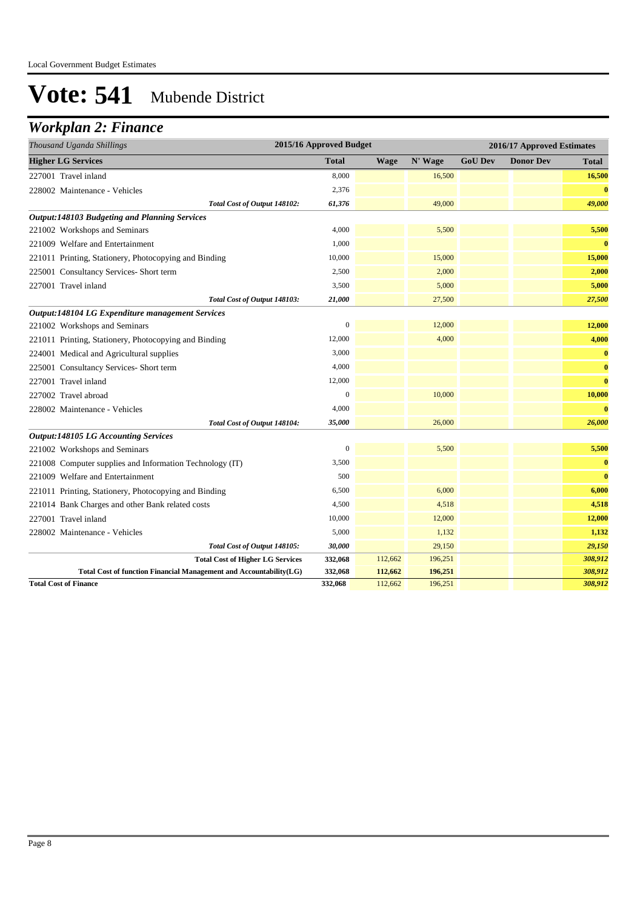## *Workplan 2: Finance*

| Thousand Uganda Shillings                                          | 2015/16 Approved Budget |             |         |                | 2016/17 Approved Estimates |              |
|--------------------------------------------------------------------|-------------------------|-------------|---------|----------------|----------------------------|--------------|
| <b>Higher LG Services</b>                                          | <b>Total</b>            | <b>Wage</b> | N' Wage | <b>GoU Dev</b> | <b>Donor Dev</b>           | <b>Total</b> |
| 227001 Travel inland                                               | 8,000                   |             | 16,500  |                |                            | 16,500       |
| 228002 Maintenance - Vehicles                                      | 2,376                   |             |         |                |                            | $\bf{0}$     |
| Total Cost of Output 148102:                                       | 61,376                  |             | 49,000  |                |                            | 49,000       |
| <b>Output:148103 Budgeting and Planning Services</b>               |                         |             |         |                |                            |              |
| 221002 Workshops and Seminars                                      | 4,000                   |             | 5,500   |                |                            | 5,500        |
| 221009 Welfare and Entertainment                                   | 1,000                   |             |         |                |                            | $\bf{0}$     |
| 221011 Printing, Stationery, Photocopying and Binding              | 10,000                  |             | 15,000  |                |                            | 15,000       |
| 225001 Consultancy Services- Short term                            | 2,500                   |             | 2,000   |                |                            | 2,000        |
| 227001 Travel inland                                               | 3,500                   |             | 5,000   |                |                            | 5,000        |
| Total Cost of Output 148103:                                       | 21,000                  |             | 27,500  |                |                            | 27,500       |
| Output:148104 LG Expenditure management Services                   |                         |             |         |                |                            |              |
| 221002 Workshops and Seminars                                      | $\overline{0}$          |             | 12,000  |                |                            | 12,000       |
| 221011 Printing, Stationery, Photocopying and Binding              | 12,000                  |             | 4,000   |                |                            | 4,000        |
| 224001 Medical and Agricultural supplies                           | 3,000                   |             |         |                |                            | $\bf{0}$     |
| 225001 Consultancy Services- Short term                            | 4,000                   |             |         |                |                            | $\bf{0}$     |
| 227001 Travel inland                                               | 12,000                  |             |         |                |                            | $\bf{0}$     |
| 227002 Travel abroad                                               | $\overline{0}$          |             | 10,000  |                |                            | 10,000       |
| 228002 Maintenance - Vehicles                                      | 4,000                   |             |         |                |                            | $\bf{0}$     |
| Total Cost of Output 148104:                                       | 35,000                  |             | 26,000  |                |                            | 26,000       |
| <b>Output:148105 LG Accounting Services</b>                        |                         |             |         |                |                            |              |
| 221002 Workshops and Seminars                                      | $\boldsymbol{0}$        |             | 5,500   |                |                            | 5,500        |
| 221008 Computer supplies and Information Technology (IT)           | 3,500                   |             |         |                |                            | $\bf{0}$     |
| 221009 Welfare and Entertainment                                   | 500                     |             |         |                |                            | $\bf{0}$     |
| 221011 Printing, Stationery, Photocopying and Binding              | 6,500                   |             | 6,000   |                |                            | 6,000        |
| 221014 Bank Charges and other Bank related costs                   | 4,500                   |             | 4,518   |                |                            | 4,518        |
| 227001 Travel inland                                               | 10,000                  |             | 12,000  |                |                            | 12,000       |
| 228002 Maintenance - Vehicles                                      | 5,000                   |             | 1,132   |                |                            | 1,132        |
| Total Cost of Output 148105:                                       | 30,000                  |             | 29,150  |                |                            | 29,150       |
| <b>Total Cost of Higher LG Services</b>                            | 332,068                 | 112,662     | 196,251 |                |                            | 308,912      |
| Total Cost of function Financial Management and Accountability(LG) | 332,068                 | 112,662     | 196,251 |                |                            | 308,912      |
| <b>Total Cost of Finance</b>                                       | 332,068                 | 112,662     | 196,251 |                |                            | 308,912      |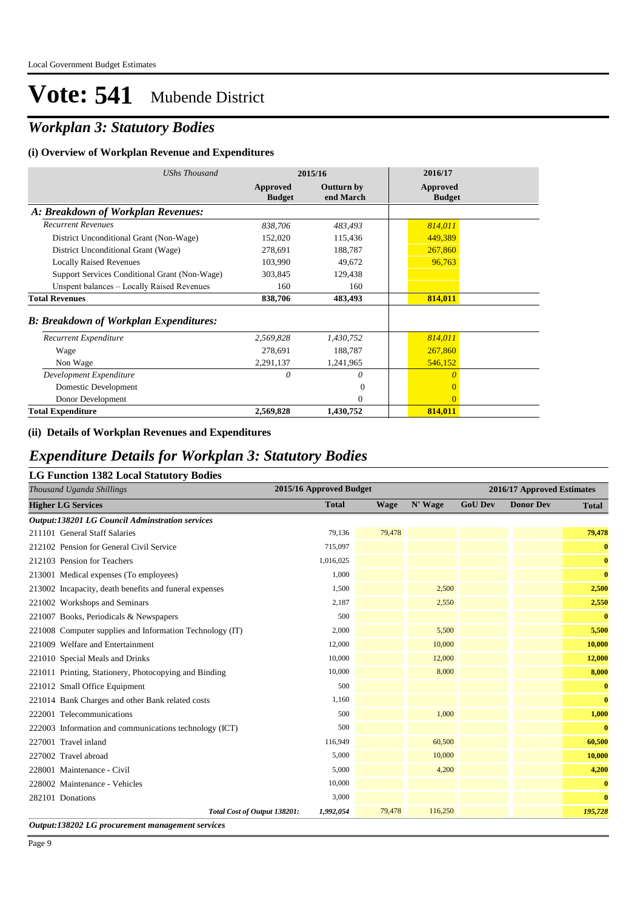## *Workplan 3: Statutory Bodies*

#### **(i) Overview of Workplan Revenue and Expenditures**

| <b>UShs Thousand</b>                           |                           | 2015/16                 | 2016/17                   |
|------------------------------------------------|---------------------------|-------------------------|---------------------------|
|                                                | Approved<br><b>Budget</b> | Outturn by<br>end March | Approved<br><b>Budget</b> |
| A: Breakdown of Workplan Revenues:             |                           |                         |                           |
| <b>Recurrent Revenues</b>                      | 838,706                   | 483,493                 | 814,011                   |
| District Unconditional Grant (Non-Wage)        | 152,020                   | 115,436                 | 449,389                   |
| District Unconditional Grant (Wage)            | 278,691                   | 188,787                 | 267,860                   |
| <b>Locally Raised Revenues</b>                 | 103,990                   | 49,672                  | 96,763                    |
| Support Services Conditional Grant (Non-Wage)  | 303.845                   | 129,438                 |                           |
| Unspent balances - Locally Raised Revenues     | 160                       | 160                     |                           |
| <b>Total Revenues</b>                          | 838,706                   | 483,493                 | 814,011                   |
| <b>B</b> : Breakdown of Workplan Expenditures: |                           |                         |                           |
| Recurrent Expenditure                          | 2,569,828                 | 1,430,752               | 814,011                   |
| Wage                                           | 278,691                   | 188,787                 | 267,860                   |
| Non Wage                                       | 2,291,137                 | 1,241,965               | 546,152                   |
| Development Expenditure                        | 0                         | 0                       | $\theta$                  |
| Domestic Development                           |                           | $\Omega$                | $\Omega$                  |
| Donor Development                              |                           | $\Omega$                | $\Omega$                  |
| <b>Total Expenditure</b>                       | 2,569,828                 | 1,430,752               | 814,011                   |

### **(ii) Details of Workplan Revenues and Expenditures**

### *Expenditure Details for Workplan 3: Statutory Bodies*

|--|

| Thousand Uganda Shillings                                |                              | 2015/16 Approved Budget |             |         | 2016/17 Approved Estimates |                  |              |  |
|----------------------------------------------------------|------------------------------|-------------------------|-------------|---------|----------------------------|------------------|--------------|--|
| <b>Higher LG Services</b>                                |                              | <b>Total</b>            | <b>Wage</b> | N' Wage | <b>GoU Dev</b>             | <b>Donor Dev</b> | <b>Total</b> |  |
| <b>Output:138201 LG Council Adminstration services</b>   |                              |                         |             |         |                            |                  |              |  |
| 211101 General Staff Salaries                            |                              | 79,136                  | 79,478      |         |                            |                  | 79,478       |  |
| 212102 Pension for General Civil Service                 |                              | 715,097                 |             |         |                            |                  | $\bf{0}$     |  |
| 212103 Pension for Teachers                              |                              | 1,016,025               |             |         |                            |                  | $\bf{0}$     |  |
| 213001 Medical expenses (To employees)                   |                              | 1,000                   |             |         |                            |                  | $\bf{0}$     |  |
| 213002 Incapacity, death benefits and funeral expenses   |                              | 1,500                   |             | 2,500   |                            |                  | 2,500        |  |
| 221002 Workshops and Seminars                            |                              | 2,187                   |             | 2,550   |                            |                  | 2,550        |  |
| 221007 Books, Periodicals & Newspapers                   |                              | 500                     |             |         |                            |                  | $\bf{0}$     |  |
| 221008 Computer supplies and Information Technology (IT) |                              | 2,000                   |             | 5,500   |                            |                  | 5,500        |  |
| 221009 Welfare and Entertainment                         |                              | 12,000                  |             | 10,000  |                            |                  | 10,000       |  |
| 221010 Special Meals and Drinks                          |                              | 10,000                  |             | 12,000  |                            |                  | 12,000       |  |
| 221011 Printing, Stationery, Photocopying and Binding    |                              | 10,000                  |             | 8,000   |                            |                  | 8,000        |  |
| 221012 Small Office Equipment                            |                              | 500                     |             |         |                            |                  | $\bf{0}$     |  |
| 221014 Bank Charges and other Bank related costs         |                              | 1,160                   |             |         |                            |                  | $\bf{0}$     |  |
| 222001 Telecommunications                                |                              | 500                     |             | 1,000   |                            |                  | 1,000        |  |
| 222003 Information and communications technology (ICT)   |                              | 500                     |             |         |                            |                  | $\bf{0}$     |  |
| 227001 Travel inland                                     |                              | 116,949                 |             | 60,500  |                            |                  | 60,500       |  |
| 227002 Travel abroad                                     |                              | 5,000                   |             | 10,000  |                            |                  | 10,000       |  |
| 228001 Maintenance - Civil                               |                              | 5,000                   |             | 4,200   |                            |                  | 4,200        |  |
| 228002 Maintenance - Vehicles                            |                              | 10,000                  |             |         |                            |                  | $\bf{0}$     |  |
| 282101 Donations                                         |                              | 3,000                   |             |         |                            |                  | $\bf{0}$     |  |
|                                                          | Total Cost of Output 138201: | 1,992,054               | 79,478      | 116,250 |                            |                  | 195,728      |  |

*Output:138202 LG procurement management services*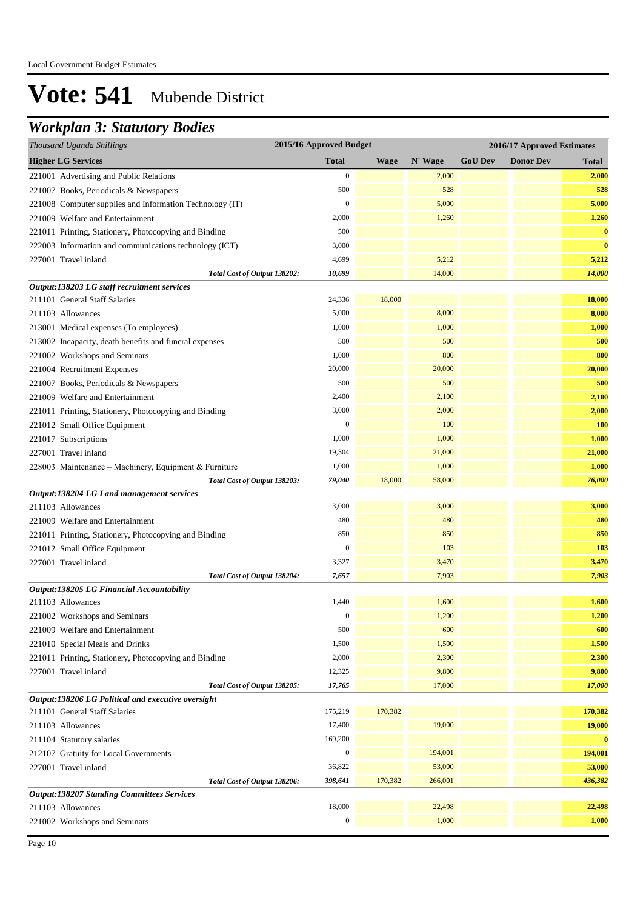## *Workplan 3: Statutory Bodies*

| Thousand Uganda Shillings                                | 2015/16 Approved Budget |             |         |                | 2016/17 Approved Estimates |              |
|----------------------------------------------------------|-------------------------|-------------|---------|----------------|----------------------------|--------------|
| <b>Higher LG Services</b>                                | <b>Total</b>            | <b>Wage</b> | N' Wage | <b>GoU Dev</b> | <b>Donor Dev</b>           | <b>Total</b> |
| 221001 Advertising and Public Relations                  | $\mathbf{0}$            |             | 2,000   |                |                            | 2,000        |
| 221007 Books, Periodicals & Newspapers                   | 500                     |             | 528     |                |                            | 528          |
| 221008 Computer supplies and Information Technology (IT) | $\mathbf{0}$            |             | 5,000   |                |                            | 5,000        |
| 221009 Welfare and Entertainment                         | 2,000                   |             | 1,260   |                |                            | 1,260        |
| 221011 Printing, Stationery, Photocopying and Binding    | 500                     |             |         |                |                            | $\bf{0}$     |
| 222003 Information and communications technology (ICT)   | 3,000                   |             |         |                |                            | $\bf{0}$     |
| 227001 Travel inland                                     | 4,699                   |             | 5,212   |                |                            | 5,212        |
| Total Cost of Output 138202:                             | 10,699                  |             | 14,000  |                |                            | 14,000       |
| Output:138203 LG staff recruitment services              |                         |             |         |                |                            |              |
| 211101 General Staff Salaries                            | 24,336                  | 18,000      |         |                |                            | 18,000       |
| 211103 Allowances                                        | 5,000                   |             | 8,000   |                |                            | 8,000        |
| 213001 Medical expenses (To employees)                   | 1,000                   |             | 1,000   |                |                            | 1,000        |
| 213002 Incapacity, death benefits and funeral expenses   | 500                     |             | 500     |                |                            | 500          |
| 221002 Workshops and Seminars                            | 1,000                   |             | 800     |                |                            | 800          |
| 221004 Recruitment Expenses                              | 20,000                  |             | 20,000  |                |                            | 20,000       |
| 221007 Books, Periodicals & Newspapers                   | 500                     |             | 500     |                |                            | 500          |
| 221009 Welfare and Entertainment                         | 2,400                   |             | 2,100   |                |                            | 2,100        |
| 221011 Printing, Stationery, Photocopying and Binding    | 3,000                   |             | 2,000   |                |                            | 2,000        |
| 221012 Small Office Equipment                            | $\mathbf{0}$            |             | 100     |                |                            | 100          |
| 221017 Subscriptions                                     | 1,000                   |             | 1,000   |                |                            | 1,000        |
| 227001 Travel inland                                     | 19,304                  |             | 21,000  |                |                            | 21,000       |
| 228003 Maintenance - Machinery, Equipment & Furniture    | 1,000                   |             | 1,000   |                |                            | 1,000        |
| Total Cost of Output 138203:                             | 79,040                  | 18,000      | 58,000  |                |                            | 76,000       |
| Output:138204 LG Land management services                |                         |             |         |                |                            |              |
| 211103 Allowances                                        | 3,000                   |             | 3,000   |                |                            | 3,000        |
| 221009 Welfare and Entertainment                         | 480                     |             | 480     |                |                            | 480          |
| 221011 Printing, Stationery, Photocopying and Binding    | 850                     |             | 850     |                |                            | 850          |
| 221012 Small Office Equipment                            | $\mathbf{0}$            |             | 103     |                |                            | 103          |
| 227001 Travel inland                                     | 3,327                   |             | 3,470   |                |                            | 3,470        |
| Total Cost of Output 138204:                             | 7,657                   |             | 7,903   |                |                            | 7,903        |
| Output:138205 LG Financial Accountability                |                         |             |         |                |                            |              |
| 211103 Allowances                                        | 1,440                   |             | 1,600   |                |                            | 1,600        |
| 221002 Workshops and Seminars                            | $\mathbf{0}$            |             | 1,200   |                |                            | 1,200        |
| 221009 Welfare and Entertainment                         | 500                     |             | 600     |                |                            | 600          |
| 221010 Special Meals and Drinks                          | 1,500                   |             | 1,500   |                |                            | 1,500        |
| 221011 Printing, Stationery, Photocopying and Binding    | 2,000                   |             | 2,300   |                |                            | 2,300        |
| 227001 Travel inland                                     | 12,325                  |             | 9,800   |                |                            | 9,800        |
| Total Cost of Output 138205:                             | 17,765                  |             | 17,000  |                |                            | 17,000       |
| Output:138206 LG Political and executive oversight       |                         |             |         |                |                            |              |
| 211101 General Staff Salaries                            | 175,219                 | 170,382     |         |                |                            | 170,382      |
| 211103 Allowances                                        | 17,400                  |             | 19,000  |                |                            | 19,000       |
| 211104 Statutory salaries                                | 169,200                 |             |         |                |                            | $\bf{0}$     |
| 212107 Gratuity for Local Governments                    | $\boldsymbol{0}$        |             | 194,001 |                |                            | 194,001      |
| 227001 Travel inland                                     | 36,822                  |             | 53,000  |                |                            | 53,000       |
| Total Cost of Output 138206:                             | 398,641                 | 170,382     | 266,001 |                |                            | 436,382      |
| <b>Output:138207 Standing Committees Services</b>        |                         |             |         |                |                            |              |
| 211103 Allowances                                        | 18,000                  |             | 22,498  |                |                            | 22,498       |
| 221002 Workshops and Seminars                            | $\boldsymbol{0}$        |             | 1,000   |                |                            | 1,000        |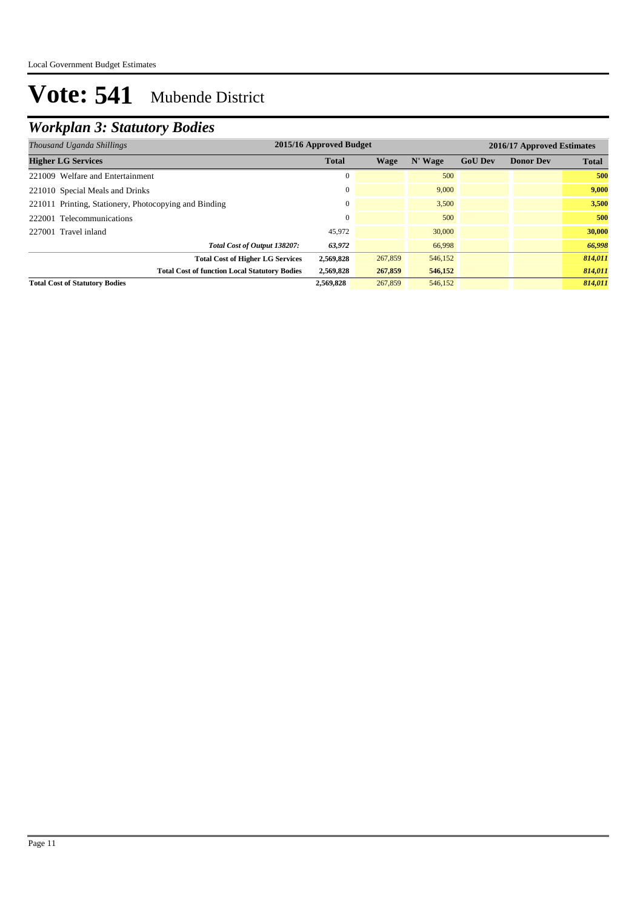## *Workplan 3: Statutory Bodies*

| 2015/16 Approved Budget<br>2016/17 Approved Estimates<br>Thousand Uganda Shillings |              |         |         |                |                  |              |
|------------------------------------------------------------------------------------|--------------|---------|---------|----------------|------------------|--------------|
| <b>Higher LG Services</b>                                                          | <b>Total</b> | Wage    | N' Wage | <b>GoU Dev</b> | <b>Donor Dev</b> | <b>Total</b> |
| 221009 Welfare and Entertainment                                                   |              |         | 500     |                |                  | 500          |
| 221010 Special Meals and Drinks                                                    |              |         | 9,000   |                |                  | 9.000        |
| 221011 Printing, Stationery, Photocopying and Binding                              |              |         | 3,500   |                |                  | 3,500        |
| 222001 Telecommunications                                                          |              |         | 500     |                |                  | 500          |
| 227001 Travel inland                                                               | 45,972       |         | 30,000  |                |                  | 30,000       |
| Total Cost of Output 138207:                                                       | 63,972       |         | 66,998  |                |                  | 66,998       |
| <b>Total Cost of Higher LG Services</b>                                            | 2,569,828    | 267,859 | 546,152 |                |                  | 814,011      |
| <b>Total Cost of function Local Statutory Bodies</b>                               | 2,569,828    | 267,859 | 546,152 |                |                  | 814,011      |
| <b>Total Cost of Statutory Bodies</b>                                              | 2,569,828    | 267,859 | 546,152 |                |                  | 814.011      |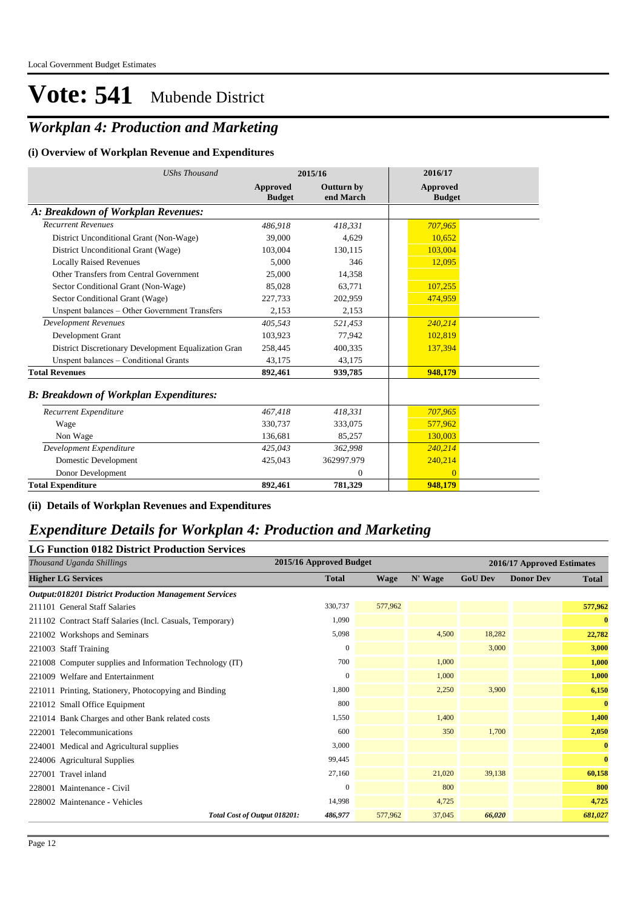## *Workplan 4: Production and Marketing*

### **(i) Overview of Workplan Revenue and Expenditures**

| <b>UShs Thousand</b>                                 |                           | 2015/16                 | 2016/17                          |
|------------------------------------------------------|---------------------------|-------------------------|----------------------------------|
|                                                      | Approved<br><b>Budget</b> | Outturn by<br>end March | <b>Approved</b><br><b>Budget</b> |
| A: Breakdown of Workplan Revenues:                   |                           |                         |                                  |
| <b>Recurrent Revenues</b>                            | 486.918                   | 418,331                 | 707,965                          |
| District Unconditional Grant (Non-Wage)              | 39,000                    | 4.629                   | 10,652                           |
| District Unconditional Grant (Wage)                  | 103,004                   | 130,115                 | 103,004                          |
| <b>Locally Raised Revenues</b>                       | 5.000                     | 346                     | 12,095                           |
| Other Transfers from Central Government              | 25,000                    | 14,358                  |                                  |
| Sector Conditional Grant (Non-Wage)                  | 85,028                    | 63,771                  | 107,255                          |
| Sector Conditional Grant (Wage)                      | 227,733                   | 202,959                 | 474,959                          |
| Unspent balances - Other Government Transfers        | 2,153                     | 2,153                   |                                  |
| <b>Development Revenues</b>                          | 405,543                   | 521,453                 | 240,214                          |
| Development Grant                                    | 103.923                   | 77,942                  | 102,819                          |
| District Discretionary Development Equalization Gran | 258,445                   | 400,335                 | 137,394                          |
| Unspent balances - Conditional Grants                | 43,175                    | 43,175                  |                                  |
| <b>Total Revenues</b>                                | 892,461                   | 939,785                 | 948,179                          |
| <b>B: Breakdown of Workplan Expenditures:</b>        |                           |                         |                                  |
| Recurrent Expenditure                                | 467,418                   | 418,331                 | 707,965                          |
| Wage                                                 | 330,737                   | 333,075                 | 577,962                          |
| Non Wage                                             | 136,681                   | 85,257                  | 130,003                          |
| Development Expenditure                              | 425,043                   | 362,998                 | 240,214                          |
| <b>Domestic Development</b>                          | 425,043                   | 362997.979              | 240,214                          |
| Donor Development                                    |                           | $\mathbf{0}$            | $\Omega$                         |
| <b>Total Expenditure</b>                             | 892,461                   | 781,329                 | 948,179                          |

#### **(ii) Details of Workplan Revenues and Expenditures**

### *Expenditure Details for Workplan 4: Production and Marketing*

| <b>LG Function 0182 District Production Services</b>         |                         |             |         |                            |                  |              |  |
|--------------------------------------------------------------|-------------------------|-------------|---------|----------------------------|------------------|--------------|--|
| Thousand Uganda Shillings                                    | 2015/16 Approved Budget |             |         | 2016/17 Approved Estimates |                  |              |  |
| <b>Higher LG Services</b>                                    | <b>Total</b>            | <b>Wage</b> | N' Wage | <b>GoU Dev</b>             | <b>Donor Dev</b> | <b>Total</b> |  |
| <b>Output:018201 District Production Management Services</b> |                         |             |         |                            |                  |              |  |
| 211101 General Staff Salaries                                | 330,737                 | 577,962     |         |                            |                  | 577,962      |  |
| 211102 Contract Staff Salaries (Incl. Casuals, Temporary)    | 1,090                   |             |         |                            |                  | $\bf{0}$     |  |
| 221002 Workshops and Seminars                                | 5,098                   |             | 4,500   | 18,282                     |                  | 22,782       |  |
| 221003 Staff Training                                        | $\mathbf{0}$            |             |         | 3,000                      |                  | 3,000        |  |
| 221008 Computer supplies and Information Technology (IT)     | 700                     |             | 1,000   |                            |                  | 1,000        |  |
| 221009 Welfare and Entertainment                             | $\mathbf{0}$            |             | 1,000   |                            |                  | 1,000        |  |
| 221011 Printing, Stationery, Photocopying and Binding        | 1,800                   |             | 2,250   | 3,900                      |                  | 6,150        |  |
| 221012 Small Office Equipment                                | 800                     |             |         |                            |                  | $\bf{0}$     |  |
| 221014 Bank Charges and other Bank related costs             | 1,550                   |             | 1,400   |                            |                  | 1,400        |  |
| 222001 Telecommunications                                    | 600                     |             | 350     | 1,700                      |                  | 2,050        |  |
| 224001 Medical and Agricultural supplies                     | 3,000                   |             |         |                            |                  | $\bf{0}$     |  |
| 224006 Agricultural Supplies                                 | 99,445                  |             |         |                            |                  | $\bf{0}$     |  |
| 227001 Travel inland                                         | 27,160                  |             | 21,020  | 39,138                     |                  | 60,158       |  |
| 228001 Maintenance - Civil                                   | $\mathbf{0}$            |             | 800     |                            |                  | 800          |  |
| 228002 Maintenance - Vehicles                                | 14,998                  |             | 4,725   |                            |                  | 4,725        |  |
| Total Cost of Output 018201:                                 | 486,977                 | 577,962     | 37,045  | 66,020                     |                  | 681,027      |  |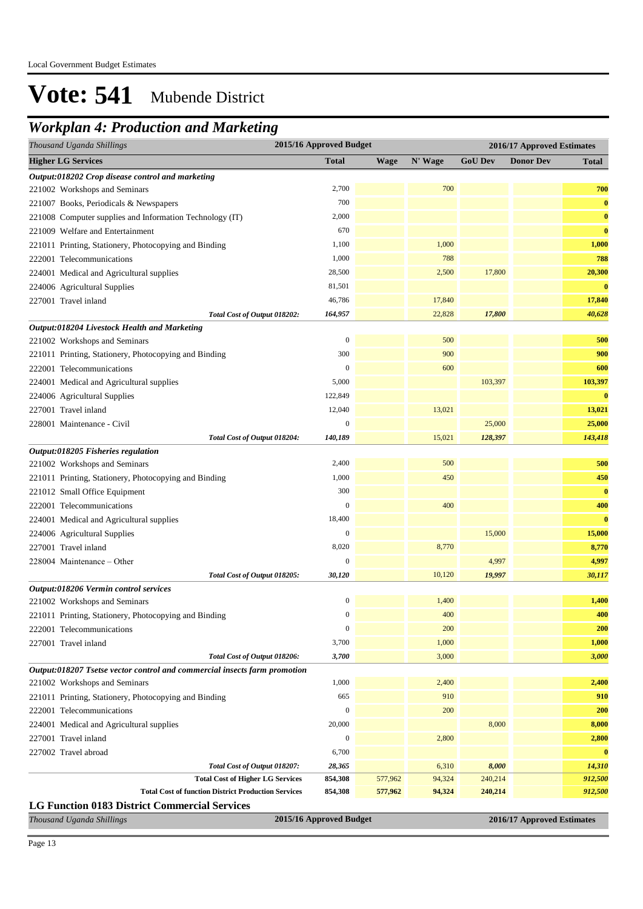## *Workplan 4: Production and Marketing*

| Thousand Uganda Shillings                                                 | 2015/16 Approved Budget | 2016/17 Approved Estimates |         |                |                            |              |
|---------------------------------------------------------------------------|-------------------------|----------------------------|---------|----------------|----------------------------|--------------|
| <b>Higher LG Services</b>                                                 | <b>Total</b>            | <b>Wage</b>                | N' Wage | <b>GoU Dev</b> | <b>Donor Dev</b>           | <b>Total</b> |
| Output:018202 Crop disease control and marketing                          |                         |                            |         |                |                            |              |
| 221002 Workshops and Seminars                                             | 2,700                   |                            | 700     |                |                            | 700          |
| 221007 Books, Periodicals & Newspapers                                    | 700                     |                            |         |                |                            | $\bf{0}$     |
| 221008 Computer supplies and Information Technology (IT)                  | 2,000                   |                            |         |                |                            | $\bf{0}$     |
| 221009 Welfare and Entertainment                                          | 670                     |                            |         |                |                            | $\bf{0}$     |
| 221011 Printing, Stationery, Photocopying and Binding                     | 1,100                   |                            | 1,000   |                |                            | 1,000        |
| 222001 Telecommunications                                                 | 1,000                   |                            | 788     |                |                            | 788          |
| 224001 Medical and Agricultural supplies                                  | 28,500                  |                            | 2,500   | 17,800         |                            | 20,300       |
| 224006 Agricultural Supplies                                              | 81,501                  |                            |         |                |                            | $\bf{0}$     |
| 227001 Travel inland                                                      | 46,786                  |                            | 17,840  |                |                            | 17,840       |
| Total Cost of Output 018202:                                              | 164,957                 |                            | 22,828  | 17,800         |                            | 40,628       |
| Output:018204 Livestock Health and Marketing                              |                         |                            |         |                |                            |              |
| 221002 Workshops and Seminars                                             | $\boldsymbol{0}$        |                            | 500     |                |                            | 500          |
| 221011 Printing, Stationery, Photocopying and Binding                     | 300                     |                            | 900     |                |                            | 900          |
| 222001 Telecommunications                                                 | $\boldsymbol{0}$        |                            | 600     |                |                            | 600          |
| 224001 Medical and Agricultural supplies                                  | 5,000                   |                            |         | 103,397        |                            | 103,397      |
| 224006 Agricultural Supplies                                              | 122,849                 |                            |         |                |                            | $\bf{0}$     |
| 227001 Travel inland                                                      | 12,040                  |                            | 13,021  |                |                            | 13,021       |
| 228001 Maintenance - Civil                                                | $\overline{0}$          |                            |         | 25,000         |                            | 25,000       |
| Total Cost of Output 018204:                                              | 140,189                 |                            | 15,021  | 128,397        |                            | 143,418      |
| Output:018205 Fisheries regulation                                        |                         |                            |         |                |                            |              |
| 221002 Workshops and Seminars                                             | 2,400                   |                            | 500     |                |                            | 500          |
| 221011 Printing, Stationery, Photocopying and Binding                     | 1,000                   |                            | 450     |                |                            | 450          |
| 221012 Small Office Equipment                                             | 300                     |                            |         |                |                            | $\bf{0}$     |
| 222001 Telecommunications                                                 | $\mathbf{0}$            |                            | 400     |                |                            | 400          |
| 224001 Medical and Agricultural supplies                                  | 18,400                  |                            |         |                |                            | $\bf{0}$     |
| 224006 Agricultural Supplies                                              | $\boldsymbol{0}$        |                            |         | 15,000         |                            | 15,000       |
| 227001 Travel inland                                                      | 8,020                   |                            | 8,770   |                |                            | 8,770        |
| 228004 Maintenance – Other                                                | $\boldsymbol{0}$        |                            |         | 4,997          |                            | 4,997        |
| Total Cost of Output 018205:                                              | 30,120                  |                            | 10,120  | 19,997         |                            | 30,117       |
| Output:018206 Vermin control services                                     |                         |                            |         |                |                            |              |
| 221002 Workshops and Seminars                                             | $\boldsymbol{0}$        |                            | 1,400   |                |                            | 1,400        |
| 221011 Printing, Stationery, Photocopying and Binding                     | $\boldsymbol{0}$        |                            | 400     |                |                            | 400          |
| 222001 Telecommunications                                                 | $\boldsymbol{0}$        |                            | 200     |                |                            | 200          |
| 227001 Travel inland                                                      | 3,700                   |                            | 1,000   |                |                            | 1,000        |
| Total Cost of Output 018206:                                              | 3,700                   |                            | 3,000   |                |                            | 3,000        |
| Output:018207 Tsetse vector control and commercial insects farm promotion |                         |                            |         |                |                            |              |
| 221002 Workshops and Seminars                                             | 1,000                   |                            | 2,400   |                |                            | 2,400        |
| 221011 Printing, Stationery, Photocopying and Binding                     | 665                     |                            | 910     |                |                            | 910          |
| 222001 Telecommunications                                                 | $\boldsymbol{0}$        |                            | 200     |                |                            | 200          |
| 224001 Medical and Agricultural supplies                                  | 20,000                  |                            |         | 8,000          |                            | 8,000        |
| 227001 Travel inland                                                      | $\boldsymbol{0}$        |                            | 2,800   |                |                            | 2,800        |
| 227002 Travel abroad                                                      | 6,700                   |                            |         |                |                            | $\bf{0}$     |
| Total Cost of Output 018207:                                              | 28,365                  |                            | 6,310   | 8,000          |                            | 14,310       |
| <b>Total Cost of Higher LG Services</b>                                   | 854,308                 | 577,962                    | 94,324  | 240,214        |                            | 912,500      |
| <b>Total Cost of function District Production Services</b>                | 854,308                 | 577,962                    | 94,324  | 240,214        |                            | 912,500      |
| <b>LG Function 0183 District Commercial Services</b>                      |                         |                            |         |                |                            |              |
| Thousand Uganda Shillings                                                 | 2015/16 Approved Budget |                            |         |                | 2016/17 Approved Estimates |              |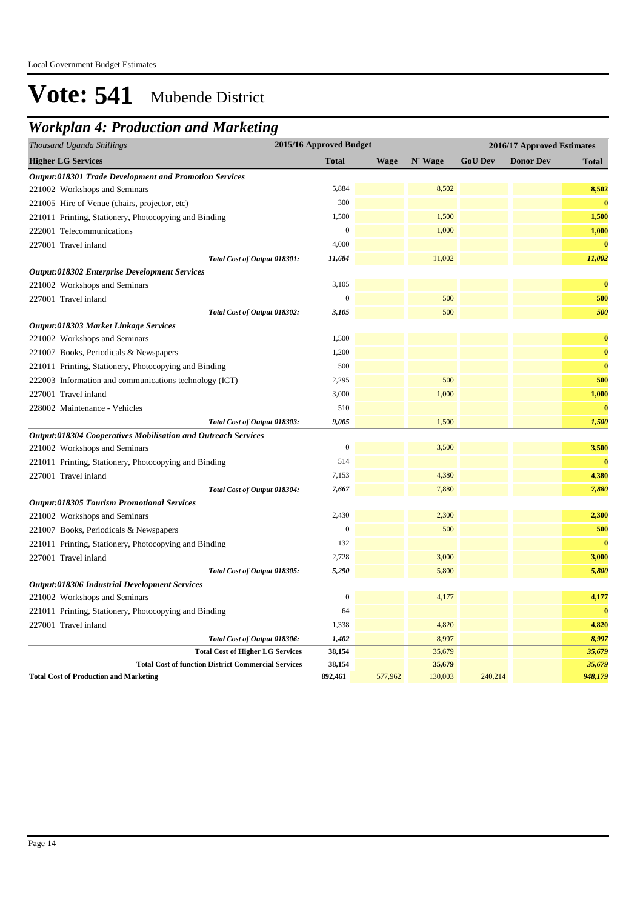## *Workplan 4: Production and Marketing*

| Thousand Uganda Shillings                                            | 2015/16 Approved Budget |             |         | 2016/17 Approved Estimates |                  |              |  |
|----------------------------------------------------------------------|-------------------------|-------------|---------|----------------------------|------------------|--------------|--|
| <b>Higher LG Services</b>                                            | <b>Total</b>            | <b>Wage</b> | N' Wage | <b>GoU Dev</b>             | <b>Donor Dev</b> | <b>Total</b> |  |
| Output:018301 Trade Development and Promotion Services               |                         |             |         |                            |                  |              |  |
| 221002 Workshops and Seminars                                        | 5,884                   |             | 8,502   |                            |                  | 8,502        |  |
| 221005 Hire of Venue (chairs, projector, etc)                        | 300                     |             |         |                            |                  | $\bf{0}$     |  |
| 221011 Printing, Stationery, Photocopying and Binding                | 1,500                   |             | 1,500   |                            |                  | 1,500        |  |
| 222001 Telecommunications                                            | $\mathbf{0}$            |             | 1,000   |                            |                  | 1,000        |  |
| 227001 Travel inland                                                 | 4,000                   |             |         |                            |                  | $\mathbf{0}$ |  |
| Total Cost of Output 018301:                                         | 11,684                  |             | 11,002  |                            |                  | 11,002       |  |
| <b>Output:018302 Enterprise Development Services</b>                 |                         |             |         |                            |                  |              |  |
| 221002 Workshops and Seminars                                        | 3,105                   |             |         |                            |                  | $\bf{0}$     |  |
| 227001 Travel inland                                                 | $\overline{0}$          |             | 500     |                            |                  | 500          |  |
| Total Cost of Output 018302:                                         | 3,105                   |             | 500     |                            |                  | 500          |  |
| Output:018303 Market Linkage Services                                |                         |             |         |                            |                  |              |  |
| 221002 Workshops and Seminars                                        | 1,500                   |             |         |                            |                  | $\bf{0}$     |  |
| 221007 Books, Periodicals & Newspapers                               | 1,200                   |             |         |                            |                  | $\bf{0}$     |  |
| 221011 Printing, Stationery, Photocopying and Binding                | 500                     |             |         |                            |                  | $\bf{0}$     |  |
| 222003 Information and communications technology (ICT)               | 2,295                   |             | 500     |                            |                  | 500          |  |
| 227001 Travel inland                                                 | 3,000                   |             | 1,000   |                            |                  | 1,000        |  |
| 228002 Maintenance - Vehicles                                        | 510                     |             |         |                            |                  | $\mathbf{0}$ |  |
| Total Cost of Output 018303:                                         | 9,005                   |             | 1,500   |                            |                  | 1,500        |  |
| <b>Output:018304 Cooperatives Mobilisation and Outreach Services</b> |                         |             |         |                            |                  |              |  |
| 221002 Workshops and Seminars                                        | $\overline{0}$          |             | 3,500   |                            |                  | 3,500        |  |
| 221011 Printing, Stationery, Photocopying and Binding                | 514                     |             |         |                            |                  | $\bf{0}$     |  |
| 227001 Travel inland                                                 | 7,153                   |             | 4,380   |                            |                  | 4,380        |  |
| Total Cost of Output 018304:                                         | 7,667                   |             | 7,880   |                            |                  | 7,880        |  |
| <b>Output:018305 Tourism Promotional Services</b>                    |                         |             |         |                            |                  |              |  |
| 221002 Workshops and Seminars                                        | 2,430                   |             | 2,300   |                            |                  | 2,300        |  |
| 221007 Books, Periodicals & Newspapers                               | $\boldsymbol{0}$        |             | 500     |                            |                  | 500          |  |
| 221011 Printing, Stationery, Photocopying and Binding                | 132                     |             |         |                            |                  | $\bf{0}$     |  |
| 227001 Travel inland                                                 | 2,728                   |             | 3,000   |                            |                  | 3,000        |  |
| Total Cost of Output 018305:                                         | 5,290                   |             | 5,800   |                            |                  | 5,800        |  |
| <b>Output:018306 Industrial Development Services</b>                 |                         |             |         |                            |                  |              |  |
| 221002 Workshops and Seminars                                        | $\boldsymbol{0}$        |             | 4,177   |                            |                  | 4,177        |  |
| 221011 Printing, Stationery, Photocopying and Binding                | 64                      |             |         |                            |                  | $\mathbf{0}$ |  |
| 227001 Travel inland                                                 | 1,338                   |             | 4,820   |                            |                  | 4,820        |  |
| Total Cost of Output 018306:                                         | 1,402                   |             | 8,997   |                            |                  | 8,997        |  |
| <b>Total Cost of Higher LG Services</b>                              | 38,154                  |             | 35,679  |                            |                  | 35,679       |  |
| <b>Total Cost of function District Commercial Services</b>           | 38,154                  |             | 35,679  |                            |                  | 35,679       |  |
| <b>Total Cost of Production and Marketing</b>                        | 892,461                 | 577,962     | 130,003 | 240,214                    |                  | 948,179      |  |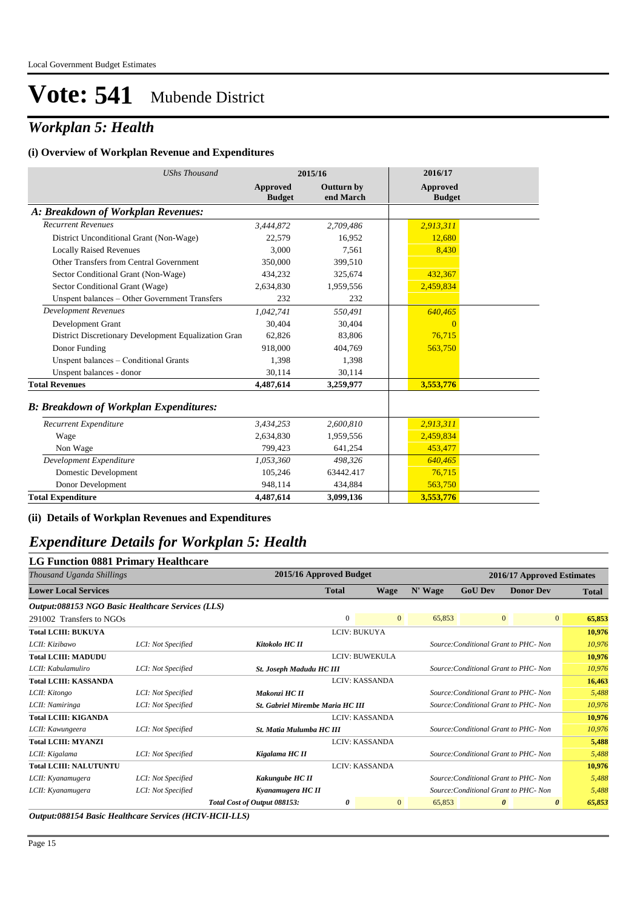## *Workplan 5: Health*

#### **(i) Overview of Workplan Revenue and Expenditures**

| <b>UShs Thousand</b>                                 |                                  | 2015/16                        | 2016/17                   |
|------------------------------------------------------|----------------------------------|--------------------------------|---------------------------|
|                                                      | <b>Approved</b><br><b>Budget</b> | <b>Outturn by</b><br>end March | Approved<br><b>Budget</b> |
| A: Breakdown of Workplan Revenues:                   |                                  |                                |                           |
| <b>Recurrent Revenues</b>                            | 3,444,872                        | 2,709,486                      | 2,913,311                 |
| District Unconditional Grant (Non-Wage)              | 22,579                           | 16,952                         | 12,680                    |
| <b>Locally Raised Revenues</b>                       | 3,000                            | 7,561                          | 8,430                     |
| Other Transfers from Central Government              | 350,000                          | 399,510                        |                           |
| Sector Conditional Grant (Non-Wage)                  | 434,232                          | 325,674                        | 432,367                   |
| Sector Conditional Grant (Wage)                      | 2,634,830                        | 1,959,556                      | 2,459,834                 |
| Unspent balances - Other Government Transfers        | 232                              | 232                            |                           |
| <b>Development Revenues</b>                          | 1.042.741                        | 550,491                        | 640,465                   |
| Development Grant                                    | 30.404                           | 30,404                         | $\Omega$                  |
| District Discretionary Development Equalization Gran | 62.826                           | 83.806                         | 76,715                    |
| Donor Funding                                        | 918,000                          | 404,769                        | 563,750                   |
| Unspent balances - Conditional Grants                | 1,398                            | 1,398                          |                           |
| Unspent balances - donor                             | 30,114                           | 30,114                         |                           |
| <b>Total Revenues</b>                                | 4.487.614                        | 3,259,977                      | 3,553,776                 |
| <b>B: Breakdown of Workplan Expenditures:</b>        |                                  |                                |                           |
| Recurrent Expenditure                                | 3,434,253                        | 2,600,810                      | 2,913,311                 |
| Wage                                                 | 2,634,830                        | 1,959,556                      | 2,459,834                 |
| Non Wage                                             | 799,423                          | 641,254                        | 453,477                   |
| Development Expenditure                              | 1,053,360                        | 498,326                        | 640,465                   |
| Domestic Development                                 | 105,246                          | 63442.417                      | 76,715                    |
| Donor Development                                    | 948,114                          | 434,884                        | 563,750                   |
| <b>Total Expenditure</b>                             | 4,487,614                        | 3,099,136                      | 3,553,776                 |

**(ii) Details of Workplan Revenues and Expenditures**

### *Expenditure Details for Workplan 5: Health*

| <b>LG Function 0881 Primary Healthcare</b>        |                    |                                  |                                                                   |                |         |                |                                       |                          |  |  |
|---------------------------------------------------|--------------------|----------------------------------|-------------------------------------------------------------------|----------------|---------|----------------|---------------------------------------|--------------------------|--|--|
| Thousand Uganda Shillings                         |                    |                                  | 2015/16 Approved Budget                                           |                |         |                | 2016/17 Approved Estimates            |                          |  |  |
| <b>Lower Local Services</b>                       |                    |                                  | <b>Total</b>                                                      | <b>Wage</b>    | N' Wage | <b>GoU Dev</b> | <b>Donor Dev</b>                      | <b>Total</b>             |  |  |
| Output:088153 NGO Basic Healthcare Services (LLS) |                    |                                  |                                                                   |                |         |                |                                       |                          |  |  |
| 291002 Transfers to NGOs                          |                    |                                  | $\Omega$                                                          | $\overline{0}$ | 65.853  |                | $\overline{0}$                        | $\overline{0}$<br>65,853 |  |  |
| <b>Total LCIII: BUKUYA</b>                        |                    |                                  | LCIV: BUKUYA                                                      |                |         |                |                                       | 10,976                   |  |  |
| LCII: Kizibawo                                    | LCI: Not Specified | Kitokolo HC II                   |                                                                   |                |         |                | Source: Conditional Grant to PHC- Non | 10,976                   |  |  |
| <b>Total LCIII: MADUDU</b>                        |                    |                                  | LCIV: BUWEKULA                                                    |                |         |                |                                       | 10,976                   |  |  |
| LCII: Kabulamuliro                                | LCI: Not Specified |                                  | St. Joseph Madudu HC III<br>Source: Conditional Grant to PHC- Non |                |         |                |                                       | 10,976                   |  |  |
| <b>Total LCIII: KASSANDA</b>                      |                    |                                  | <b>LCIV: KASSANDA</b>                                             |                |         |                |                                       | 16,463                   |  |  |
| LCII: Kitongo                                     | LCI: Not Specified | Makonzi HC II                    |                                                                   |                |         |                | Source: Conditional Grant to PHC- Non | 5,488                    |  |  |
| LCII: Namiringa                                   | LCI: Not Specified | St. Gabriel Mirembe Maria HC III |                                                                   |                |         |                | Source: Conditional Grant to PHC- Non | 10,976                   |  |  |
| <b>Total LCIII: KIGANDA</b>                       |                    |                                  | <b>LCIV: KASSANDA</b>                                             |                |         |                |                                       | 10,976                   |  |  |
| LCII: Kawungeera                                  | LCI: Not Specified | St. Matia Mulumba HC III         |                                                                   |                |         |                | Source: Conditional Grant to PHC- Non | 10,976                   |  |  |
| <b>Total LCIII: MYANZI</b>                        |                    |                                  | <b>LCIV: KASSANDA</b>                                             |                |         |                |                                       | 5,488                    |  |  |
| LCII: Kigalama                                    | LCI: Not Specified | Kigalama HC II                   |                                                                   |                |         |                | Source: Conditional Grant to PHC- Non | 5,488                    |  |  |
| <b>Total LCIII: NALUTUNTU</b>                     |                    |                                  | <b>LCIV: KASSANDA</b>                                             |                |         |                |                                       | 10,976                   |  |  |
| LCII: Kyanamugera                                 | LCI: Not Specified | Kakungube HC II                  |                                                                   |                |         |                | Source: Conditional Grant to PHC- Non | 5,488                    |  |  |
| LCII: Kyanamugera                                 | LCI: Not Specified | Kyanamugera HC II                |                                                                   |                |         |                | Source: Conditional Grant to PHC- Non | 5,488                    |  |  |
|                                                   |                    | Total Cost of Output 088153:     | 0                                                                 | $\mathbf{0}$   | 65,853  |                | $\boldsymbol{\theta}$                 | 65,853<br>0              |  |  |

*Output:088154 Basic Healthcare Services (HCIV-HCII-LLS)*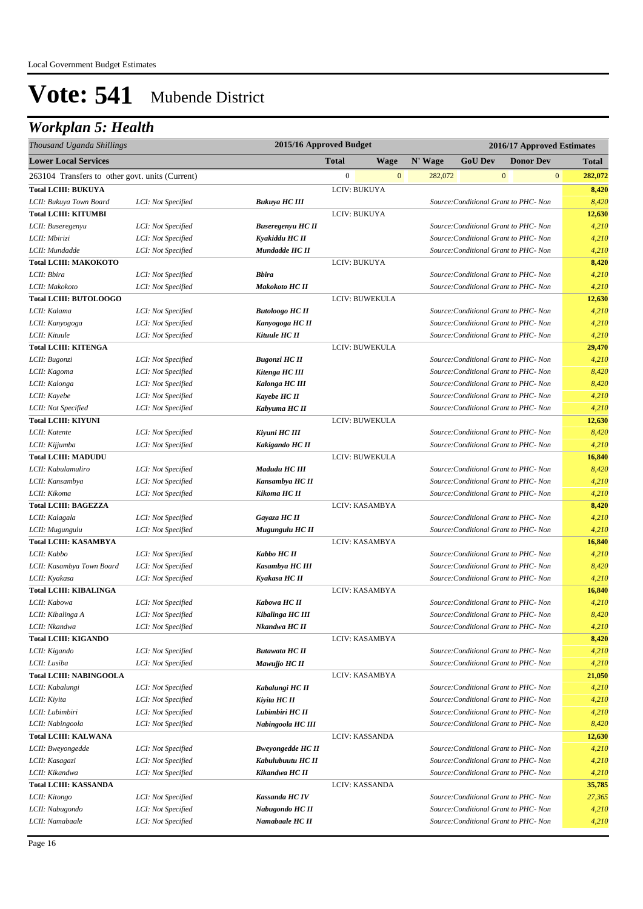## *Workplan 5: Health*

| Thousand Uganda Shillings                       |                    |                          | 2015/16 Approved Budget |              | 2016/17 Approved Estimates |                                       |                  |              |              |  |
|-------------------------------------------------|--------------------|--------------------------|-------------------------|--------------|----------------------------|---------------------------------------|------------------|--------------|--------------|--|
| <b>Lower Local Services</b>                     |                    |                          | <b>Total</b>            | <b>Wage</b>  | N' Wage                    | <b>GoU Dev</b>                        | <b>Donor Dev</b> |              | <b>Total</b> |  |
| 263104 Transfers to other govt. units (Current) |                    |                          | $\boldsymbol{0}$        | $\mathbf{0}$ | 282,072                    |                                       | $\boldsymbol{0}$ | $\mathbf{0}$ | 282,072      |  |
| <b>Total LCIII: BUKUYA</b>                      |                    |                          | LCIV: BUKUYA            |              |                            |                                       |                  |              | 8,420        |  |
| LCII: Bukuya Town Board                         | LCI: Not Specified | <b>Bukuya HC III</b>     |                         |              |                            | Source: Conditional Grant to PHC- Non |                  |              | 8,420        |  |
| <b>Total LCIII: KITUMBI</b>                     |                    |                          | LCIV: BUKUYA            |              |                            |                                       |                  |              | 12,630       |  |
| LCII: Buseregenyu                               | LCI: Not Specified | <b>Buseregenyu HC II</b> |                         |              |                            | Source: Conditional Grant to PHC- Non |                  |              | 4,210        |  |
| LCII: Mbirizi                                   | LCI: Not Specified | Kyakiddu HC II           |                         |              |                            | Source: Conditional Grant to PHC- Non |                  |              | 4,210        |  |
| LCII: Mundadde                                  | LCI: Not Specified | Mundadde HC II           |                         |              |                            | Source: Conditional Grant to PHC- Non |                  |              | 4,210        |  |
| <b>Total LCIII: MAKOKOTO</b>                    |                    |                          | LCIV: BUKUYA            |              |                            |                                       |                  |              | 8,420        |  |
| LCII: Bbira                                     | LCI: Not Specified | <b>Bbira</b>             |                         |              |                            | Source: Conditional Grant to PHC- Non |                  |              | 4,210        |  |
| LCII: Makokoto                                  | LCI: Not Specified | Makokoto HC II           |                         |              |                            | Source: Conditional Grant to PHC- Non |                  |              | 4,210        |  |
| <b>Total LCIII: BUTOLOOGO</b>                   |                    |                          | LCIV: BUWEKULA          |              |                            |                                       |                  |              | 12,630       |  |
| LCII: Kalama                                    | LCI: Not Specified | <b>Butoloogo HC II</b>   |                         |              |                            | Source: Conditional Grant to PHC- Non |                  |              | 4,210        |  |
| LCII: Kanyogoga                                 | LCI: Not Specified | Kanyogoga HC II          |                         |              |                            | Source: Conditional Grant to PHC- Non |                  |              | 4,210        |  |
| LCII: Kituule                                   | LCI: Not Specified | Kituule HC II            |                         |              |                            | Source: Conditional Grant to PHC- Non |                  |              | 4,210        |  |
| <b>Total LCIII: KITENGA</b>                     |                    |                          | LCIV: BUWEKULA          |              |                            |                                       |                  |              | 29,470       |  |
| LCII: Bugonzi                                   | LCI: Not Specified | <b>Bugonzi HC II</b>     |                         |              |                            | Source: Conditional Grant to PHC- Non |                  |              | 4,210        |  |
| LCII: Kagoma                                    | LCI: Not Specified | Kitenga HC III           |                         |              |                            | Source: Conditional Grant to PHC- Non |                  |              | 8,420        |  |
| LCII: Kalonga                                   | LCI: Not Specified | <b>Kalonga HC III</b>    |                         |              |                            | Source: Conditional Grant to PHC- Non |                  |              | 8,420        |  |
| LCII: Kayebe                                    | LCI: Not Specified | Kayebe HC II             |                         |              |                            | Source: Conditional Grant to PHC- Non |                  |              | 4,210        |  |
| LCII: Not Specified                             | LCI: Not Specified | Kabyuma HC II            |                         |              |                            | Source: Conditional Grant to PHC- Non |                  |              | 4,210        |  |
| <b>Total LCIII: KIYUNI</b>                      |                    |                          | LCIV: BUWEKULA          |              |                            |                                       |                  |              | 12,630       |  |
| LCII: Katente                                   | LCI: Not Specified | Kiyuni HC III            |                         |              |                            | Source: Conditional Grant to PHC- Non |                  |              | 8,420        |  |
| LCII: Kijjumba                                  | LCI: Not Specified | Kakigando HC II          |                         |              |                            | Source: Conditional Grant to PHC- Non |                  |              | 4,210        |  |
| <b>Total LCIII: MADUDU</b>                      |                    |                          | LCIV: BUWEKULA          |              |                            |                                       |                  |              | 16,840       |  |
| LCII: Kabulamuliro                              | LCI: Not Specified | Madudu HC III            |                         |              |                            | Source: Conditional Grant to PHC- Non |                  |              | 8,420        |  |
| LCII: Kansambya                                 | LCI: Not Specified | Kansambya HC II          |                         |              |                            | Source: Conditional Grant to PHC- Non |                  |              | 4,210        |  |
| LCII: Kikoma                                    | LCI: Not Specified | Kikoma HC II             |                         |              |                            | Source: Conditional Grant to PHC- Non |                  |              | 4,210        |  |
| <b>Total LCIII: BAGEZZA</b>                     |                    |                          | LCIV: KASAMBYA          |              |                            |                                       |                  |              | 8,420        |  |
| LCII: Kalagala                                  | LCI: Not Specified | Gayaza HC II             |                         |              |                            | Source: Conditional Grant to PHC- Non |                  |              | 4,210        |  |
| LCII: Mugungulu                                 | LCI: Not Specified | Mugungulu HC II          |                         |              |                            | Source: Conditional Grant to PHC- Non |                  |              | 4,210        |  |
| <b>Total LCIII: KASAMBYA</b>                    |                    |                          | LCIV: KASAMBYA          |              |                            |                                       |                  |              | 16,840       |  |
| LCII: Kabbo                                     | LCI: Not Specified | Kabbo HC II              |                         |              |                            | Source: Conditional Grant to PHC- Non |                  |              | 4,210        |  |
| LCII: Kasambya Town Board                       | LCI: Not Specified | Kasambya HC III          |                         |              |                            | Source: Conditional Grant to PHC- Non |                  |              | 8,420        |  |
| LCII: Kyakasa                                   | LCI: Not Specified | Kyakasa HC II            |                         |              |                            | Source: Conditional Grant to PHC- Non |                  |              | 4,210        |  |
| <b>Total LCIII: KIBALINGA</b>                   |                    |                          | LCIV: KASAMBYA          |              |                            |                                       |                  |              | 16,840       |  |
| LCII: Kabowa                                    | LCI: Not Specified | Kabowa HC II             |                         |              |                            | Source: Conditional Grant to PHC- Non |                  |              | 4,210        |  |
| LCII: Kibalinga A                               | LCI: Not Specified | Kibalinga HC III         |                         |              |                            | Source: Conditional Grant to PHC- Non |                  |              | 8,420        |  |
| LCII: Nkandwa                                   | LCI: Not Specified | Nkandwa HC II            |                         |              |                            | Source: Conditional Grant to PHC- Non |                  |              | 4,210        |  |
| <b>Total LCIII: KIGANDO</b>                     |                    |                          | LCIV: KASAMBYA          |              |                            |                                       |                  |              | 8,420        |  |
| LCII: Kigando                                   | LCI: Not Specified | <b>Butawata HC II</b>    |                         |              |                            | Source: Conditional Grant to PHC- Non |                  |              | 4,210        |  |
| LCII: Lusiba                                    | LCI: Not Specified | Mawujjo HC II            |                         |              |                            | Source: Conditional Grant to PHC- Non |                  |              | 4,210        |  |
| <b>Total LCIII: NABINGOOLA</b>                  |                    |                          | LCIV: KASAMBYA          |              |                            |                                       |                  |              | 21,050       |  |
| LCII: Kabalungi                                 | LCI: Not Specified | Kabalungi HC II          |                         |              |                            | Source: Conditional Grant to PHC- Non |                  |              | 4,210        |  |
| LCII: Kiyita                                    | LCI: Not Specified | Kiyita HC II             |                         |              |                            | Source: Conditional Grant to PHC- Non |                  |              | 4,210        |  |
| LCII: Lubimbiri                                 | LCI: Not Specified | Lubimbiri HC II          |                         |              |                            | Source: Conditional Grant to PHC- Non |                  |              | 4,210        |  |
| LCII: Nabingoola                                | LCI: Not Specified | Nabingoola HC III        |                         |              |                            | Source: Conditional Grant to PHC- Non |                  |              | 8,420        |  |
| <b>Total LCIII: KALWANA</b>                     |                    |                          | LCIV: KASSANDA          |              |                            |                                       |                  |              | 12,630       |  |
| LCII: Bweyongedde                               | LCI: Not Specified | <b>Bweyongedde HC II</b> |                         |              |                            | Source: Conditional Grant to PHC- Non |                  |              | 4,210        |  |
| LCII: Kasagazi                                  | LCI: Not Specified | Kabulubuutu HC II        |                         |              |                            | Source: Conditional Grant to PHC- Non |                  |              | 4,210        |  |
| LCII: Kikandwa                                  | LCI: Not Specified | Kikandwa HC II           |                         |              |                            | Source: Conditional Grant to PHC- Non |                  |              | 4,210        |  |
| <b>Total LCIII: KASSANDA</b>                    |                    |                          | LCIV: KASSANDA          |              |                            |                                       |                  |              | 35,785       |  |
| LCII: Kitongo                                   | LCI: Not Specified | <b>Kassanda HCIV</b>     |                         |              |                            | Source: Conditional Grant to PHC- Non |                  |              | 27,365       |  |
| LCII: Nabugondo                                 | LCI: Not Specified | Nabugondo HC II          |                         |              |                            | Source: Conditional Grant to PHC- Non |                  |              | 4,210        |  |
| LCII: Namabaale                                 | LCI: Not Specified | Namabaale HC II          |                         |              |                            | Source: Conditional Grant to PHC- Non |                  |              | 4,210        |  |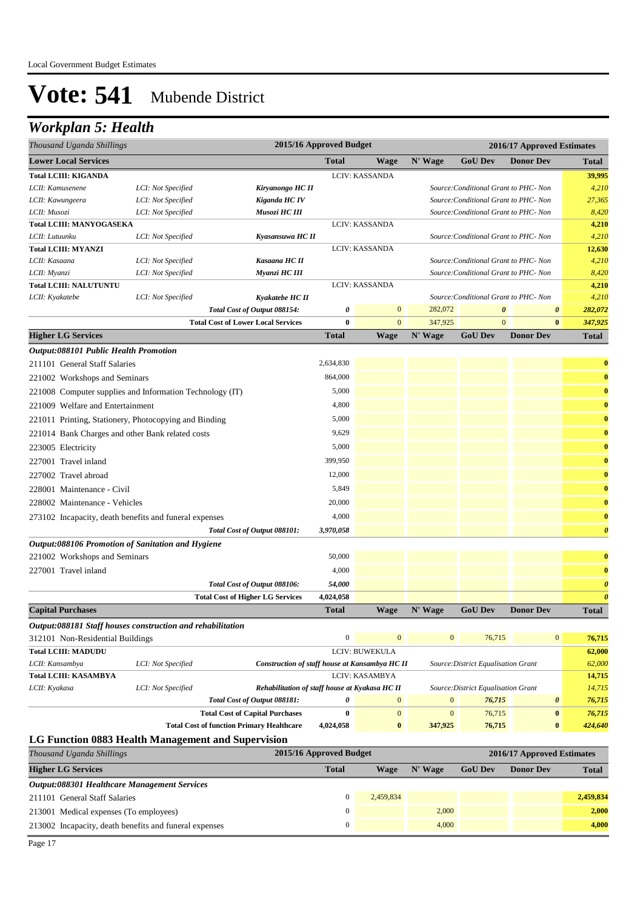## *Workplan 5: Health*

| Thousand Uganda Shillings                                  |                    |                                                  | 2015/16 Approved Budget |                |                  | 2016/17 Approved Estimates            |                       |                       |
|------------------------------------------------------------|--------------------|--------------------------------------------------|-------------------------|----------------|------------------|---------------------------------------|-----------------------|-----------------------|
| <b>Lower Local Services</b>                                |                    |                                                  | <b>Total</b>            | <b>Wage</b>    | N' Wage          | <b>GoU Dev</b>                        | <b>Donor Dev</b>      | <b>Total</b>          |
| <b>Total LCIII: KIGANDA</b>                                |                    |                                                  |                         | LCIV: KASSANDA |                  |                                       |                       | 39,995                |
| LCII: Kamusenene                                           | LCI: Not Specified | Kiryanongo HC II                                 |                         |                |                  | Source: Conditional Grant to PHC- Non |                       | 4,210                 |
| LCII: Kawungeera                                           | LCI: Not Specified | Kiganda HC IV                                    |                         |                |                  | Source: Conditional Grant to PHC- Non |                       | 27,365                |
| LCII: Musozi                                               | LCI: Not Specified | Musozi HC III                                    |                         |                |                  | Source: Conditional Grant to PHC- Non |                       | 8,420                 |
| <b>Total LCIII: MANYOGASEKA</b>                            |                    |                                                  |                         | LCIV: KASSANDA |                  |                                       |                       | 4,210                 |
| LCII: Lutuunku                                             | LCI: Not Specified | Kyasansuwa HC II                                 |                         |                |                  | Source: Conditional Grant to PHC- Non |                       | 4,210                 |
| <b>Total LCIII: MYANZI</b>                                 |                    |                                                  |                         | LCIV: KASSANDA |                  |                                       |                       | 12,630                |
| LCII: Kasaana                                              | LCI: Not Specified | Kasaana HC II                                    |                         |                |                  | Source: Conditional Grant to PHC- Non |                       | 4,210                 |
| LCII: Myanzi                                               | LCI: Not Specified | Myanzi HC III                                    |                         |                |                  | Source: Conditional Grant to PHC- Non |                       | 8,420                 |
| <b>Total LCIII: NALUTUNTU</b>                              |                    |                                                  |                         | LCIV: KASSANDA |                  |                                       |                       | 4,210                 |
| LCII: Kyakatebe                                            | LCI: Not Specified | Kyakatebe HC II                                  |                         |                |                  | Source: Conditional Grant to PHC- Non |                       | 4,210                 |
|                                                            |                    | Total Cost of Output 088154:                     | 0                       | $\mathbf{0}$   | 282,072          | $\pmb{\theta}$                        | $\boldsymbol{\theta}$ | 282,072               |
|                                                            |                    | <b>Total Cost of Lower Local Services</b>        | $\bf{0}$                | $\mathbf{0}$   | 347,925          | $\mathbf{0}$                          | $\bf{0}$              | 347,925               |
| <b>Higher LG Services</b>                                  |                    |                                                  | <b>Total</b>            | <b>Wage</b>    | N' Wage          | <b>GoU Dev</b>                        | <b>Donor Dev</b>      | <b>Total</b>          |
| Output:088101 Public Health Promotion                      |                    |                                                  |                         |                |                  |                                       |                       |                       |
| 211101 General Staff Salaries                              |                    |                                                  | 2,634,830               |                |                  |                                       |                       | $\bf{0}$              |
| 221002 Workshops and Seminars                              |                    |                                                  | 864,000                 |                |                  |                                       |                       | $\bf{0}$              |
| 221008 Computer supplies and Information Technology (IT)   |                    |                                                  | 5,000                   |                |                  |                                       |                       | $\bf{0}$              |
| 221009 Welfare and Entertainment                           |                    |                                                  | 4,800                   |                |                  |                                       |                       | $\bf{0}$              |
| 221011 Printing, Stationery, Photocopying and Binding      |                    |                                                  | 5,000                   |                |                  |                                       |                       | $\bf{0}$              |
| 221014 Bank Charges and other Bank related costs           |                    |                                                  | 9,629                   |                |                  |                                       |                       | $\bf{0}$              |
| 223005 Electricity                                         |                    |                                                  | 5,000                   |                |                  |                                       |                       | $\bf{0}$              |
|                                                            |                    |                                                  | 399,950                 |                |                  |                                       |                       | $\bf{0}$              |
| 227001 Travel inland                                       |                    |                                                  |                         |                |                  |                                       |                       |                       |
| 227002 Travel abroad                                       |                    |                                                  | 12,000                  |                |                  |                                       |                       | $\bf{0}$              |
| 228001 Maintenance - Civil                                 |                    |                                                  | 5,849                   |                |                  |                                       |                       | $\bf{0}$              |
| 228002 Maintenance - Vehicles                              |                    |                                                  | 20,000                  |                |                  |                                       |                       | $\bf{0}$              |
| 273102 Incapacity, death benefits and funeral expenses     |                    |                                                  | 4,000                   |                |                  |                                       |                       | $\bf{0}$              |
|                                                            |                    | Total Cost of Output 088101:                     | 3,970,058               |                |                  |                                       |                       | $\boldsymbol{\theta}$ |
| Output:088106 Promotion of Sanitation and Hygiene          |                    |                                                  |                         |                |                  |                                       |                       |                       |
| 221002 Workshops and Seminars                              |                    |                                                  | 50,000                  |                |                  |                                       |                       | $\bf{0}$              |
| 227001 Travel inland                                       |                    |                                                  | 4,000                   |                |                  |                                       |                       | $\bf{0}$              |
|                                                            |                    | Total Cost of Output 088106:                     | 54,000                  |                |                  |                                       |                       | $\boldsymbol{\theta}$ |
|                                                            |                    | <b>Total Cost of Higher LG Services</b>          | 4,024,058               |                |                  |                                       |                       | $\boldsymbol{\theta}$ |
| <b>Capital Purchases</b>                                   |                    |                                                  | <b>Total</b>            | Wage           | N' Wage          | <b>GoU Dev</b>                        | <b>Donor Dev</b>      | <b>Total</b>          |
| Output:088181 Staff houses construction and rehabilitation |                    |                                                  |                         |                |                  |                                       |                       |                       |
| 312101 Non-Residential Buildings                           |                    |                                                  | $\boldsymbol{0}$        | $\mathbf{0}$   | $\boldsymbol{0}$ | 76,715                                | $\boldsymbol{0}$      | 76,715                |
| <b>Total LCIII: MADUDU</b>                                 |                    |                                                  |                         | LCIV: BUWEKULA |                  |                                       |                       | 62,000                |
| LCII: Kansambya                                            | LCI: Not Specified | Construction of staff house at Kansambya HC II   |                         |                |                  | Source: District Equalisation Grant   |                       | 62,000                |
| <b>Total LCIII: KASAMBYA</b>                               |                    |                                                  |                         | LCIV: KASAMBYA |                  |                                       |                       | 14,715                |
| LCII: Kyakasa                                              | LCI: Not Specified | Rehabilitation of staff house at Kyakasa HC II   |                         |                |                  | Source: District Equalisation Grant   |                       | 14,715                |
|                                                            |                    | Total Cost of Output 088181:                     | 0                       | $\mathbf{0}$   | $\boldsymbol{0}$ | 76,715                                | 0                     | 76,715                |
|                                                            |                    | <b>Total Cost of Capital Purchases</b>           | $\bf{0}$                | $\mathbf{0}$   | $\mathbf{0}$     | 76,715                                | $\pmb{0}$             | 76,715                |
|                                                            |                    | <b>Total Cost of function Primary Healthcare</b> | 4,024,058               | $\bf{0}$       | 347,925          | 76,715                                | $\bf{0}$              | 424,640               |
| <b>LG Function 0883 Health Management and Supervision</b>  |                    |                                                  |                         |                |                  |                                       |                       |                       |

| Thousand Uganda Shillings                              | 2015/16 Approved Budget |           |         | 2016/17 Approved Estimates |                  |              |  |
|--------------------------------------------------------|-------------------------|-----------|---------|----------------------------|------------------|--------------|--|
| <b>Higher LG Services</b>                              | <b>Total</b>            | Wage      | N' Wage | <b>GoU Dev</b>             | <b>Donor Dev</b> | <b>Total</b> |  |
| Output:088301 Healthcare Management Services           |                         |           |         |                            |                  |              |  |
| 211101 General Staff Salaries                          |                         | 2.459.834 |         |                            |                  | 2,459,834    |  |
| 213001 Medical expenses (To employees)                 | 0                       |           | 2.000   |                            |                  | 2,000        |  |
| 213002 Incapacity, death benefits and funeral expenses | 0                       |           | 4,000   |                            |                  | 4,000        |  |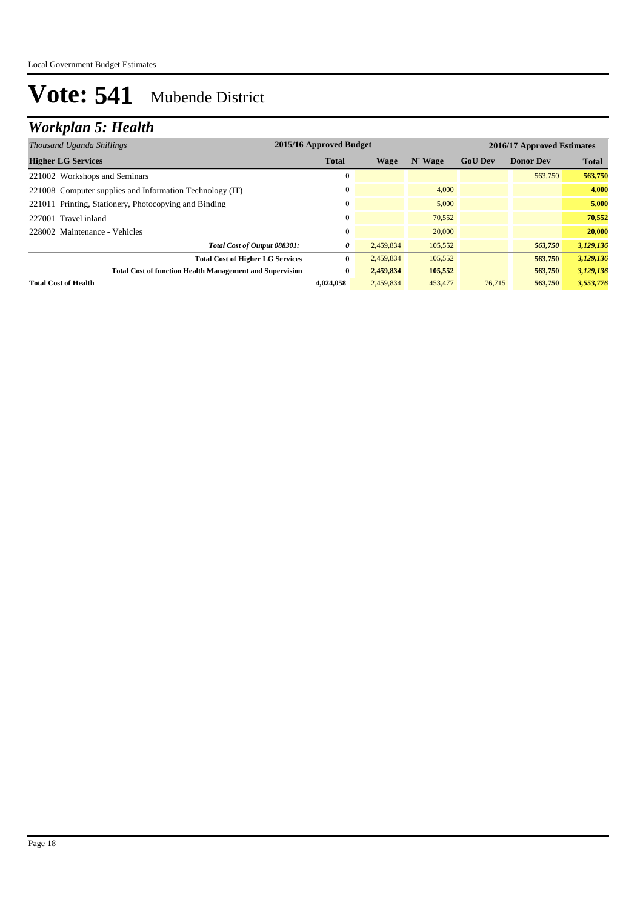## *Workplan 5: Health*

| Thousand Uganda Shillings                                       | 2015/16 Approved Budget |           |         |                | 2016/17 Approved Estimates |              |  |  |
|-----------------------------------------------------------------|-------------------------|-----------|---------|----------------|----------------------------|--------------|--|--|
| <b>Higher LG Services</b>                                       | <b>Total</b>            | Wage      | N' Wage | <b>GoU Dev</b> | <b>Donor Dev</b>           | <b>Total</b> |  |  |
| 221002 Workshops and Seminars                                   | 0                       |           |         |                | 563,750                    | 563,750      |  |  |
| 221008 Computer supplies and Information Technology (IT)        | 0                       |           | 4.000   |                |                            | 4,000        |  |  |
| 221011 Printing, Stationery, Photocopying and Binding           | $\mathbf{0}$            |           | 5,000   |                |                            | 5,000        |  |  |
| 227001 Travel inland                                            | $\Omega$                |           | 70,552  |                |                            | 70,552       |  |  |
| 228002 Maintenance - Vehicles                                   | $\mathbf{0}$            |           | 20,000  |                |                            | 20,000       |  |  |
| Total Cost of Output 088301:                                    | 0                       | 2.459.834 | 105,552 |                | 563,750                    | 3,129,136    |  |  |
| <b>Total Cost of Higher LG Services</b>                         | $\bf{0}$                | 2,459,834 | 105,552 |                | 563,750                    | 3,129,136    |  |  |
| <b>Total Cost of function Health Management and Supervision</b> | $\bf{0}$                | 2,459,834 | 105,552 |                | 563,750                    | 3,129,136    |  |  |
| <b>Total Cost of Health</b>                                     | 4,024,058               | 2.459.834 | 453,477 | 76,715         | 563,750                    | 3,553,776    |  |  |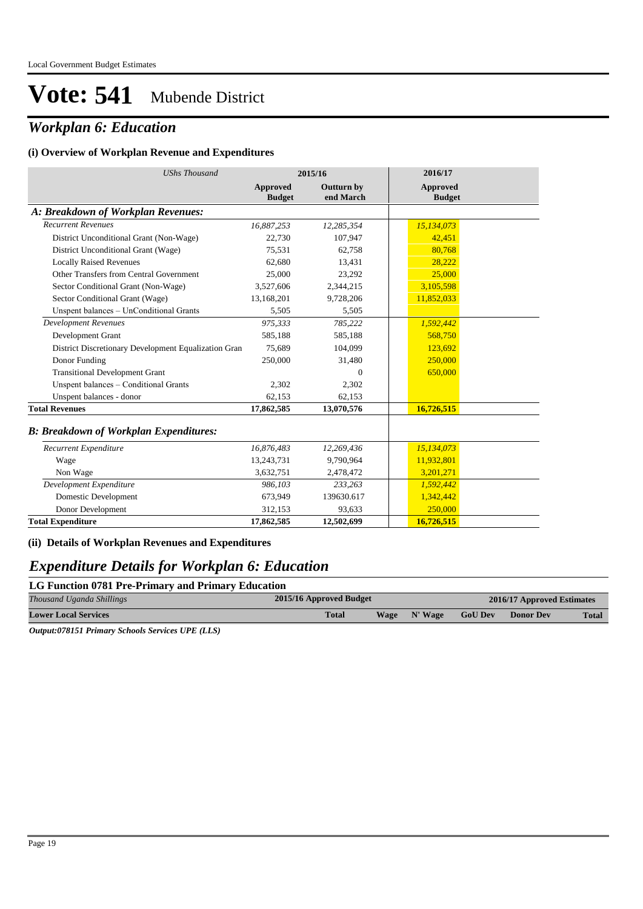## *Workplan 6: Education*

#### **(i) Overview of Workplan Revenue and Expenditures**

| <b>UShs Thousand</b>                                 |                                  | 2015/16                        | 2016/17                   |
|------------------------------------------------------|----------------------------------|--------------------------------|---------------------------|
|                                                      | <b>Approved</b><br><b>Budget</b> | <b>Outturn by</b><br>end March | Approved<br><b>Budget</b> |
| A: Breakdown of Workplan Revenues:                   |                                  |                                |                           |
| <b>Recurrent Revenues</b>                            | 16,887,253                       | 12,285,354                     | 15,134,073                |
| District Unconditional Grant (Non-Wage)              | 22,730                           | 107,947                        | 42,451                    |
| District Unconditional Grant (Wage)                  | 75,531                           | 62,758                         | 80,768                    |
| <b>Locally Raised Revenues</b>                       | 62.680                           | 13,431                         | 28,222                    |
| Other Transfers from Central Government              | 25,000                           | 23,292                         | 25,000                    |
| Sector Conditional Grant (Non-Wage)                  | 3,527,606                        | 2,344,215                      | 3,105,598                 |
| Sector Conditional Grant (Wage)                      | 13,168,201                       | 9,728,206                      | 11,852,033                |
| Unspent balances - UnConditional Grants              | 5,505                            | 5,505                          |                           |
| <b>Development Revenues</b>                          | 975,333                          | 785,222                        | 1,592,442                 |
| Development Grant                                    | 585,188                          | 585,188                        | 568,750                   |
| District Discretionary Development Equalization Gran | 75,689                           | 104,099                        | 123,692                   |
| Donor Funding                                        | 250,000                          | 31,480                         | 250,000                   |
| <b>Transitional Development Grant</b>                |                                  | $\overline{0}$                 | 650,000                   |
| Unspent balances - Conditional Grants                | 2,302                            | 2,302                          |                           |
| Unspent balances - donor                             | 62,153                           | 62,153                         |                           |
| <b>Total Revenues</b>                                | 17,862,585                       | 13,070,576                     | 16,726,515                |
| <b>B: Breakdown of Workplan Expenditures:</b>        |                                  |                                |                           |
| Recurrent Expenditure                                | 16,876,483                       | 12,269,436                     | 15,134,073                |
| Wage                                                 | 13,243,731                       | 9,790,964                      | 11,932,801                |
| Non Wage                                             | 3,632,751                        | 2,478,472                      | 3,201,271                 |
| Development Expenditure                              | 986,103                          | 233,263                        | 1,592,442                 |
| Domestic Development                                 | 673,949                          | 139630.617                     | 1,342,442                 |

### **(ii) Details of Workplan Revenues and Expenditures**

### *Expenditure Details for Workplan 6: Education*

Donor Development 312,153 **Total Expenditure 17,862,585**

| LG Function 0781 Pre-Primary and Primary Education |                         |              |                |                            |              |  |  |  |  |
|----------------------------------------------------|-------------------------|--------------|----------------|----------------------------|--------------|--|--|--|--|
| Thousand Uganda Shillings                          | 2015/16 Approved Budget |              |                | 2016/17 Approved Estimates |              |  |  |  |  |
| <b>Lower Local Services</b>                        | Total                   | Wage N' Wage | <b>GoU Dev</b> | <b>Donor Dev</b>           | <b>Total</b> |  |  |  |  |

93,633 **12,502,699**

250,000 **16,726,515**

*Output:078151 Primary Schools Services UPE (LLS)*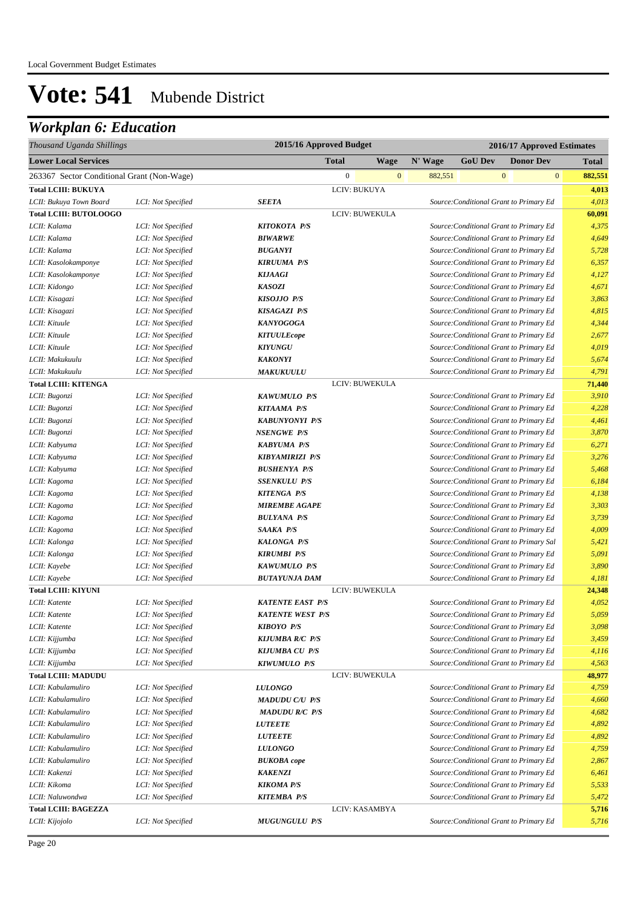| Thousand Uganda Shillings                  |                    | 2015/16 Approved Budget<br>2016/17 Approved Estimates |                  |              |         |                                          |                  |              |              |
|--------------------------------------------|--------------------|-------------------------------------------------------|------------------|--------------|---------|------------------------------------------|------------------|--------------|--------------|
| <b>Lower Local Services</b>                |                    |                                                       | <b>Total</b>     | <b>Wage</b>  | N' Wage | <b>GoU Dev</b>                           | <b>Donor Dev</b> |              | <b>Total</b> |
| 263367 Sector Conditional Grant (Non-Wage) |                    |                                                       | $\boldsymbol{0}$ | $\mathbf{0}$ | 882,551 |                                          | $\mathbf{0}$     | $\mathbf{0}$ | 882,551      |
| <b>Total LCIII: BUKUYA</b>                 |                    |                                                       | LCIV: BUKUYA     |              |         |                                          |                  |              | 4,013        |
| LCII: Bukuya Town Board                    | LCI: Not Specified | <b>SEETA</b>                                          |                  |              |         | Source: Conditional Grant to Primary Ed  |                  |              | 4,013        |
| <b>Total LCIII: BUTOLOOGO</b>              |                    |                                                       | LCIV: BUWEKULA   |              |         |                                          |                  |              | 60,091       |
| LCII: Kalama                               | LCI: Not Specified | KITOKOTA P/S                                          |                  |              |         | Source: Conditional Grant to Primary Ed  |                  |              | 4,375        |
| LCII: Kalama                               | LCI: Not Specified | <b>BIWARWE</b>                                        |                  |              |         | Source: Conditional Grant to Primary Ed  |                  |              | 4,649        |
| LCII: Kalama                               | LCI: Not Specified | <b>BUGANYI</b>                                        |                  |              |         | Source: Conditional Grant to Primary Ed  |                  |              | 5,728        |
| LCII: Kasolokamponye                       | LCI: Not Specified | <b>KIRUUMA P/S</b>                                    |                  |              |         | Source: Conditional Grant to Primary Ed  |                  |              | 6,357        |
| LCII: Kasolokamponye                       | LCI: Not Specified | <b>KIJAAGI</b>                                        |                  |              |         | Source: Conditional Grant to Primary Ed  |                  |              | 4,127        |
| LCII: Kidongo                              | LCI: Not Specified | <b>KASOZI</b>                                         |                  |              |         | Source: Conditional Grant to Primary Ed  |                  |              | 4,671        |
| LCII: Kisagazi                             | LCI: Not Specified | <b>KISOJJO P/S</b>                                    |                  |              |         | Source: Conditional Grant to Primary Ed  |                  |              | 3,863        |
| LCII: Kisagazi                             | LCI: Not Specified | <b>KISAGAZI P/S</b>                                   |                  |              |         | Source: Conditional Grant to Primary Ed  |                  |              | 4,815        |
| LCII: Kituule                              | LCI: Not Specified | <b>KANYOGOGA</b>                                      |                  |              |         | Source: Conditional Grant to Primary Ed  |                  |              | 4,344        |
| LCII: Kituule                              | LCI: Not Specified | <b>KITUULEcope</b>                                    |                  |              |         | Source: Conditional Grant to Primary Ed  |                  |              | 2,677        |
| LCII: Kituule                              | LCI: Not Specified | <b>KIYUNGU</b>                                        |                  |              |         | Source: Conditional Grant to Primary Ed  |                  |              | 4,019        |
| LCII: Makukuulu                            | LCI: Not Specified | <b>KAKONYI</b>                                        |                  |              |         | Source: Conditional Grant to Primary Ed  |                  |              | 5,674        |
| LCII: Makukuulu                            | LCI: Not Specified | <b>MAKUKUULU</b>                                      |                  |              |         | Source: Conditional Grant to Primary Ed  |                  |              | 4,791        |
| <b>Total LCIII: KITENGA</b>                |                    |                                                       | LCIV: BUWEKULA   |              |         |                                          |                  |              | 71,440       |
| LCII: Bugonzi                              | LCI: Not Specified | <b>KAWUMULO P/S</b>                                   |                  |              |         | Source: Conditional Grant to Primary Ed  |                  |              | 3,910        |
| LCII: Bugonzi                              | LCI: Not Specified | <b>KITAAMA P/S</b>                                    |                  |              |         | Source: Conditional Grant to Primary Ed  |                  |              | 4,228        |
| LCII: Bugonzi                              | LCI: Not Specified | <b>KABUNYONYI P/S</b>                                 |                  |              |         | Source: Conditional Grant to Primary Ed  |                  |              | 4,461        |
| LCII: Bugonzi                              | LCI: Not Specified | <b>NSENGWE P/S</b>                                    |                  |              |         | Source: Conditional Grant to Primary Ed  |                  |              | 3,870        |
| LCII: Kabyuma                              | LCI: Not Specified | <b>KABYUMA P/S</b>                                    |                  |              |         | Source: Conditional Grant to Primary Ed  |                  |              | 6,271        |
| LCII: Kabyuma                              | LCI: Not Specified | <b>KIBYAMIRIZI P/S</b>                                |                  |              |         | Source: Conditional Grant to Primary Ed  |                  |              | 3,276        |
| LCII: Kabyuma                              | LCI: Not Specified | <b>BUSHENYA P/S</b>                                   |                  |              |         | Source: Conditional Grant to Primary Ed  |                  |              | 5,468        |
| LCII: Kagoma                               | LCI: Not Specified | <b>SSENKULU P/S</b>                                   |                  |              |         | Source: Conditional Grant to Primary Ed  |                  |              | 6,184        |
| LCII: Kagoma                               | LCI: Not Specified | <b>KITENGA P/S</b>                                    |                  |              |         | Source: Conditional Grant to Primary Ed  |                  |              | 4,138        |
| LCII: Kagoma                               | LCI: Not Specified | <b>MIREMBE AGAPE</b>                                  |                  |              |         | Source: Conditional Grant to Primary Ed  |                  |              | 3,303        |
| LCII: Kagoma                               | LCI: Not Specified | <b>BULYANA P/S</b>                                    |                  |              |         | Source: Conditional Grant to Primary Ed  |                  |              | 3,739        |
| LCII: Kagoma                               | LCI: Not Specified | SAAKA P/S                                             |                  |              |         | Source: Conditional Grant to Primary Ed  |                  |              | 4,009        |
| LCII: Kalonga                              | LCI: Not Specified | <b>KALONGA P/S</b>                                    |                  |              |         | Source: Conditional Grant to Primary Sal |                  |              | 5,421        |
| LCII: Kalonga                              | LCI: Not Specified | <b>KIRUMBI P/S</b>                                    |                  |              |         | Source: Conditional Grant to Primary Ed  |                  |              | 5,091        |
| LCII: Kayebe                               | LCI: Not Specified | <b>KAWUMULO P/S</b>                                   |                  |              |         | Source: Conditional Grant to Primary Ed  |                  |              | 3,890        |
| LCII: Kayebe                               | LCI: Not Specified | <b>BUTAYUNJA DAM</b>                                  |                  |              |         | Source: Conditional Grant to Primary Ed  |                  |              | 4,181        |
| <b>Total LCIII: KIYUNI</b>                 |                    |                                                       | LCIV: BUWEKULA   |              |         |                                          |                  |              | 24,348       |
| LCII: Katente                              | LCI: Not Specified | <b>KATENTE EAST P/S</b>                               |                  |              |         | Source: Conditional Grant to Primary Ed  |                  |              | 4,052        |
| LCII: Katente                              | LCI: Not Specified | <b>KATENTE WEST P/S</b>                               |                  |              |         | Source: Conditional Grant to Primary Ed  |                  |              | 5,059        |
| LCII: Katente                              | LCI: Not Specified | <b>KIBOYO P/S</b>                                     |                  |              |         | Source: Conditional Grant to Primary Ed  |                  |              | 3,098        |
| LCII: Kijjumba                             | LCI: Not Specified | <b>KIJUMBA R/C P/S</b>                                |                  |              |         | Source: Conditional Grant to Primary Ed  |                  |              | 3,459        |
| LCII: Kijjumba                             | LCI: Not Specified | <b>KIJUMBA CU P/S</b>                                 |                  |              |         | Source: Conditional Grant to Primary Ed  |                  |              | 4,116        |
| LCII: Kijjumba                             | LCI: Not Specified | <b>KIWUMULO P/S</b>                                   |                  |              |         | Source: Conditional Grant to Primary Ed  |                  |              | 4,563        |
| <b>Total LCIII: MADUDU</b>                 |                    |                                                       | LCIV: BUWEKULA   |              |         |                                          |                  |              | 48,977       |
| LCII: Kabulamuliro                         | LCI: Not Specified | <b>LULONGO</b>                                        |                  |              |         | Source: Conditional Grant to Primary Ed  |                  |              | 4,759        |
| LCII: Kabulamuliro                         | LCI: Not Specified | <b>MADUDU C/U P/S</b>                                 |                  |              |         | Source: Conditional Grant to Primary Ed  |                  |              | 4,660        |
| LCII: Kabulamuliro                         | LCI: Not Specified | <b>MADUDU R/C P/S</b>                                 |                  |              |         | Source: Conditional Grant to Primary Ed  |                  |              | 4,682        |
| LCII: Kabulamuliro                         | LCI: Not Specified | <i><b>LUTEETE</b></i>                                 |                  |              |         | Source: Conditional Grant to Primary Ed  |                  |              | 4,892        |
| LCII: Kabulamuliro                         | LCI: Not Specified | <b>LUTEETE</b>                                        |                  |              |         | Source: Conditional Grant to Primary Ed  |                  |              | 4,892        |
| LCII: Kabulamuliro                         | LCI: Not Specified | <b>LULONGO</b>                                        |                  |              |         | Source: Conditional Grant to Primary Ed  |                  |              | 4,759        |
| LCII: Kabulamuliro                         | LCI: Not Specified | <b>BUKOBA</b> cope                                    |                  |              |         | Source: Conditional Grant to Primary Ed  |                  |              | 2,867        |
| LCII: Kakenzi                              | LCI: Not Specified | <b>KAKENZI</b>                                        |                  |              |         | Source: Conditional Grant to Primary Ed  |                  |              | 6,461        |
| LCII: Kikoma                               | LCI: Not Specified | <b>KIKOMA P/S</b>                                     |                  |              |         | Source: Conditional Grant to Primary Ed  |                  |              | 5,533        |
| LCII: Naluwondwa                           | LCI: Not Specified | <b>KITEMBA P/S</b>                                    |                  |              |         | Source: Conditional Grant to Primary Ed  |                  |              | 5,472        |
| <b>Total LCIII: BAGEZZA</b>                |                    |                                                       | LCIV: KASAMBYA   |              |         |                                          |                  |              | 5,716        |
| LCII: Kijojolo                             | LCI: Not Specified | <b>MUGUNGULU P/S</b>                                  |                  |              |         | Source: Conditional Grant to Primary Ed  |                  |              | 5,716        |
|                                            |                    |                                                       |                  |              |         |                                          |                  |              |              |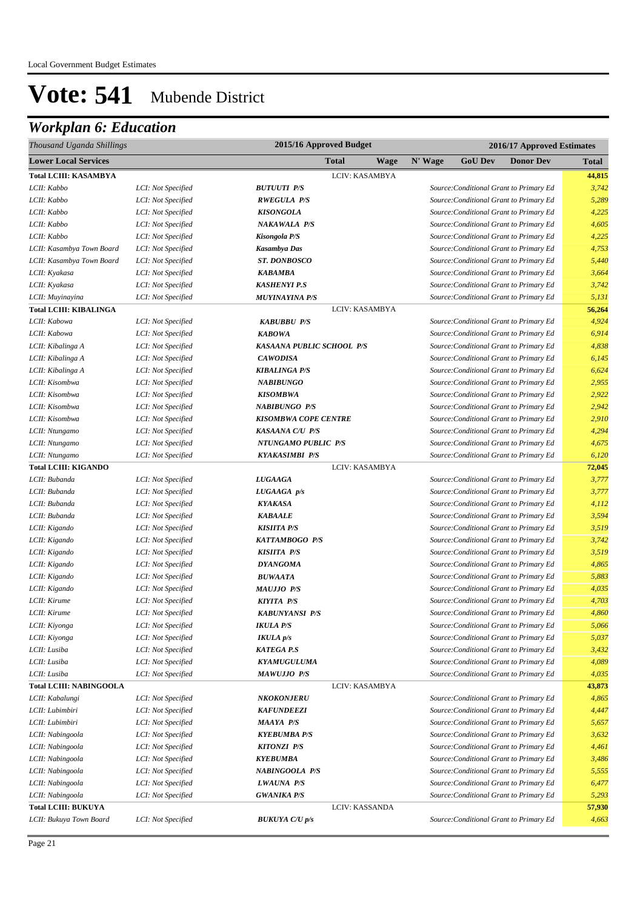| Thousand Uganda Shillings      |                    | 2015/16 Approved Budget   |      |         | 2016/17 Approved Estimates |                                         |        |
|--------------------------------|--------------------|---------------------------|------|---------|----------------------------|-----------------------------------------|--------|
| <b>Lower Local Services</b>    |                    | <b>Total</b>              | Wage | N' Wage | <b>GoU Dev</b>             | <b>Donor Dev</b>                        | Total  |
| <b>Total LCIII: KASAMBYA</b>   |                    | LCIV: KASAMBYA            |      |         |                            |                                         | 44,815 |
| LCII: Kabbo                    | LCI: Not Specified | <b>BUTUUTI P/S</b>        |      |         |                            | Source: Conditional Grant to Primary Ed | 3,742  |
| LCII: Kabbo                    | LCI: Not Specified | <b>RWEGULA P/S</b>        |      |         |                            | Source: Conditional Grant to Primary Ed | 5,289  |
| LCII: Kabbo                    | LCI: Not Specified | <b>KISONGOLA</b>          |      |         |                            | Source: Conditional Grant to Primary Ed | 4,225  |
| LCII: Kabbo                    | LCI: Not Specified | NAKAWALA P/S              |      |         |                            | Source: Conditional Grant to Primary Ed | 4,605  |
| LCII: Kabbo                    | LCI: Not Specified | Kisongola P/S             |      |         |                            | Source: Conditional Grant to Primary Ed | 4,225  |
| LCII: Kasambya Town Board      | LCI: Not Specified | Kasambya Das              |      |         |                            | Source: Conditional Grant to Primary Ed | 4,753  |
| LCII: Kasambya Town Board      | LCI: Not Specified | <b>ST. DONBOSCO</b>       |      |         |                            | Source: Conditional Grant to Primary Ed | 5,440  |
| LCII: Kyakasa                  | LCI: Not Specified | <b>KABAMBA</b>            |      |         |                            | Source: Conditional Grant to Primary Ed | 3,664  |
| LCII: Kyakasa                  | LCI: Not Specified | <b>KASHENYI P.S</b>       |      |         |                            | Source: Conditional Grant to Primary Ed | 3,742  |
| LCII: Muyinayina               | LCI: Not Specified | <b>MUYINAYINA P/S</b>     |      |         |                            | Source: Conditional Grant to Primary Ed | 5,131  |
| <b>Total LCIII: KIBALINGA</b>  |                    | LCIV: KASAMBYA            |      |         |                            |                                         | 56,264 |
| LCII: Kabowa                   | LCI: Not Specified | <b>KABUBBU P/S</b>        |      |         |                            | Source: Conditional Grant to Primary Ed | 4,924  |
| LCII: Kabowa                   | LCI: Not Specified | <b>KABOWA</b>             |      |         |                            | Source: Conditional Grant to Primary Ed | 6,914  |
| LCII: Kibalinga A              | LCI: Not Specified | KASAANA PUBLIC SCHOOL P/S |      |         |                            | Source: Conditional Grant to Primary Ed | 4,838  |
| LCII: Kibalinga A              | LCI: Not Specified | <b>CAWODISA</b>           |      |         |                            | Source: Conditional Grant to Primary Ed | 6,145  |
| LCII: Kibalinga A              | LCI: Not Specified | <b>KIBALINGA P/S</b>      |      |         |                            | Source: Conditional Grant to Primary Ed | 6,624  |
| LCII: Kisombwa                 | LCI: Not Specified | <b>NABIBUNGO</b>          |      |         |                            | Source: Conditional Grant to Primary Ed | 2,955  |
| LCII: Kisombwa                 | LCI: Not Specified | <b>KISOMBWA</b>           |      |         |                            | Source: Conditional Grant to Primary Ed | 2,922  |
| LCII: Kisombwa                 | LCI: Not Specified | <b>NABIBUNGO P/S</b>      |      |         |                            | Source: Conditional Grant to Primary Ed | 2,942  |
| LCII: Kisombwa                 | LCI: Not Specified | KISOMBWA COPE CENTRE      |      |         |                            | Source: Conditional Grant to Primary Ed | 2,910  |
| LCII: Ntungamo                 | LCI: Not Specified | KASAANA C/U P/S           |      |         |                            | Source: Conditional Grant to Primary Ed | 4,294  |
| LCII: Ntungamo                 | LCI: Not Specified | NTUNGAMO PUBLIC P/S       |      |         |                            | Source: Conditional Grant to Primary Ed | 4,675  |
| LCII: Ntungamo                 | LCI: Not Specified | <b>KYAKASIMBI P/S</b>     |      |         |                            | Source: Conditional Grant to Primary Ed | 6,120  |
| <b>Total LCIII: KIGANDO</b>    |                    | LCIV: KASAMBYA            |      |         |                            |                                         | 72,045 |
| LCII: Bubanda                  | LCI: Not Specified | <b>LUGAAGA</b>            |      |         |                            | Source: Conditional Grant to Primary Ed | 3,777  |
| LCII: Bubanda                  | LCI: Not Specified | LUGAAGA p/s               |      |         |                            | Source: Conditional Grant to Primary Ed | 3,777  |
| LCII: Bubanda                  | LCI: Not Specified | <b>KYAKASA</b>            |      |         |                            | Source: Conditional Grant to Primary Ed | 4,112  |
| LCII: Bubanda                  | LCI: Not Specified | <b>KABAALE</b>            |      |         |                            | Source: Conditional Grant to Primary Ed | 3,594  |
| LCII: Kigando                  | LCI: Not Specified | <b>KISHTA P/S</b>         |      |         |                            | Source: Conditional Grant to Primary Ed | 3,519  |
| LCII: Kigando                  | LCI: Not Specified | KATTAMBOGO P/S            |      |         |                            | Source: Conditional Grant to Primary Ed | 3,742  |
| LCII: Kigando                  | LCI: Not Specified | <b>KISHTA P/S</b>         |      |         |                            | Source: Conditional Grant to Primary Ed | 3,519  |
| LCII: Kigando                  | LCI: Not Specified | <b>DYANGOMA</b>           |      |         |                            | Source: Conditional Grant to Primary Ed | 4,865  |
| LCII: Kigando                  | LCI: Not Specified | <b>BUWAATA</b>            |      |         |                            | Source: Conditional Grant to Primary Ed | 5,883  |
| LCII: Kigando                  | LCI: Not Specified | <b>MAUJJO P/S</b>         |      |         |                            | Source: Conditional Grant to Primary Ed | 4,035  |
| LCII: Kirume                   | LCI: Not Specified | <b>KIYITA P/S</b>         |      |         |                            | Source: Conditional Grant to Primary Ed | 4,703  |
| LCII: Kirume                   | LCI: Not Specified | <b>KABUNYANSI P/S</b>     |      |         |                            | Source: Conditional Grant to Primary Ed | 4,860  |
| LCII: Kiyonga                  | LCI: Not Specified | <b>IKULA P/S</b>          |      |         |                            | Source: Conditional Grant to Primary Ed | 5,066  |
| LCII: Kiyonga                  | LCI: Not Specified | <b>IKULA</b> <i>p</i> /s  |      |         |                            | Source: Conditional Grant to Primary Ed | 5,037  |
| LCII: Lusiba                   | LCI: Not Specified | <b>KATEGA P.S</b>         |      |         |                            | Source: Conditional Grant to Primary Ed | 3,432  |
| LCII: Lusiba                   | LCI: Not Specified | <b>KYAMUGULUMA</b>        |      |         |                            | Source: Conditional Grant to Primary Ed | 4,089  |
| LCII: Lusiba                   | LCI: Not Specified | <b>MAWUJJO P/S</b>        |      |         |                            | Source: Conditional Grant to Primary Ed | 4,035  |
| <b>Total LCIII: NABINGOOLA</b> |                    | LCIV: KASAMBYA            |      |         |                            |                                         | 43,873 |
| LCII: Kabalungi                | LCI: Not Specified | NKOKONJERU                |      |         |                            | Source: Conditional Grant to Primary Ed | 4,865  |
| LCII: Lubimbiri                | LCI: Not Specified | <b>KAFUNDEEZI</b>         |      |         |                            | Source: Conditional Grant to Primary Ed | 4,447  |
| LCII: Lubimbiri                | LCI: Not Specified | <b>MAAYA P/S</b>          |      |         |                            | Source: Conditional Grant to Primary Ed | 5,657  |
| LCII: Nabingoola               | LCI: Not Specified | <b>KYEBUMBA P/S</b>       |      |         |                            | Source: Conditional Grant to Primary Ed | 3,632  |
| LCII: Nabingoola               | LCI: Not Specified | <b>KITONZI P/S</b>        |      |         |                            | Source: Conditional Grant to Primary Ed | 4,461  |
| LCII: Nabingoola               | LCI: Not Specified | <b>KYEBUMBA</b>           |      |         |                            | Source: Conditional Grant to Primary Ed | 3,486  |
| LCII: Nabingoola               | LCI: Not Specified | NABINGOOLA P/S            |      |         |                            | Source: Conditional Grant to Primary Ed | 5,555  |
| LCII: Nabingoola               | LCI: Not Specified | LWAUNA P/S                |      |         |                            | Source: Conditional Grant to Primary Ed | 6,477  |
| LCII: Nabingoola               | LCI: Not Specified | <b>GWANIKA P/S</b>        |      |         |                            | Source: Conditional Grant to Primary Ed | 5,293  |
| <b>Total LCIII: BUKUYA</b>     |                    | LCIV: KASSANDA            |      |         |                            |                                         | 57,930 |
| LCII: Bukuya Town Board        | LCI: Not Specified | <b>BUKUYA C/U p/s</b>     |      |         |                            | Source: Conditional Grant to Primary Ed | 4,663  |
|                                |                    |                           |      |         |                            |                                         |        |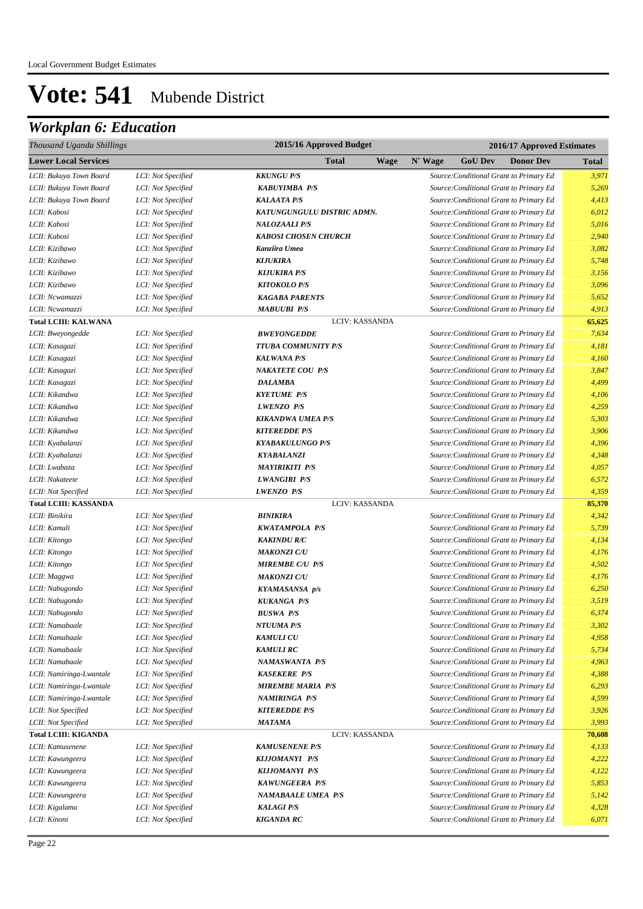| Thousand Uganda Shillings    | 2015/16 Approved Budget<br>2016/17 Approved Estimates |                             |                                               |              |  |
|------------------------------|-------------------------------------------------------|-----------------------------|-----------------------------------------------|--------------|--|
| <b>Lower Local Services</b>  |                                                       | Total<br><b>Wage</b>        | N' Wage<br><b>GoU Dev</b><br><b>Donor Dev</b> | <b>Total</b> |  |
| LCII: Bukuya Town Board      | LCI: Not Specified                                    | <b>KKUNGU P/S</b>           | Source: Conditional Grant to Primary Ed       | 3,971        |  |
| LCII: Bukuya Town Board      | LCI: Not Specified                                    | <b>KABUYIMBA P/S</b>        | Source: Conditional Grant to Primary Ed       | 5,269        |  |
| LCII: Bukuya Town Board      | LCI: Not Specified                                    | <b>KALAATA P/S</b>          | Source: Conditional Grant to Primary Ed       | 4,413        |  |
| LCII: Kabosi                 | LCI: Not Specified                                    | KATUNGUNGULU DISTRIC ADMN.  | Source: Conditional Grant to Primary Ed       | 6,012        |  |
| LCII: Kabosi                 | LCI: Not Specified                                    | <b>NALOZAALI P/S</b>        | Source: Conditional Grant to Primary Ed       | 5,016        |  |
| LCII: Kabosi                 | LCI: Not Specified                                    | <b>KABOSI CHOSEN CHURCH</b> | Source: Conditional Grant to Primary Ed       | 2,940        |  |
| LCII: Kizibawo               | LCI: Not Specified                                    | Kanziira Umea               | Source: Conditional Grant to Primary Ed       | 3,082        |  |
| LCII: Kizibawo               | LCI: Not Specified                                    | <b>KIJUKIRA</b>             | Source: Conditional Grant to Primary Ed       | 5,748        |  |
| LCII: Kizibawo               | LCI: Not Specified                                    | <b>KIJUKIRA P/S</b>         | Source: Conditional Grant to Primary Ed       | 3,156        |  |
| LCII: Kizibawo               | LCI: Not Specified                                    | <b>KITOKOLO P/S</b>         | Source: Conditional Grant to Primary Ed       | 3,096        |  |
| LCII: Ncwamazzi              | LCI: Not Specified                                    | <b>KAGABA PARENTS</b>       | Source: Conditional Grant to Primary Ed       | 5,652        |  |
| LCII: Ncwamazzi              | LCI: Not Specified                                    | <b>MABUUBI P/S</b>          | Source: Conditional Grant to Primary Ed       | 4,913        |  |
| <b>Total LCIII: KALWANA</b>  |                                                       | LCIV: KASSANDA              |                                               | 65,625       |  |
| LCII: Bweyongedde            | LCI: Not Specified                                    | <b>BWEYONGEDDE</b>          | Source: Conditional Grant to Primary Ed       | 7,634        |  |
| LCII: Kasagazi               | LCI: Not Specified                                    | <b>TTUBA COMMUNITY P/S</b>  | Source: Conditional Grant to Primary Ed       | 4,181        |  |
| LCII: Kasagazi               | LCI: Not Specified                                    | <b>KALWANA P/S</b>          | Source: Conditional Grant to Primary Ed       | 4,160        |  |
| LCII: Kasagazi               | LCI: Not Specified                                    | <b>NAKATETE COU P/S</b>     | Source: Conditional Grant to Primary Ed       | 3,847        |  |
| LCII: Kasagazi               | LCI: Not Specified                                    | <b>DALAMBA</b>              | Source: Conditional Grant to Primary Ed       | 4,499        |  |
| LCII: Kikandwa               | LCI: Not Specified                                    | <b>KYETUME P/S</b>          | Source: Conditional Grant to Primary Ed       | 4,106        |  |
| LCII: Kikandwa               | LCI: Not Specified                                    | <b>LWENZO P/S</b>           | Source: Conditional Grant to Primary Ed       | 4,259        |  |
| LCII: Kikandwa               | LCI: Not Specified                                    | <b>KIKANDWA UMEA P/S</b>    | Source: Conditional Grant to Primary Ed       | 5,303        |  |
| LCII: Kikandwa               | LCI: Not Specified                                    | <b>KITEREDDE P/S</b>        | Source: Conditional Grant to Primary Ed       | 3,906        |  |
| LCII: Kyabalanzi             | LCI: Not Specified                                    | <b>KYABAKULUNGO P/S</b>     | Source: Conditional Grant to Primary Ed       | 4,396        |  |
| LCII: Kyabalanzi             | LCI: Not Specified                                    | KYABALANZI                  | Source: Conditional Grant to Primary Ed       | 4,348        |  |
| LCII: Lwabaza                | LCI: Not Specified                                    | <b>MAYIRIKITI P/S</b>       | Source: Conditional Grant to Primary Ed       | 4,057        |  |
| LCII: Nakateete              | LCI: Not Specified                                    | <b>LWANGIRI P/S</b>         | Source: Conditional Grant to Primary Ed       | 6,572        |  |
| LCII: Not Specified          | LCI: Not Specified                                    | <b>LWENZO P/S</b>           | Source: Conditional Grant to Primary Ed       | 4,359        |  |
| <b>Total LCIII: KASSANDA</b> |                                                       | LCIV: KASSANDA              |                                               | 85,370       |  |
| LCII: Binikira               | LCI: Not Specified                                    | <b>BINIKIRA</b>             | Source: Conditional Grant to Primary Ed       | 4,342        |  |
| LCII: Kamuli                 | LCI: Not Specified                                    | <b>KWATAMPOLA P/S</b>       | Source: Conditional Grant to Primary Ed       | 5,739        |  |
| LCII: Kitongo                | LCI: Not Specified                                    | <b>KAKINDU R/C</b>          | Source: Conditional Grant to Primary Ed       | 4,134        |  |
| LCII: Kitongo                | LCI: Not Specified                                    | <b>MAKONZI C/U</b>          | Source: Conditional Grant to Primary Ed       | 4,176        |  |
| LCII: Kitongo                | LCI: Not Specified                                    | <b>MIREMBE C/U P/S</b>      | Source: Conditional Grant to Primary Ed       | 4,502        |  |
| LCII: Maggwa                 | LCI: Not Specified                                    | <b>MAKONZI C/U</b>          | Source: Conditional Grant to Primary Ed       | 4,176        |  |
| LCII: Nabugondo              | LCI: Not Specified                                    | KYAMASANSA p/s              | Source: Conditional Grant to Primary Ed       | 6,250        |  |
| LCII: Nabugondo              | LCI: Not Specified                                    | <b>KUKANGA P/S</b>          | Source: Conditional Grant to Primary Ed       | 3,519        |  |
| LCII: Nabugondo              | LCI: Not Specified                                    | <b>BUSWA P/S</b>            | Source: Conditional Grant to Primary Ed       | 6,374        |  |
| LCII: Namabaale              | LCI: Not Specified                                    | NTUUMA P/S                  | Source: Conditional Grant to Primary Ed       | 3,302        |  |
| LCII: Namabaale              | LCI: Not Specified                                    | <b>KAMULI CU</b>            | Source: Conditional Grant to Primary Ed       | 4,958        |  |
| LCII: Namabaale              | LCI: Not Specified                                    | <b>KAMULI RC</b>            | Source: Conditional Grant to Primary Ed       | 5,734        |  |
| LCII: Namabaale              | LCI: Not Specified                                    | NAMASWANTA P/S              | Source: Conditional Grant to Primary Ed       | 4,963        |  |
| LCII: Namiringa-Lwantale     | LCI: Not Specified                                    | <b>KASEKERE P/S</b>         | Source: Conditional Grant to Primary Ed       | 4,388        |  |
| LCII: Namiringa-Lwantale     | LCI: Not Specified                                    | <b>MIREMBE MARIA P/S</b>    | Source: Conditional Grant to Primary Ed       | 6,293        |  |
| LCII: Namiringa-Lwantale     | LCI: Not Specified                                    | NAMIRINGA P/S               | Source: Conditional Grant to Primary Ed       | 4,599        |  |
| LCII: Not Specified          | LCI: Not Specified                                    | <b>KITEREDDE P/S</b>        | Source: Conditional Grant to Primary Ed       | 3,926        |  |
| LCII: Not Specified          | LCI: Not Specified                                    | <b>MATAMA</b>               | Source: Conditional Grant to Primary Ed       | 3,993        |  |
| <b>Total LCIII: KIGANDA</b>  |                                                       | LCIV: KASSANDA              |                                               | 70,608       |  |
| LCII: Kamusenene             | LCI: Not Specified                                    | <b>KAMUSENENE P/S</b>       | Source: Conditional Grant to Primary Ed       | 4,133        |  |
| LCII: Kawungeera             | LCI: Not Specified                                    | KIJJOMANYI P/S              | Source: Conditional Grant to Primary Ed       | 4,222        |  |
| LCII: Kawungeera             | LCI: Not Specified                                    | <b>KIJJOMANYI P/S</b>       | Source: Conditional Grant to Primary Ed       | 4,122        |  |
| LCII: Kawungeera             | LCI: Not Specified                                    | <b>KAWUNGEERA P/S</b>       | Source: Conditional Grant to Primary Ed       | 5,853        |  |
| LCII: Kawungeera             | LCI: Not Specified                                    | NAMABAALE UMEA P/S          | Source: Conditional Grant to Primary Ed       | 5,142        |  |
| LCII: Kigalama               | LCI: Not Specified                                    | <b>KALAGI P/S</b>           | Source: Conditional Grant to Primary Ed       | 4,328        |  |
| LCII: Kinoni                 | LCI: Not Specified                                    | <b>KIGANDA RC</b>           | Source: Conditional Grant to Primary Ed       | 6,071        |  |
|                              |                                                       |                             |                                               |              |  |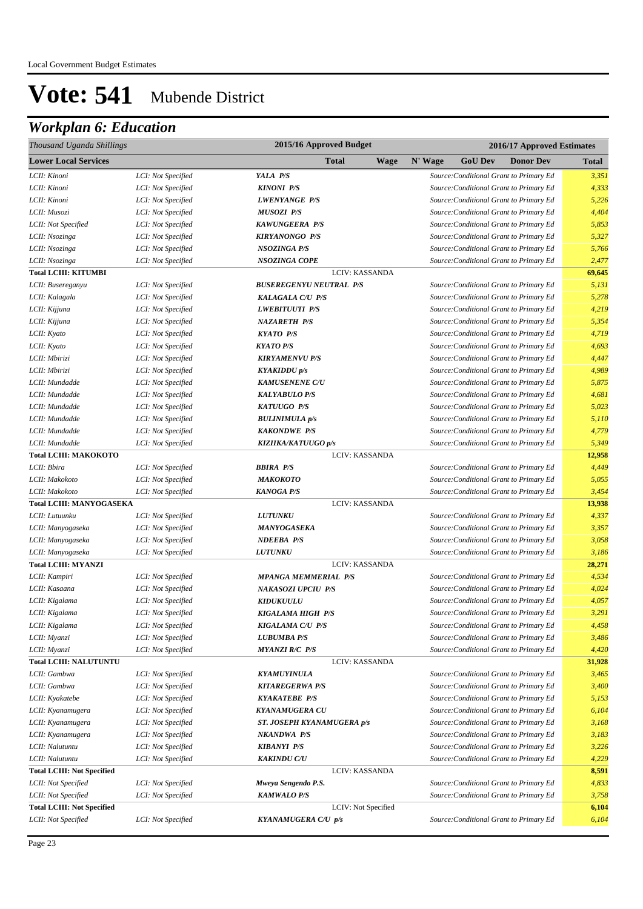| Thousand Uganda Shillings                     |                                          | 2015/16 Approved Budget                   | 2016/17 Approved Estimates                                                         |                 |
|-----------------------------------------------|------------------------------------------|-------------------------------------------|------------------------------------------------------------------------------------|-----------------|
| <b>Lower Local Services</b>                   |                                          | <b>Total</b><br><b>Wage</b>               | N' Wage<br><b>GoU Dev</b><br><b>Donor Dev</b>                                      | <b>Total</b>    |
| LCII: Kinoni                                  | LCI: Not Specified                       | YALA P/S                                  | Source: Conditional Grant to Primary Ed                                            | 3,351           |
| LCII: Kinoni                                  | LCI: Not Specified                       | <b>KINONI P/S</b>                         | Source: Conditional Grant to Primary Ed                                            | 4,333           |
| LCII: Kinoni                                  | LCI: Not Specified                       | <b>LWENYANGE P/S</b>                      | Source: Conditional Grant to Primary Ed                                            | 5,226           |
| LCII: Musozi                                  | LCI: Not Specified                       | <b>MUSOZI P/S</b>                         | Source: Conditional Grant to Primary Ed                                            | 4,404           |
| LCII: Not Specified                           | LCI: Not Specified                       | <b>KAWUNGEERA P/S</b>                     | Source: Conditional Grant to Primary Ed                                            | 5,853           |
| LCII: Nsozinga                                | LCI: Not Specified                       | <b>KIRYANONGO P/S</b>                     | Source: Conditional Grant to Primary Ed                                            | 5,327           |
| LCII: Nsozinga                                | LCI: Not Specified                       | <b>NSOZINGA P/S</b>                       | Source: Conditional Grant to Primary Ed                                            | 5,766           |
| LCII: Nsozinga                                | LCI: Not Specified                       | <b>NSOZINGA COPE</b>                      | Source: Conditional Grant to Primary Ed                                            | 2,477           |
| <b>Total LCIII: KITUMBI</b>                   |                                          | LCIV: KASSANDA                            |                                                                                    | 69,645          |
| LCII: Busereganyu                             | LCI: Not Specified                       | <b>BUSEREGENYU NEUTRAL P/S</b>            | Source: Conditional Grant to Primary Ed                                            | 5,131           |
| LCII: Kalagala                                | LCI: Not Specified                       | <b>KALAGALA C/U P/S</b>                   | Source: Conditional Grant to Primary Ed                                            | 5,278           |
| LCII: Kijjuna                                 | LCI: Not Specified                       | <b>LWEBITUUTI P/S</b>                     | Source: Conditional Grant to Primary Ed                                            | 4,219           |
| LCII: Kijjuna                                 | LCI: Not Specified                       | <b>NAZARETH P/S</b>                       | Source: Conditional Grant to Primary Ed                                            | 5,354           |
| LCII: Kyato                                   | LCI: Not Specified                       | <b>KYATO P/S</b>                          | Source: Conditional Grant to Primary Ed                                            | 4,719           |
| LCII: Kyato                                   | LCI: Not Specified                       | <b>KYATO P/S</b>                          | Source: Conditional Grant to Primary Ed                                            | 4,693           |
| LCII: Mbirizi                                 | LCI: Not Specified                       | <b>KIRYAMENVU P/S</b>                     | Source: Conditional Grant to Primary Ed                                            | 4,447           |
| LCII: Mbirizi                                 | LCI: Not Specified                       | <b>KYAKIDDU</b> p/s                       | Source: Conditional Grant to Primary Ed                                            | 4,989           |
| LCII: Mundadde                                | LCI: Not Specified                       | <b>KAMUSENENE C/U</b>                     | Source: Conditional Grant to Primary Ed                                            | 5,875           |
| LCII: Mundadde                                | LCI: Not Specified                       | <b>KALYABULO P/S</b>                      | Source: Conditional Grant to Primary Ed                                            | 4,681           |
| LCII: Mundadde                                | LCI: Not Specified                       | <b>KATUUGO P/S</b>                        | Source: Conditional Grant to Primary Ed                                            | 5,023           |
| LCII: Mundadde                                | LCI: Not Specified                       | <b>BULINIMULA</b> <i>p</i> /s             | Source: Conditional Grant to Primary Ed                                            | 5,110           |
| LCII: Mundadde                                | LCI: Not Specified                       | <b>KAKONDWE P/S</b>                       | Source: Conditional Grant to Primary Ed                                            | 4,779           |
| LCII: Mundadde                                | LCI: Not Specified                       | KIZIIKA/KATUUGO p/s                       | Source: Conditional Grant to Primary Ed                                            | 5,349           |
| <b>Total LCIII: MAKOKOTO</b>                  |                                          | LCIV: KASSANDA                            |                                                                                    | 12,958          |
| LCII: Bbira                                   | LCI: Not Specified                       | <b>BBIRA P/S</b>                          | Source: Conditional Grant to Primary Ed                                            | 4,449           |
| LCII: Makokoto                                | LCI: Not Specified                       | МАКОКОТО                                  | Source: Conditional Grant to Primary Ed                                            | 5,055           |
| LCII: Makokoto                                | LCI: Not Specified                       | <b>KANOGA P/S</b>                         | Source: Conditional Grant to Primary Ed                                            | 3,454           |
| <b>Total LCIII: MANYOGASEKA</b>               |                                          | LCIV: KASSANDA                            |                                                                                    | 13,938          |
| LCII: Lutuunku                                | LCI: Not Specified                       | <b>LUTUNKU</b>                            | Source: Conditional Grant to Primary Ed                                            | 4,337           |
| LCII: Manyogaseka                             | LCI: Not Specified                       | MANYOGASEKA                               | Source: Conditional Grant to Primary Ed                                            | 3,357           |
| LCII: Manyogaseka                             | LCI: Not Specified                       | <b>NDEEBA P/S</b>                         | Source: Conditional Grant to Primary Ed                                            | 3,058           |
| LCII: Manyogaseka                             | LCI: Not Specified                       | <b>LUTUNKU</b>                            | Source: Conditional Grant to Primary Ed                                            | 3,186           |
| <b>Total LCIII: MYANZI</b>                    |                                          | LCIV: KASSANDA                            |                                                                                    | 28,271          |
| LCII: Kampiri                                 | LCI: Not Specified                       | <b>MPANGA MEMMERIAL P/S</b>               | Source: Conditional Grant to Primary Ed                                            | 4,534           |
| LCII: Kasaana                                 | LCI: Not Specified                       | <b>NAKASOZI UPCIU P/S</b>                 | Source: Conditional Grant to Primary Ed                                            | 4,024           |
| LCII: Kigalama                                | LCI: Not Specified                       | <b>KIDUKUULU</b>                          | Source: Conditional Grant to Primary Ed                                            | 4,057           |
| LCII: Kigalama                                | LCI: Not Specified                       | KIGALAMA HIGH P/S                         | Source: Conditional Grant to Primary Ed                                            | 3,291           |
| LCII: Kigalama                                | LCI: Not Specified                       | KIGALAMA C/U P/S                          | Source: Conditional Grant to Primary Ed                                            | 4,458           |
| LCII: Myanzi                                  | LCI: Not Specified                       | <b>LUBUMBA P/S</b>                        | Source: Conditional Grant to Primary Ed                                            | 3,486           |
| LCII: Myanzi                                  | LCI: Not Specified                       | <b>MYANZI R/C P/S</b>                     | Source: Conditional Grant to Primary Ed                                            | 4,420           |
| <b>Total LCIII: NALUTUNTU</b><br>LCII: Gambwa |                                          | LCIV: KASSANDA                            |                                                                                    | 31,928<br>3,465 |
|                                               | LCI: Not Specified                       | <b>KYAMUYINULA</b>                        | Source: Conditional Grant to Primary Ed                                            | 3,400           |
| LCII: Gambwa<br>LCII: Kyakatebe               | LCI: Not Specified                       | <b>KITAREGERWA P/S</b>                    | Source: Conditional Grant to Primary Ed<br>Source: Conditional Grant to Primary Ed | 5,153           |
|                                               | LCI: Not Specified                       | <b>KYAKATEBE P/S</b>                      |                                                                                    | 6,104           |
| LCII: Kyanamugera                             | LCI: Not Specified<br>LCI: Not Specified | <b>KYANAMUGERA CU</b>                     | Source: Conditional Grant to Primary Ed<br>Source: Conditional Grant to Primary Ed | 3,168           |
| LCII: Kyanamugera                             |                                          | ST. JOSEPH KYANAMUGERA p/s<br>NKANDWA P/S |                                                                                    |                 |
| LCII: Kyanamugera<br>LCII: Nalutuntu          | LCI: Not Specified<br>LCI: Not Specified | <b>KIBANYI P/S</b>                        | Source: Conditional Grant to Primary Ed<br>Source: Conditional Grant to Primary Ed | 3,183<br>3,226  |
| LCII: Nalutuntu                               | LCI: Not Specified                       | <b>KAKINDU C/U</b>                        | Source: Conditional Grant to Primary Ed                                            | 4,229           |
| <b>Total LCIII: Not Specified</b>             |                                          | LCIV: KASSANDA                            |                                                                                    | 8,591           |
| LCII: Not Specified                           | LCI: Not Specified                       | Mweya Sengendo P.S.                       | Source: Conditional Grant to Primary Ed                                            | 4,833           |
| LCII: Not Specified                           | LCI: Not Specified                       | <b>KAMWALO P/S</b>                        | Source: Conditional Grant to Primary Ed                                            | 3,758           |
| <b>Total LCIII: Not Specified</b>             |                                          | LCIV: Not Specified                       |                                                                                    | 6,104           |
| LCII: Not Specified                           | LCI: Not Specified                       | KYANAMUGERA C/U p/s                       | Source: Conditional Grant to Primary Ed                                            | 6,104           |
|                                               |                                          |                                           |                                                                                    |                 |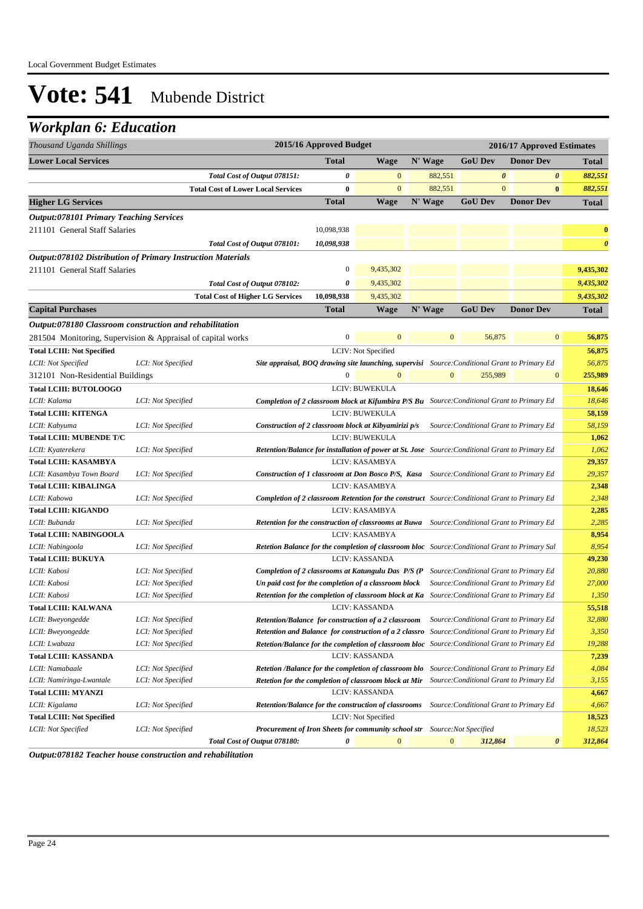## *Workplan 6: Education*

| Thousand Uganda Shillings                                          |                    |                                                                                               | 2015/16 Approved Budget |                                                                                                      |                |                                         | 2016/17 Approved Estimates |                       |
|--------------------------------------------------------------------|--------------------|-----------------------------------------------------------------------------------------------|-------------------------|------------------------------------------------------------------------------------------------------|----------------|-----------------------------------------|----------------------------|-----------------------|
| <b>Lower Local Services</b>                                        |                    |                                                                                               | <b>Total</b>            | <b>Wage</b>                                                                                          | N' Wage        | <b>GoU</b> Dev                          | <b>Donor Dev</b>           | <b>Total</b>          |
|                                                                    |                    | Total Cost of Output 078151:                                                                  | 0                       | $\mathbf{0}$                                                                                         | 882,551        | $\boldsymbol{\theta}$                   | 0                          | 882,551               |
|                                                                    |                    | <b>Total Cost of Lower Local Services</b>                                                     | 0                       | $\mathbf{0}$                                                                                         | 882,551        | $\mathbf{0}$                            | $\bf{0}$                   | 882,551               |
| <b>Higher LG Services</b>                                          |                    |                                                                                               | <b>Total</b>            | <b>Wage</b>                                                                                          | N' Wage        | <b>GoU Dev</b>                          | <b>Donor Dev</b>           | <b>Total</b>          |
| <b>Output:078101 Primary Teaching Services</b>                     |                    |                                                                                               |                         |                                                                                                      |                |                                         |                            |                       |
| 211101 General Staff Salaries                                      |                    |                                                                                               | 10,098,938              |                                                                                                      |                |                                         |                            | $\bf{0}$              |
|                                                                    |                    | Total Cost of Output 078101:                                                                  | 10,098,938              |                                                                                                      |                |                                         |                            | $\boldsymbol{\theta}$ |
| <b>Output:078102 Distribution of Primary Instruction Materials</b> |                    |                                                                                               |                         |                                                                                                      |                |                                         |                            |                       |
| 211101 General Staff Salaries                                      |                    |                                                                                               | $\boldsymbol{0}$        | 9,435,302                                                                                            |                |                                         |                            | 9,435,302             |
|                                                                    |                    | Total Cost of Output 078102:                                                                  | 0                       | 9,435,302                                                                                            |                |                                         |                            | 9,435,302             |
|                                                                    |                    | <b>Total Cost of Higher LG Services</b>                                                       | 10,098,938              | 9,435,302                                                                                            |                |                                         |                            | 9,435,302             |
|                                                                    |                    |                                                                                               |                         |                                                                                                      |                |                                         |                            |                       |
| <b>Capital Purchases</b>                                           |                    |                                                                                               | <b>Total</b>            | <b>Wage</b>                                                                                          | N' Wage        | <b>GoU Dev</b>                          | <b>Donor Dev</b>           | <b>Total</b>          |
| Output:078180 Classroom construction and rehabilitation            |                    |                                                                                               |                         |                                                                                                      |                |                                         |                            |                       |
| 281504 Monitoring, Supervision & Appraisal of capital works        |                    |                                                                                               | $\boldsymbol{0}$        | $\mathbf{0}$                                                                                         | $\mathbf{0}$   | 56,875                                  | $\boldsymbol{0}$           | 56,875                |
| <b>Total LCIII: Not Specified</b>                                  |                    |                                                                                               |                         | LCIV: Not Specified                                                                                  |                |                                         |                            | 56,875                |
| LCII: Not Specified                                                | LCI: Not Specified |                                                                                               |                         | <b>Site appraisal, BOQ drawing site launching, supervisi</b> Source: Conditional Grant to Primary Ed |                |                                         |                            | 56,875                |
| 312101 Non-Residential Buildings                                   |                    |                                                                                               | $\mathbf{0}$            |                                                                                                      | $\overline{0}$ | 255,989                                 | $\boldsymbol{0}$           | 255,989               |
| <b>Total LCIII: BUTOLOOGO</b>                                      |                    |                                                                                               |                         | LCIV: BUWEKULA                                                                                       |                |                                         |                            | 18,646                |
| LCII: Kalama                                                       | LCI: Not Specified |                                                                                               |                         | <b>Completion of 2 classroom block at Kifumbira P/S Bu</b> Source: Conditional Grant to Primary Ed   |                |                                         |                            | 18,646                |
| <b>Total LCIII: KITENGA</b>                                        |                    |                                                                                               |                         | LCIV: BUWEKULA                                                                                       |                |                                         |                            | 58,159                |
| LCII: Kabyuma                                                      | LCI: Not Specified |                                                                                               |                         | Construction of 2 classroom block at Kibyamirizi p/s                                                 |                | Source: Conditional Grant to Primary Ed |                            | 58,159                |
| Total LCIII: MUBENDE T/C                                           |                    |                                                                                               |                         | LCIV: BUWEKULA                                                                                       |                |                                         |                            | 1,062                 |
| LCII: Kyaterekera                                                  | LCI: Not Specified |                                                                                               |                         | Retention/Balance for installation of power at St. Jose Source: Conditional Grant to Primary Ed      |                |                                         |                            | 1,062                 |
| <b>Total LCIII: KASAMBYA</b>                                       |                    |                                                                                               |                         | LCIV: KASAMBYA                                                                                       |                |                                         |                            | 29,357                |
| LCII: Kasambya Town Board                                          | LCI: Not Specified |                                                                                               |                         | <b>Construction of 1 classroom at Don Bosco P/S, Kasa</b> Source: Conditional Grant to Primary Ed    |                |                                         |                            | 29,357                |
| <b>Total LCIII: KIBALINGA</b>                                      |                    |                                                                                               |                         | LCIV: KASAMBYA                                                                                       |                |                                         |                            | 2,348                 |
| LCII: Kabowa                                                       | LCI: Not Specified |                                                                                               |                         | <b>Completion of 2 classroom Retention for the construct</b> Source: Conditional Grant to Primary Ed |                |                                         |                            | 2,348                 |
| <b>Total LCIII: KIGANDO</b>                                        |                    |                                                                                               |                         | LCIV: KASAMBYA                                                                                       |                |                                         |                            | 2,285                 |
| LCII: Bubanda                                                      | LCI: Not Specified |                                                                                               |                         | Retention for the construction of classrooms at Buwa Source: Conditional Grant to Primary Ed         |                |                                         |                            | 2,285                 |
| Total LCIII: NABINGOOLA                                            |                    |                                                                                               |                         | LCIV: KASAMBYA                                                                                       |                |                                         |                            | 8,954                 |
| LCII: Nabingoola                                                   | LCI: Not Specified |                                                                                               |                         | Retetion Balance for the completion of classroom bloc Source: Conditional Grant to Primary Sal       |                |                                         |                            | 8,954                 |
| <b>Total LCIII: BUKUYA</b>                                         |                    |                                                                                               |                         | LCIV: KASSANDA                                                                                       |                |                                         |                            | 49,230                |
| LCII: Kabosi                                                       | LCI: Not Specified |                                                                                               |                         | Completion of 2 classrooms at Katungulu Das P/S (P Source: Conditional Grant to Primary Ed           |                |                                         |                            | 20,880                |
| LCII: Kabosi                                                       | LCI: Not Specified |                                                                                               |                         | Un paid cost for the completion of a classroom block                                                 |                | Source: Conditional Grant to Primary Ed |                            | 27,000                |
| LCII: Kabosi                                                       | LCI: Not Specified |                                                                                               |                         | <b>Retention for the completion of classroom block at Ka</b> Source: Conditional Grant to Primary Ed |                |                                         |                            | 1,350                 |
| <b>Total LCIII: KALWANA</b>                                        |                    |                                                                                               |                         | LCIV: KASSANDA                                                                                       |                |                                         |                            | 55,518                |
| LCII: Bweyongedde                                                  | LCI: Not Specified |                                                                                               |                         | Retention/Balance for construction of a 2 classroom Source: Conditional Grant to Primary Ed          |                |                                         |                            | 32,880                |
| LCII: Bweyongedde                                                  | LCI: Not Specified |                                                                                               |                         | Retention and Balance for construction of a 2 classro Source: Conditional Grant to Primary Ed        |                |                                         |                            | 3,350                 |
| LCII: Lwabaza                                                      | LCI: Not Specified |                                                                                               |                         | Retetion/Balance for the completion of classroom bloc Source: Conditional Grant to Primary Ed        |                |                                         |                            | 19,288                |
| <b>Total LCIII: KASSANDA</b>                                       |                    |                                                                                               |                         | LCIV: KASSANDA                                                                                       |                |                                         |                            | 7,239                 |
| LCII: Namabaale                                                    | LCI: Not Specified |                                                                                               |                         | <b>Retetion /Balance for the completion of classroom blo</b> Source: Conditional Grant to Primary Ed |                |                                         |                            | 4,084                 |
| LCII: Namiringa-Lwantale                                           | LCI: Not Specified | Retetion for the completion of classroom block at Mir Source: Conditional Grant to Primary Ed |                         |                                                                                                      |                |                                         |                            | 3,155                 |
| <b>Total LCIII: MYANZI</b>                                         |                    |                                                                                               |                         | LCIV: KASSANDA                                                                                       |                |                                         |                            | 4,667                 |
| LCII: Kigalama                                                     | LCI: Not Specified |                                                                                               |                         | Retention/Balance for the construction of classrooms                                                 |                | Source: Conditional Grant to Primary Ed |                            | 4,667                 |
| <b>Total LCIII: Not Specified</b>                                  |                    |                                                                                               |                         | LCIV: Not Specified                                                                                  |                |                                         |                            | 18,523                |
| LCII: Not Specified                                                | LCI: Not Specified |                                                                                               |                         | Procurement of Iron Sheets for community school str Source: Not Specified                            |                |                                         |                            | 18,523                |
|                                                                    |                    | Total Cost of Output 078180:                                                                  | 0                       | $\boldsymbol{0}$                                                                                     | $\mathbf{0}$   | 312,864                                 | 0                          | 312,864               |

*Output:078182 Teacher house construction and rehabilitation*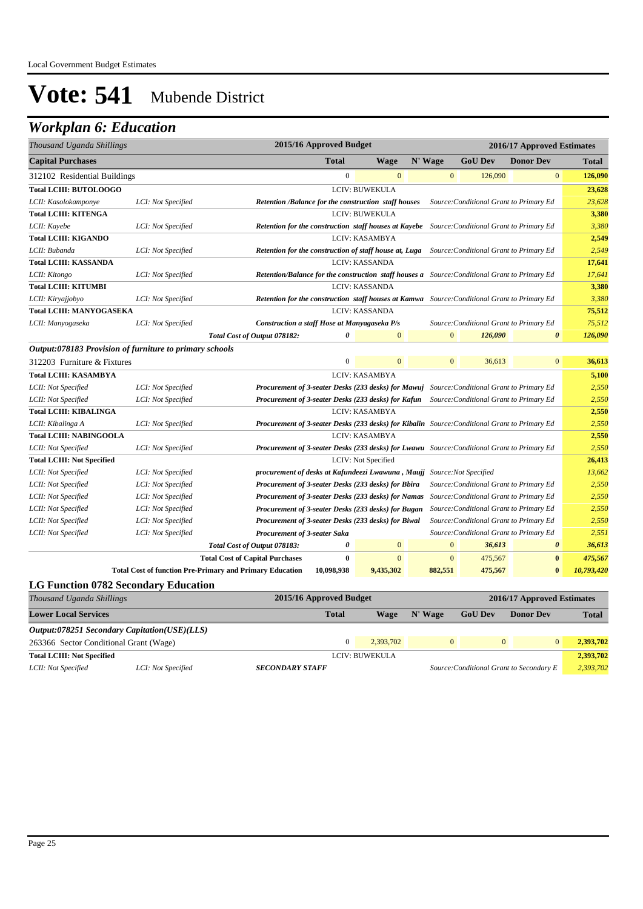| Thousand Uganda Shillings                               |                    | 2015/16 Approved Budget                                                                               |              |                       |              |                | 2016/17 Approved Estimates              |            |
|---------------------------------------------------------|--------------------|-------------------------------------------------------------------------------------------------------|--------------|-----------------------|--------------|----------------|-----------------------------------------|------------|
| <b>Capital Purchases</b>                                |                    | <b>Total</b>                                                                                          |              | Wage                  | N' Wage      | <b>GoU Dev</b> | <b>Donor Dev</b>                        | Total      |
| 312102 Residential Buildings                            |                    |                                                                                                       | $\mathbf{0}$ | $\mathbf{0}$          | $\mathbf{0}$ | 126,090        | $\mathbf{0}$                            | 126,090    |
| <b>Total LCIII: BUTOLOOGO</b>                           |                    |                                                                                                       |              | LCIV: BUWEKULA        |              |                |                                         | 23,628     |
| LCII: Kasolokamponye                                    | LCI: Not Specified | <b>Retention /Balance for the construction staff houses</b>                                           |              |                       |              |                | Source: Conditional Grant to Primary Ed | 23,628     |
| <b>Total LCIII: KITENGA</b>                             |                    |                                                                                                       |              | LCIV: BUWEKULA        |              |                |                                         | 3,380      |
| LCII: Kayebe                                            | LCI: Not Specified | <b>Retention for the construction staff houses at Kayebe</b> Source: Conditional Grant to Primary Ed  |              |                       |              |                |                                         | 3,380      |
| <b>Total LCIII: KIGANDO</b>                             |                    |                                                                                                       |              | LCIV: KASAMBYA        |              |                |                                         | 2,549      |
| LCII: Bubanda                                           | LCI: Not Specified | <b>Retention for the construction of staff house at, Luga</b> Source: Conditional Grant to Primary Ed |              |                       |              |                |                                         | 2,549      |
| <b>Total LCIII: KASSANDA</b>                            |                    |                                                                                                       |              | <b>LCIV: KASSANDA</b> |              |                |                                         | 17,641     |
| LCII: Kitongo                                           | LCI: Not Specified | Retention/Balance for the construction staff houses a Source: Conditional Grant to Primary Ed         |              |                       |              |                |                                         | 17,641     |
| <b>Total LCIII: KITUMBI</b>                             |                    |                                                                                                       |              | LCIV: KASSANDA        |              |                |                                         | 3,380      |
| LCII: Kiryajjobyo                                       | LCI: Not Specified | Retention for the construction staff houses at Kamwa Source: Conditional Grant to Primary Ed          |              |                       |              |                |                                         | 3,380      |
| <b>Total LCIII: MANYOGASEKA</b>                         |                    |                                                                                                       |              | LCIV: KASSANDA        |              |                |                                         | 75,512     |
| LCII: Manyogaseka                                       | LCI: Not Specified | Construction a staff Hose at Manyagaseka P/s                                                          |              |                       |              |                | Source: Conditional Grant to Primary Ed | 75,512     |
|                                                         |                    | Total Cost of Output 078182:                                                                          | 0            | $\mathbf{0}$          | $\mathbf{0}$ | 126,090        | $\boldsymbol{\theta}$                   | 126,090    |
| Output:078183 Provision of furniture to primary schools |                    |                                                                                                       |              |                       |              |                |                                         |            |
| 312203 Furniture & Fixtures                             |                    |                                                                                                       | $\mathbf{0}$ | $\mathbf{0}$          | $\mathbf{0}$ | 36,613         | $\mathbf{0}$                            | 36,613     |
| <b>Total LCIII: KASAMBYA</b>                            |                    |                                                                                                       |              | LCIV: KASAMBYA        |              |                |                                         | 5,100      |
| LCII: Not Specified                                     | LCI: Not Specified | Procurement of 3-seater Desks (233 desks) for Mawuj Source: Conditional Grant to Primary Ed           |              |                       |              |                |                                         | 2,550      |
| LCII: Not Specified                                     | LCI: Not Specified | Procurement of 3-seater Desks (233 desks) for Kafun Source: Conditional Grant to Primary Ed           |              |                       |              |                |                                         | 2,550      |
| <b>Total LCIII: KIBALINGA</b>                           |                    |                                                                                                       |              | <b>LCIV: KASAMBYA</b> |              |                |                                         | 2,550      |
| LCII: Kibalinga A                                       | LCI: Not Specified | Procurement of 3-seater Desks (233 desks) for Kibalin Source: Conditional Grant to Primary Ed         |              |                       |              |                |                                         | 2,550      |
| <b>Total LCIII: NABINGOOLA</b>                          |                    |                                                                                                       |              | LCIV: KASAMBYA        |              |                |                                         | 2,550      |
| LCII: Not Specified                                     | LCI: Not Specified | Procurement of 3-seater Desks (233 desks) for Lwawu Source: Conditional Grant to Primary Ed           |              |                       |              |                |                                         | 2,550      |
| <b>Total LCIII: Not Specified</b>                       |                    |                                                                                                       |              | LCIV: Not Specified   |              |                |                                         | 26,413     |
| LCII: Not Specified                                     | LCI: Not Specified | procurement of desks at Kafundeezi Lwawuna, Maujj Source: Not Specified                               |              |                       |              |                |                                         | 13,662     |
| LCII: Not Specified                                     | LCI: Not Specified | Procurement of 3-seater Desks (233 desks) for Bbira                                                   |              |                       |              |                | Source: Conditional Grant to Primary Ed | 2,550      |
| LCII: Not Specified                                     | LCI: Not Specified | Procurement of 3-seater Desks (233 desks) for Namas                                                   |              |                       |              |                | Source: Conditional Grant to Primary Ed | 2,550      |
| LCII: Not Specified                                     | LCI: Not Specified | Procurement of 3-seater Desks (233 desks) for Bugan                                                   |              |                       |              |                | Source: Conditional Grant to Primary Ed | 2,550      |
| LCII: Not Specified                                     | LCI: Not Specified | Procurement of 3-seater Desks (233 desks) for Biwal                                                   |              |                       |              |                | Source: Conditional Grant to Primary Ed | 2,550      |
| LCII: Not Specified                                     | LCI: Not Specified | Procurement of 3-seater Saka                                                                          |              |                       |              |                | Source: Conditional Grant to Primary Ed | 2,551      |
|                                                         |                    | Total Cost of Output 078183:                                                                          | 0            | $\mathbf{0}$          | $\mathbf{0}$ | 36,613         | $\boldsymbol{\theta}$                   | 36,613     |
|                                                         |                    | <b>Total Cost of Capital Purchases</b>                                                                | $\bf{0}$     | $\mathbf{0}$          | $\mathbf{0}$ | 475,567        | $\bf{0}$                                | 475,567    |
|                                                         |                    | <b>Total Cost of function Pre-Primary and Primary Education</b><br>10,098,938                         |              | 9,435,302             | 882,551      | 475,567        | $\bf{0}$                                | 10,793,420 |
| <b>LG Function 0782 Secondary Education</b>             |                    |                                                                                                       |              |                       |              |                |                                         |            |

| Thousand Uganda Shillings              |                                              | 2015/16 Approved Budget<br>2016/17 Approved Estimates |                |          |                |                                          |              |
|----------------------------------------|----------------------------------------------|-------------------------------------------------------|----------------|----------|----------------|------------------------------------------|--------------|
| <b>Lower Local Services</b>            |                                              | <b>Total</b>                                          | Wage           | N' Wage  | <b>GoU Dev</b> | <b>Donor Dev</b>                         | <b>Total</b> |
|                                        | Output:078251 Secondary Capitation(USE)(LLS) |                                                       |                |          |                |                                          |              |
| 263366 Sector Conditional Grant (Wage) |                                              |                                                       | 2.393.702      | $\Omega$ | $\Omega$       | $\overline{0}$                           | 2.393.702    |
| <b>Total LCIII: Not Specified</b>      |                                              |                                                       | LCIV: BUWEKULA |          |                |                                          | 2,393,702    |
| LCII: Not Specified                    | LCI: Not Specified                           | <b>SECONDARY STAFF</b>                                |                |          |                | Source: Conditional Grant to Secondary E | 2,393,702    |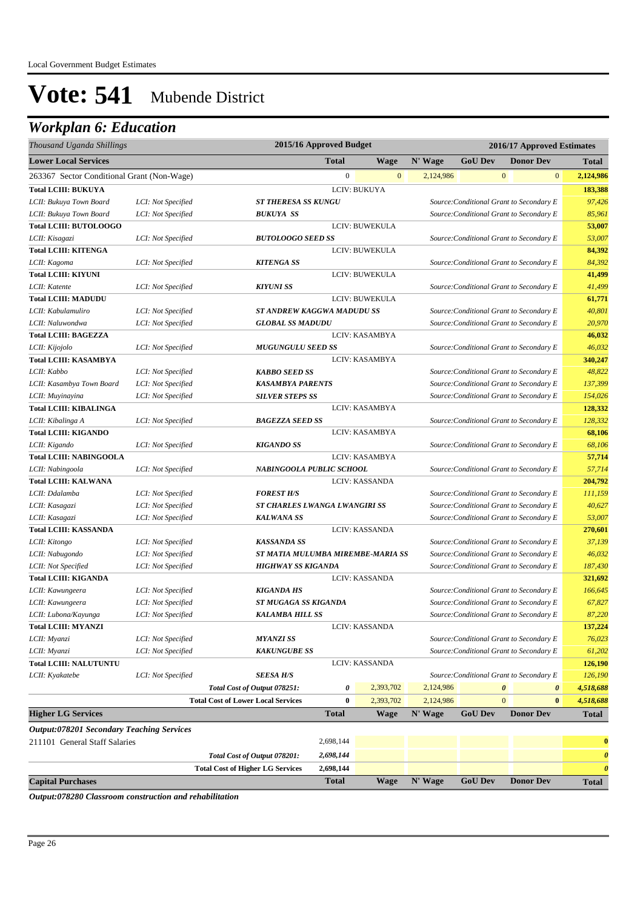## *Workplan 6: Education*

| Thousand Uganda Shillings                        |                    |                                           | 2015/16 Approved Budget           |                       | 2016/17 Approved Estimates |                                          |                                          |                  |                       |
|--------------------------------------------------|--------------------|-------------------------------------------|-----------------------------------|-----------------------|----------------------------|------------------------------------------|------------------------------------------|------------------|-----------------------|
| <b>Lower Local Services</b>                      |                    |                                           | <b>Total</b>                      | <b>Wage</b>           | N' Wage                    | <b>GoU Dev</b>                           |                                          | <b>Donor Dev</b> | <b>Total</b>          |
| 263367 Sector Conditional Grant (Non-Wage)       |                    |                                           | $\boldsymbol{0}$                  | $\mathbf{0}$          | 2,124,986                  |                                          | $\mathbf{0}$                             | $\boldsymbol{0}$ | 2,124,986             |
| <b>Total LCIII: BUKUYA</b>                       |                    |                                           |                                   | LCIV: BUKUYA          |                            |                                          |                                          |                  | 183,388               |
| LCII: Bukuya Town Board                          | LCI: Not Specified | <b>ST THERESA SS KUNGU</b>                |                                   |                       |                            | Source: Conditional Grant to Secondary E |                                          |                  | 97,426                |
| LCII: Bukuya Town Board                          | LCI: Not Specified | <b>BUKUYA SS</b>                          |                                   |                       |                            | Source: Conditional Grant to Secondary E |                                          |                  | 85,961                |
| <b>Total LCIII: BUTOLOOGO</b>                    |                    |                                           |                                   | LCIV: BUWEKULA        |                            |                                          |                                          |                  | 53,007                |
| LCII: Kisagazi                                   | LCI: Not Specified | <b>BUTOLOOGO SEED SS</b>                  |                                   |                       |                            | Source: Conditional Grant to Secondary E |                                          |                  | 53,007                |
| <b>Total LCIII: KITENGA</b>                      |                    |                                           |                                   | LCIV: BUWEKULA        |                            |                                          |                                          |                  | 84,392                |
| LCII: Kagoma                                     | LCI: Not Specified | <b>KITENGA SS</b>                         |                                   |                       |                            | Source: Conditional Grant to Secondary E |                                          |                  | 84,392                |
| <b>Total LCIII: KIYUNI</b>                       |                    |                                           |                                   | LCIV: BUWEKULA        |                            |                                          |                                          |                  | 41,499                |
| LCII: Katente                                    | LCI: Not Specified | <b>KIYUNI SS</b>                          |                                   |                       |                            | Source: Conditional Grant to Secondary E |                                          |                  | 41,499                |
| <b>Total LCIII: MADUDU</b>                       |                    |                                           |                                   | LCIV: BUWEKULA        |                            |                                          |                                          |                  | 61,771                |
| LCII: Kabulamuliro                               | LCI: Not Specified |                                           | ST ANDREW KAGGWA MADUDU SS        |                       |                            | Source: Conditional Grant to Secondary E |                                          |                  | 40,801                |
| LCII: Naluwondwa                                 | LCI: Not Specified | <b>GLOBAL SS MADUDU</b>                   |                                   |                       |                            | Source: Conditional Grant to Secondary E |                                          |                  | 20,970                |
| <b>Total LCIII: BAGEZZA</b>                      |                    |                                           |                                   | LCIV: KASAMBYA        |                            |                                          |                                          |                  | 46,032                |
| LCII: Kijojolo                                   | LCI: Not Specified | <b>MUGUNGULU SEED SS</b>                  |                                   |                       |                            | Source: Conditional Grant to Secondary E |                                          |                  | 46,032                |
| <b>Total LCIII: KASAMBYA</b>                     |                    |                                           |                                   | LCIV: KASAMBYA        |                            |                                          |                                          |                  | 340,247               |
| LCII: Kabbo                                      | LCI: Not Specified | <b>KABBO SEED SS</b>                      |                                   |                       |                            | Source: Conditional Grant to Secondary E |                                          |                  | 48,822                |
| LCII: Kasambya Town Board                        | LCI: Not Specified | <b>KASAMBYA PARENTS</b>                   |                                   |                       |                            | Source: Conditional Grant to Secondary E |                                          |                  | 137,399               |
| LCII: Muyinayina                                 | LCI: Not Specified | <b>SILVER STEPS SS</b>                    |                                   |                       |                            | Source: Conditional Grant to Secondary E |                                          |                  | 154,026               |
| <b>Total LCIII: KIBALINGA</b>                    |                    |                                           |                                   | LCIV: KASAMBYA        |                            |                                          |                                          |                  | 128,332               |
| LCII: Kibalinga A                                | LCI: Not Specified | <b>BAGEZZA SEED SS</b>                    |                                   |                       |                            | Source: Conditional Grant to Secondary E |                                          |                  | 128,332               |
| <b>Total LCIII: KIGANDO</b>                      |                    |                                           |                                   | LCIV: KASAMBYA        |                            |                                          |                                          |                  | 68,106                |
| LCII: Kigando                                    | LCI: Not Specified | <b>KIGANDO SS</b>                         |                                   |                       |                            | Source: Conditional Grant to Secondary E |                                          |                  | 68,106                |
| <b>Total LCIII: NABINGOOLA</b>                   |                    |                                           |                                   | LCIV: KASAMBYA        |                            |                                          |                                          |                  | 57,714                |
| LCII: Nabingoola                                 | LCI: Not Specified |                                           | NABINGOOLA PUBLIC SCHOOL          |                       |                            | Source: Conditional Grant to Secondary E |                                          |                  | 57,714                |
| <b>Total LCIII: KALWANA</b>                      |                    |                                           |                                   | LCIV: KASSANDA        |                            |                                          |                                          |                  | 204,792               |
| LCII: Ddalamba                                   | LCI: Not Specified | <b>FOREST H/S</b>                         |                                   |                       |                            | Source: Conditional Grant to Secondary E |                                          |                  | 111,159               |
| LCII: Kasagazi                                   | LCI: Not Specified |                                           | ST CHARLES LWANGA LWANGIRI SS     |                       |                            |                                          | Source: Conditional Grant to Secondary E |                  | 40,627                |
| LCII: Kasagazi                                   | LCI: Not Specified | <b>KALWANA SS</b>                         |                                   |                       |                            | Source: Conditional Grant to Secondary E |                                          |                  | 53,007                |
| <b>Total LCIII: KASSANDA</b>                     |                    |                                           |                                   | LCIV: KASSANDA        |                            |                                          |                                          |                  | 270,601               |
| LCII: Kitongo                                    | LCI: Not Specified | <b>KASSANDA SS</b>                        |                                   |                       |                            | Source: Conditional Grant to Secondary E |                                          |                  | 37,139                |
| LCII: Nabugondo                                  | LCI: Not Specified |                                           | ST MATIA MULUMBA MIREMBE-MARIA SS |                       |                            | Source: Conditional Grant to Secondary E |                                          |                  | 46,032                |
| LCII: Not Specified                              | LCI: Not Specified | <b>HIGHWAY SS KIGANDA</b>                 |                                   |                       |                            | Source: Conditional Grant to Secondary E |                                          |                  | 187,430               |
| <b>Total LCIII: KIGANDA</b>                      |                    |                                           |                                   | <b>LCIV: KASSANDA</b> |                            |                                          |                                          |                  | 321,692               |
| LCII: Kawungeera                                 | LCI: Not Specified | <b>KIGANDA HS</b>                         |                                   |                       |                            | Source: Conditional Grant to Secondary E |                                          |                  | 166,645               |
| LCII: Kawungeera                                 | LCI: Not Specified |                                           | ST MUGAGA SS KIGANDA              |                       |                            | Source: Conditional Grant to Secondary E |                                          |                  | 67,827                |
| LCII: Lubona/Kayunga                             | LCI: Not Specified | <b>KALAMBA HILL SS</b>                    |                                   |                       |                            | Source: Conditional Grant to Secondary E |                                          |                  | 87,220                |
| <b>Total LCIII: MYANZI</b>                       |                    |                                           |                                   | LCIV: KASSANDA        |                            |                                          |                                          |                  | 137,224               |
| LCII: Myanzi                                     | LCI: Not Specified | <b>MYANZI SS</b>                          |                                   |                       |                            | Source: Conditional Grant to Secondary E |                                          |                  | 76,023                |
| LCII: Myanzi                                     | LCI: Not Specified | <b>KAKUNGUBE SS</b>                       |                                   |                       |                            | Source: Conditional Grant to Secondary E |                                          |                  | 61,202                |
| <b>Total LCIII: NALUTUNTU</b>                    |                    |                                           |                                   | LCIV: KASSANDA        |                            |                                          |                                          |                  | 126,190               |
| LCII: Kyakatebe                                  | LCI: Not Specified | <b>SEESA H/S</b>                          |                                   |                       |                            | Source: Conditional Grant to Secondary E |                                          |                  | 126,190               |
|                                                  |                    | Total Cost of Output 078251:              | 0                                 | 2,393,702             | 2,124,986                  |                                          | $\pmb{\theta}$                           | 0                | 4,518,688             |
|                                                  |                    | <b>Total Cost of Lower Local Services</b> | $\bf{0}$                          | 2,393,702             | 2,124,986                  |                                          | $\overline{0}$                           | $\bf{0}$         | 4,518,688             |
| <b>Higher LG Services</b>                        |                    |                                           | <b>Total</b>                      | Wage                  | N' Wage                    | <b>GoU Dev</b>                           |                                          | <b>Donor Dev</b> | <b>Total</b>          |
| <b>Output:078201 Secondary Teaching Services</b> |                    |                                           |                                   |                       |                            |                                          |                                          |                  |                       |
| 211101 General Staff Salaries                    |                    |                                           | 2,698,144                         |                       |                            |                                          |                                          |                  | $\bf{0}$              |
|                                                  |                    | Total Cost of Output 078201:              | 2,698,144                         |                       |                            |                                          |                                          |                  | $\boldsymbol{\theta}$ |
|                                                  |                    | <b>Total Cost of Higher LG Services</b>   | 2,698,144                         |                       |                            |                                          |                                          |                  | $\boldsymbol{\theta}$ |
| <b>Capital Purchases</b>                         |                    |                                           | <b>Total</b>                      | <b>Wage</b>           | N' Wage                    | <b>GoU Dev</b>                           |                                          | <b>Donor Dev</b> | Total                 |

*Output:078280 Classroom construction and rehabilitation*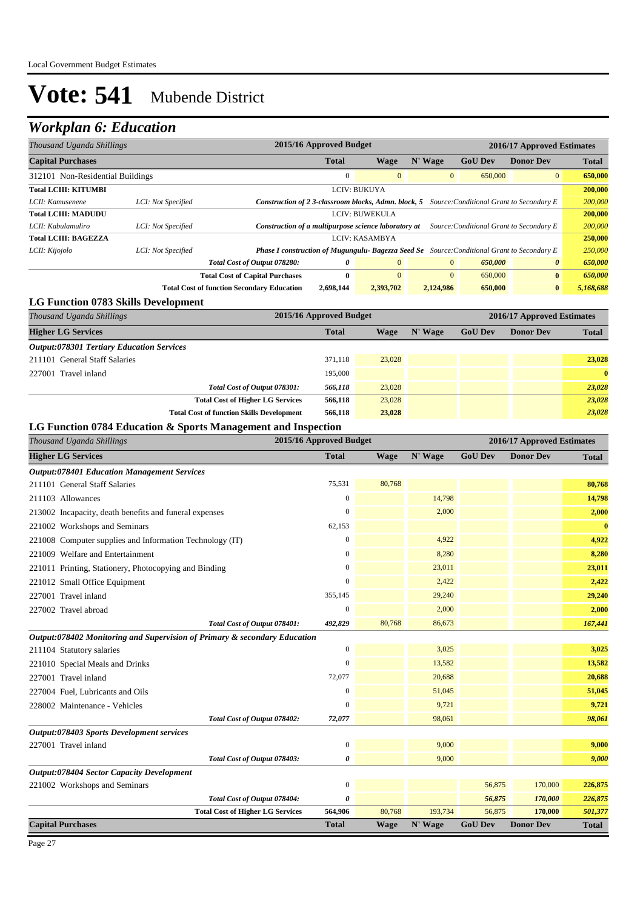## *Workplan 6: Education*

| Thousand Uganda Shillings           |                    |                                                                                                    | 2015/16 Approved Budget<br>2016/17 Approved Estimates                                            |                |              |                |                  |              |
|-------------------------------------|--------------------|----------------------------------------------------------------------------------------------------|--------------------------------------------------------------------------------------------------|----------------|--------------|----------------|------------------|--------------|
| <b>Capital Purchases</b>            |                    |                                                                                                    | <b>Total</b>                                                                                     | Wage           | N' Wage      | <b>GoU Dev</b> | <b>Donor Dev</b> | <b>Total</b> |
| 312101 Non-Residential Buildings    |                    |                                                                                                    | $\Omega$                                                                                         | $\Omega$       | $\mathbf{0}$ | 650,000        | $\overline{0}$   | 650,000      |
| <b>Total LCIII: KITUMBI</b>         |                    |                                                                                                    |                                                                                                  | LCIV: BUKUYA   |              |                |                  | 200,000      |
| LCII: Kamusenene                    | LCI: Not Specified |                                                                                                    | Construction of 2 3-classroom blocks, Admn. block, 5<br>Source: Conditional Grant to Secondary E |                |              |                |                  |              |
| <b>Total LCIII: MADUDU</b>          |                    |                                                                                                    | <b>LCIV: BUWEKULA</b>                                                                            |                |              |                |                  | 200,000      |
| LCII: Kabulamuliro                  | LCI: Not Specified |                                                                                                    | Construction of a multipurpose science laboratory at<br>Source: Conditional Grant to Secondary E |                |              |                |                  |              |
| <b>Total LCIII: BAGEZZA</b>         |                    |                                                                                                    |                                                                                                  | LCIV: KASAMBYA |              |                |                  | 250,000      |
| LCII: Kijojolo                      | LCI: Not Specified | <b>Phase I construction of Mugungulu- Bagezza Seed Se</b> Source: Conditional Grant to Secondary E |                                                                                                  |                |              |                |                  | 250,000      |
|                                     |                    | Total Cost of Output 078280:                                                                       | 0                                                                                                | $\overline{0}$ | $\mathbf{0}$ | 650,000        | $\theta$         | 650,000      |
|                                     |                    | <b>Total Cost of Capital Purchases</b>                                                             | $\mathbf{0}$                                                                                     | $\Omega$       | $\mathbf{0}$ | 650,000        | $\mathbf{0}$     | 650,000      |
|                                     |                    | <b>Total Cost of function Secondary Education</b>                                                  | 2,698,144                                                                                        | 2,393,702      | 2,124,986    | 650,000        | $\bf{0}$         | 5,168,688    |
| LG Function 0783 Skills Development |                    |                                                                                                    |                                                                                                  |                |              |                |                  |              |

### *Thousand Uganda Shillings* **2015/16 Approved Budget 2016/17 Approved Estimates Higher LG Services Total Wage N' Wage GoU Dev Donor Dev Total** *Output:078301 Tertiary Education Services* 211101 General Staff Salaries 371,118 23,028 **23,028** 227001 Travel inland 195,000 **0** *Total Cost of Output 078301:* 566,118 23,028 **23,028** 23,028 23,028 **Total Cost of Higher LG Services 566,118** 23,028 *23,028* **Total Cost of function Skills Development 566,118 23,028** *23,028*

#### **LG Function 0784 Education & Sports Management and Inspection**

| Thousand Uganda Shillings                                                 | 2015/16 Approved Budget |             |         | 2016/17 Approved Estimates |                  |              |
|---------------------------------------------------------------------------|-------------------------|-------------|---------|----------------------------|------------------|--------------|
| <b>Higher LG Services</b>                                                 | <b>Total</b>            | Wage        | N' Wage | <b>GoU Dev</b>             | <b>Donor Dev</b> | <b>Total</b> |
| <b>Output:078401 Education Management Services</b>                        |                         |             |         |                            |                  |              |
| 211101 General Staff Salaries                                             | 75,531                  | 80,768      |         |                            |                  | 80,768       |
| 211103 Allowances                                                         | $\mathbf{0}$            |             | 14,798  |                            |                  | 14,798       |
| 213002 Incapacity, death benefits and funeral expenses                    | $\mathbf{0}$            |             | 2,000   |                            |                  | 2,000        |
| 221002 Workshops and Seminars                                             | 62,153                  |             |         |                            |                  | $\bf{0}$     |
| 221008 Computer supplies and Information Technology (IT)                  | $\mathbf{0}$            |             | 4,922   |                            |                  | 4,922        |
| 221009 Welfare and Entertainment                                          | $\boldsymbol{0}$        |             | 8,280   |                            |                  | 8,280        |
| 221011 Printing, Stationery, Photocopying and Binding                     | $\mathbf{0}$            |             | 23,011  |                            |                  | 23,011       |
| 221012 Small Office Equipment                                             | $\mathbf{0}$            |             | 2,422   |                            |                  | 2,422        |
| 227001 Travel inland                                                      | 355,145                 |             | 29,240  |                            |                  | 29,240       |
| 227002 Travel abroad                                                      | $\boldsymbol{0}$        |             | 2,000   |                            |                  | 2,000        |
| Total Cost of Output 078401:                                              | 492,829                 | 80,768      | 86,673  |                            |                  | 167,441      |
| Output:078402 Monitoring and Supervision of Primary & secondary Education |                         |             |         |                            |                  |              |
| 211104 Statutory salaries                                                 | $\boldsymbol{0}$        |             | 3,025   |                            |                  | 3,025        |
| 221010 Special Meals and Drinks                                           | $\mathbf{0}$            |             | 13,582  |                            |                  | 13,582       |
| 227001 Travel inland                                                      | 72,077                  |             | 20,688  |                            |                  | 20,688       |
| 227004 Fuel, Lubricants and Oils                                          | $\boldsymbol{0}$        |             | 51,045  |                            |                  | 51,045       |
| 228002 Maintenance - Vehicles                                             | $\mathbf{0}$            |             | 9,721   |                            |                  | 9,721        |
| Total Cost of Output 078402:                                              | 72,077                  |             | 98,061  |                            |                  | 98,061       |
| Output:078403 Sports Development services                                 |                         |             |         |                            |                  |              |
| 227001 Travel inland                                                      | $\boldsymbol{0}$        |             | 9,000   |                            |                  | 9,000        |
| Total Cost of Output 078403:                                              | 0                       |             | 9,000   |                            |                  | 9,000        |
| Output:078404 Sector Capacity Development                                 |                         |             |         |                            |                  |              |
| 221002 Workshops and Seminars                                             | $\boldsymbol{0}$        |             |         | 56,875                     | 170,000          | 226,875      |
| Total Cost of Output 078404:                                              | 0                       |             |         | 56,875                     | 170,000          | 226,875      |
| <b>Total Cost of Higher LG Services</b>                                   | 564,906                 | 80,768      | 193,734 | 56,875                     | 170,000          | 501,377      |
| <b>Capital Purchases</b>                                                  | <b>Total</b>            | <b>Wage</b> | N' Wage | <b>GoU Dev</b>             | <b>Donor Dev</b> | <b>Total</b> |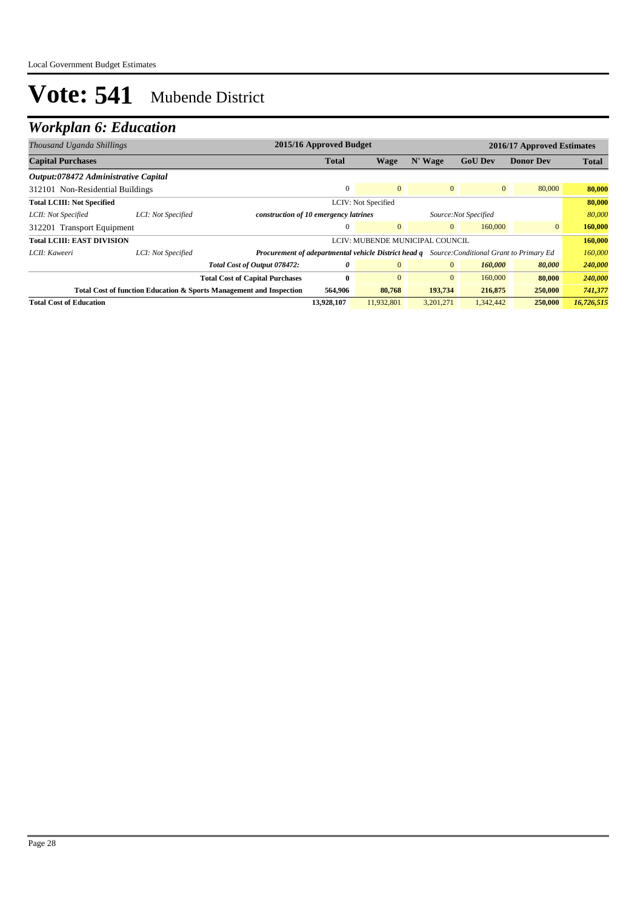| Thousand Uganda Shillings            |                                                                     |                                                                                                     | 2015/16 Approved Budget |                     |                                 |                | 2016/17 Approved Estimates |              |
|--------------------------------------|---------------------------------------------------------------------|-----------------------------------------------------------------------------------------------------|-------------------------|---------------------|---------------------------------|----------------|----------------------------|--------------|
| <b>Capital Purchases</b>             |                                                                     |                                                                                                     | <b>Total</b>            | Wage                | N' Wage                         | <b>GoU Dev</b> | <b>Donor Dev</b>           | <b>Total</b> |
| Output:078472 Administrative Capital |                                                                     |                                                                                                     |                         |                     |                                 |                |                            |              |
| 312101 Non-Residential Buildings     |                                                                     |                                                                                                     |                         | $\Omega$            | $\overline{0}$                  | $\mathbf{0}$   | 80,000                     | 80,000       |
| <b>Total LCIII: Not Specified</b>    |                                                                     |                                                                                                     |                         | LCIV: Not Specified |                                 |                |                            | 80,000       |
| LCII: Not Specified                  | LCI: Not Specified                                                  | construction of 10 emergency latrines<br>Source: Not Specified                                      |                         |                     |                                 | 80,000         |                            |              |
| 312201 Transport Equipment           |                                                                     |                                                                                                     |                         | $\mathbf{0}$        | $\overline{0}$                  | 160,000        | $\mathbf{0}$               | 160,000      |
| <b>Total LCIII: EAST DIVISION</b>    |                                                                     |                                                                                                     |                         |                     | LCIV: MUBENDE MUNICIPAL COUNCIL |                |                            | 160,000      |
| LCII: Kaweeri                        | LCI: Not Specified                                                  | <b>Procurement of adepartmental vehicle District head q</b> Source: Conditional Grant to Primary Ed |                         |                     |                                 |                |                            | 160,000      |
|                                      |                                                                     | Total Cost of Output 078472:                                                                        | 0                       | $\Omega$            | $\mathbf{0}$                    | 160,000        | 80,000                     | 240,000      |
|                                      |                                                                     | <b>Total Cost of Capital Purchases</b>                                                              | $\bf{0}$                | $\Omega$            | $\mathbf{0}$                    | 160,000        | 80,000                     | 240,000      |
|                                      | Total Cost of function Education & Sports Management and Inspection |                                                                                                     | 564,906                 | 80,768              | 193,734                         | 216,875        | 250,000                    | 741,377      |
| <b>Total Cost of Education</b>       |                                                                     |                                                                                                     | 13,928,107              | 11,932,801          | 3,201,271                       | 1,342,442      | 250,000                    | 16,726,515   |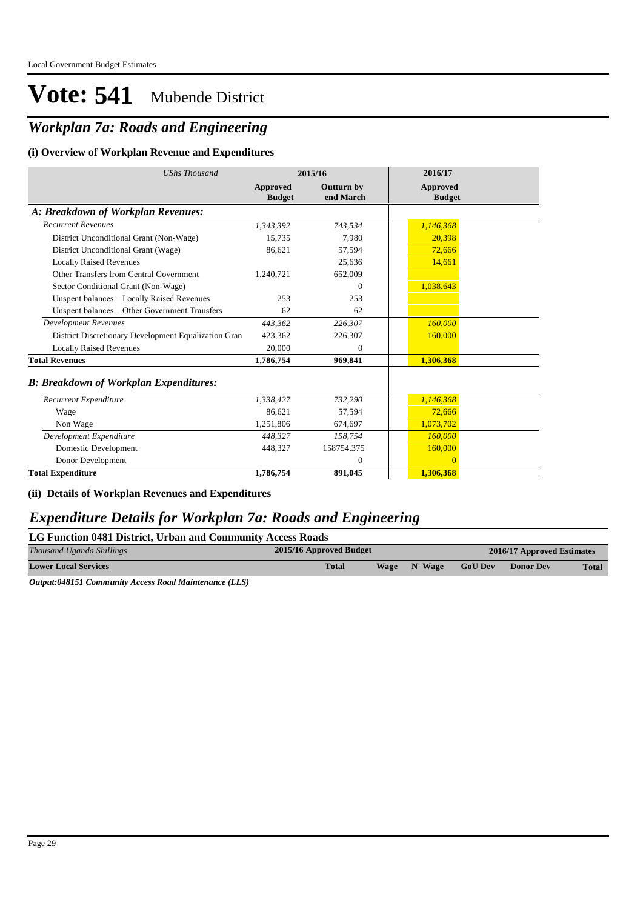## *Workplan 7a: Roads and Engineering*

#### **(i) Overview of Workplan Revenue and Expenditures**

| <b>UShs Thousand</b>                                 |                           | 2015/16                        | 2016/17                          |
|------------------------------------------------------|---------------------------|--------------------------------|----------------------------------|
|                                                      | Approved<br><b>Budget</b> | <b>Outturn by</b><br>end March | <b>Approved</b><br><b>Budget</b> |
| A: Breakdown of Workplan Revenues:                   |                           |                                |                                  |
| <b>Recurrent Revenues</b>                            | 1,343,392                 | 743,534                        | 1,146,368                        |
| District Unconditional Grant (Non-Wage)              | 15,735                    | 7.980                          | 20,398                           |
| District Unconditional Grant (Wage)                  | 86,621                    | 57,594                         | 72,666                           |
| <b>Locally Raised Revenues</b>                       |                           | 25,636                         | 14,661                           |
| Other Transfers from Central Government              | 1,240,721                 | 652,009                        |                                  |
| Sector Conditional Grant (Non-Wage)                  |                           | $\Omega$                       | 1,038,643                        |
| Unspent balances - Locally Raised Revenues           | 253                       | 253                            |                                  |
| Unspent balances - Other Government Transfers        | 62                        | 62                             |                                  |
| <b>Development Revenues</b>                          | 443,362                   | 226,307                        | 160,000                          |
| District Discretionary Development Equalization Gran | 423.362                   | 226,307                        | 160,000                          |
| <b>Locally Raised Revenues</b>                       | 20,000                    | $\Omega$                       |                                  |
| <b>Total Revenues</b>                                | 1,786,754                 | 969,841                        | 1,306,368                        |
| <b>B: Breakdown of Workplan Expenditures:</b>        |                           |                                |                                  |
| Recurrent Expenditure                                | 1,338,427                 | 732,290                        | 1,146,368                        |
| Wage                                                 | 86.621                    | 57,594                         | 72.666                           |
| Non Wage                                             | 1,251,806                 | 674,697                        | 1,073,702                        |
| Development Expenditure                              | 448,327                   | 158,754                        | 160,000                          |
| Domestic Development                                 | 448,327                   | 158754.375                     | 160,000                          |
| Donor Development                                    |                           | $\mathbf{0}$                   | $\Omega$                         |
| <b>Total Expenditure</b>                             | 1,786,754                 | 891,045                        | 1,306,368                        |

**(ii) Details of Workplan Revenues and Expenditures**

### *Expenditure Details for Workplan 7a: Roads and Engineering*

### **LG Function 0481 District, Urban and Community Access Roads**

| Thousand Uganda Shillings   | 2015/16 Approved Budget | 2016/17 Approved Estimates |         |                |                  |              |
|-----------------------------|-------------------------|----------------------------|---------|----------------|------------------|--------------|
| <b>Lower Local Services</b> | <b>Total</b>            | Wage                       | N' Wage | <b>GoU Dev</b> | <b>Donor Dev</b> | <b>Total</b> |

*Output:048151 Community Access Road Maintenance (LLS)*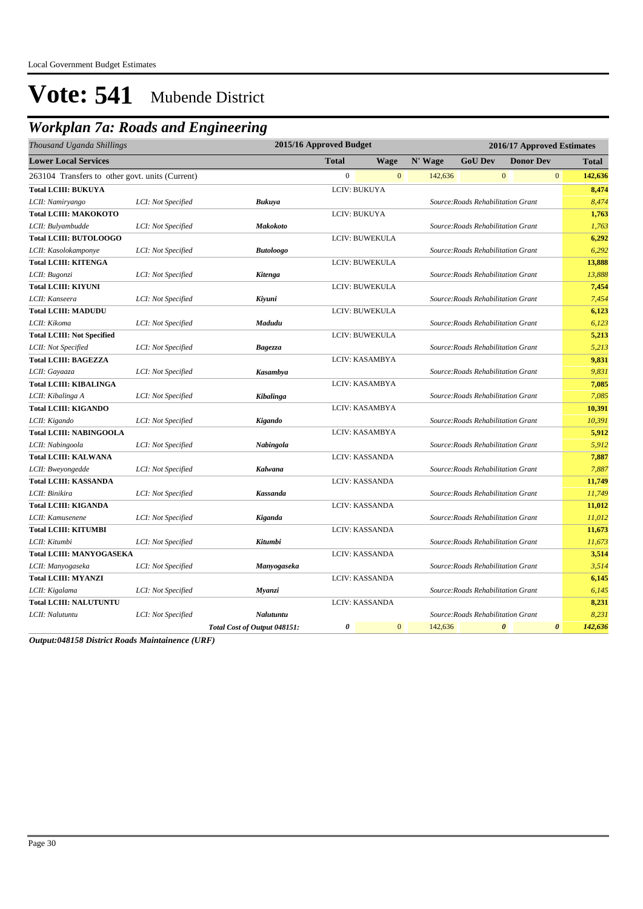## *Workplan 7a: Roads and Engineering*

| Thousand Uganda Shillings                       |                    | 2015/16 Approved Budget      |              |                       | 2016/17 Approved Estimates |                                    |                       |                                  |
|-------------------------------------------------|--------------------|------------------------------|--------------|-----------------------|----------------------------|------------------------------------|-----------------------|----------------------------------|
| <b>Lower Local Services</b>                     |                    |                              | <b>Total</b> | <b>Wage</b>           | N' Wage                    | <b>GoU Dev</b>                     | <b>Donor Dev</b>      | <b>Total</b>                     |
| 263104 Transfers to other govt. units (Current) |                    |                              | $\mathbf{0}$ | $\mathbf{0}$          | 142,636                    |                                    | $\boldsymbol{0}$      | $\boldsymbol{0}$<br>142,636      |
| <b>Total LCIII: BUKUYA</b>                      |                    |                              |              | LCIV: BUKUYA          |                            |                                    |                       | 8,474                            |
| LCII: Namiryango                                | LCI: Not Specified | Bukuya                       |              |                       |                            | Source: Roads Rehabilitation Grant |                       | 8,474                            |
| <b>Total LCIII: MAKOKOTO</b>                    |                    |                              |              | LCIV: BUKUYA          |                            |                                    |                       | 1,763                            |
| LCII: Bulyambudde                               | LCI: Not Specified | <b>Makokoto</b>              |              |                       |                            | Source: Roads Rehabilitation Grant |                       | 1,763                            |
| <b>Total LCIII: BUTOLOOGO</b>                   |                    |                              |              | LCIV: BUWEKULA        |                            |                                    |                       | 6,292                            |
| LCII: Kasolokamponye                            | LCI: Not Specified | <b>Butoloogo</b>             |              |                       |                            | Source: Roads Rehabilitation Grant |                       | 6,292                            |
| <b>Total LCIII: KITENGA</b>                     |                    |                              |              | LCIV: BUWEKULA        |                            |                                    |                       | 13,888                           |
| LCII: Bugonzi                                   | LCI: Not Specified | <b>Kitenga</b>               |              |                       |                            | Source: Roads Rehabilitation Grant |                       | 13,888                           |
| <b>Total LCIII: KIYUNI</b>                      |                    |                              |              | LCIV: BUWEKULA        |                            |                                    |                       | 7,454                            |
| LCII: Kanseera                                  | LCI: Not Specified | Kiyuni                       |              |                       |                            | Source: Roads Rehabilitation Grant |                       | 7,454                            |
| <b>Total LCIII: MADUDU</b>                      |                    |                              |              | LCIV: BUWEKULA        |                            |                                    |                       | 6,123                            |
| LCII: Kikoma                                    | LCI: Not Specified | Madudu                       |              |                       |                            | Source: Roads Rehabilitation Grant |                       | 6,123                            |
| <b>Total LCIII: Not Specified</b>               |                    |                              |              | LCIV: BUWEKULA        |                            |                                    |                       | 5,213                            |
| LCII: Not Specified                             | LCI: Not Specified | Bagezza                      |              |                       |                            | Source: Roads Rehabilitation Grant |                       | 5,213                            |
| <b>Total LCIII: BAGEZZA</b>                     |                    |                              |              | LCIV: KASAMBYA        |                            |                                    |                       | 9,831                            |
| LCII: Gayaaza                                   | LCI: Not Specified | Kasambya                     |              |                       |                            | Source: Roads Rehabilitation Grant |                       | 9,831                            |
| <b>Total LCIII: KIBALINGA</b>                   |                    |                              |              | LCIV: KASAMBYA        |                            |                                    |                       | 7,085                            |
| LCII: Kibalinga A                               | LCI: Not Specified | Kibalinga                    |              |                       |                            | Source: Roads Rehabilitation Grant |                       | 7.085                            |
| <b>Total LCIII: KIGANDO</b>                     |                    |                              |              | LCIV: KASAMBYA        |                            |                                    |                       | 10,391                           |
| LCII: Kigando                                   | LCI: Not Specified | Kigando                      |              |                       |                            | Source: Roads Rehabilitation Grant |                       | 10,391                           |
| <b>Total LCIII: NABINGOOLA</b>                  |                    |                              |              | LCIV: KASAMBYA        |                            |                                    |                       | 5,912                            |
| LCII: Nabingoola                                | LCI: Not Specified | Nabingola                    |              |                       |                            | Source: Roads Rehabilitation Grant |                       | 5,912                            |
| <b>Total LCIII: KALWANA</b>                     |                    |                              |              | LCIV: KASSANDA        |                            |                                    |                       | 7,887                            |
| LCII: Bweyongedde                               | LCI: Not Specified | Kalwana                      |              |                       |                            | Source: Roads Rehabilitation Grant |                       | 7,887                            |
| <b>Total LCIII: KASSANDA</b>                    |                    |                              |              | <b>LCIV: KASSANDA</b> |                            |                                    |                       | 11,749                           |
| LCII: Binikira                                  | LCI: Not Specified | <b>Kassanda</b>              |              |                       |                            | Source: Roads Rehabilitation Grant |                       | 11,749                           |
| <b>Total LCIII: KIGANDA</b>                     |                    |                              |              | LCIV: KASSANDA        |                            |                                    |                       | 11,012                           |
| LCII: Kamusenene                                | LCI: Not Specified | Kiganda                      |              |                       |                            | Source: Roads Rehabilitation Grant |                       | 11,012                           |
| <b>Total LCIII: KITUMBI</b>                     |                    |                              |              | LCIV: KASSANDA        |                            |                                    |                       | 11,673                           |
| LCII: Kitumbi                                   | LCI: Not Specified | Kitumbi                      |              |                       |                            | Source: Roads Rehabilitation Grant |                       | 11,673                           |
| <b>Total LCIII: MANYOGASEKA</b>                 |                    |                              |              | LCIV: KASSANDA        |                            |                                    |                       | 3,514                            |
| LCII: Manyogaseka                               | LCI: Not Specified | Manyogaseka                  |              |                       |                            | Source: Roads Rehabilitation Grant |                       | 3,514                            |
| <b>Total LCIII: MYANZI</b>                      |                    |                              |              | LCIV: KASSANDA        |                            |                                    |                       | 6,145                            |
| LCII: Kigalama                                  | LCI: Not Specified | Myanzi                       |              |                       |                            | Source: Roads Rehabilitation Grant |                       | 6,145                            |
| <b>Total LCIII: NALUTUNTU</b>                   |                    |                              |              | LCIV: KASSANDA        |                            |                                    |                       | 8,231                            |
| LCII: Nalutuntu                                 | LCI: Not Specified | Nalutuntu                    |              |                       |                            | Source: Roads Rehabilitation Grant |                       | 8,231                            |
|                                                 |                    | Total Cost of Output 048151: | 0            | $\mathbf{0}$          | 142,636                    |                                    | $\boldsymbol{\theta}$ | $\boldsymbol{\theta}$<br>142,636 |

*Output:048158 District Roads Maintainence (URF)*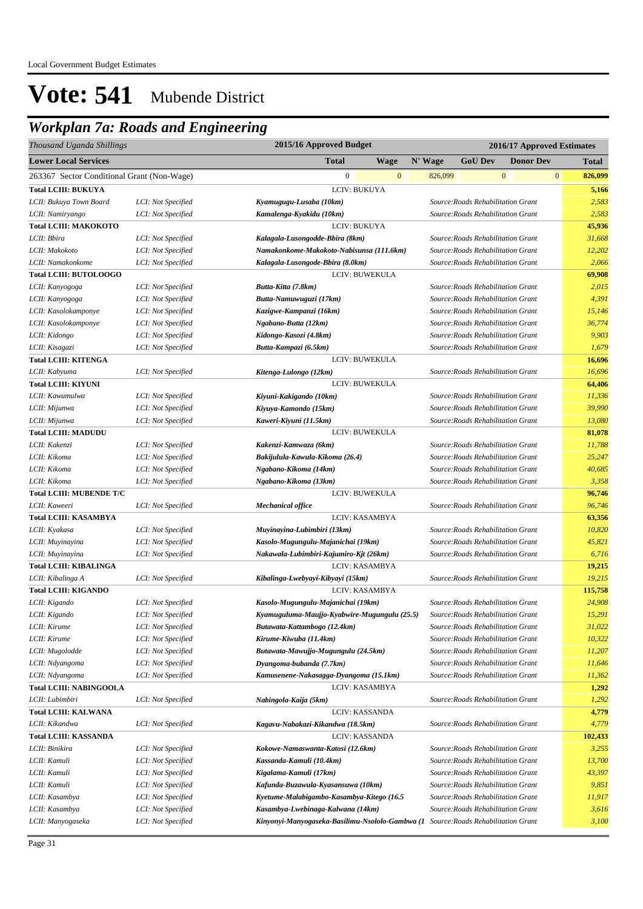## *Workplan 7a: Roads and Engineering*

| Thousand Uganda Shillings                         |                    | 2015/16 Approved Budget                                  | 2016/17 Approved Estimates |                                    |                                                                          |                         |  |  |  |
|---------------------------------------------------|--------------------|----------------------------------------------------------|----------------------------|------------------------------------|--------------------------------------------------------------------------|-------------------------|--|--|--|
| <b>Lower Local Services</b>                       |                    | <b>Total</b><br><b>Wage</b>                              | N' Wage                    | <b>GoU Dev</b>                     | <b>Donor Dev</b>                                                         | <b>Total</b>            |  |  |  |
| 263367 Sector Conditional Grant (Non-Wage)        |                    | $\boldsymbol{0}$<br>$\mathbf{0}$                         | 826,099                    |                                    | $\mathbf{0}$                                                             | $\mathbf{0}$<br>826,099 |  |  |  |
| <b>Total LCIII: BUKUYA</b>                        |                    | LCIV: BUKUYA                                             |                            |                                    |                                                                          | 5,166                   |  |  |  |
| LCII: Bukuya Town Board                           | LCI: Not Specified | Kyamugugu-Lusaba (10km)                                  |                            | Source: Roads Rehabilitation Grant |                                                                          | 2,583                   |  |  |  |
| LCII: Namiryango                                  | LCI: Not Specified | Kamalenga-Kyakidu (10km)                                 |                            | Source: Roads Rehabilitation Grant |                                                                          | 2,583                   |  |  |  |
| <b>Total LCIII: MAKOKOTO</b>                      |                    | LCIV: BUKUYA                                             |                            |                                    |                                                                          | 45,936                  |  |  |  |
| LCII: Bbira                                       | LCI: Not Specified | Kalagala-Lusongodde-Bbira (8km)                          |                            |                                    | Source: Roads Rehabilitation Grant                                       | 31,668                  |  |  |  |
| LCII: Makokoto                                    | LCI: Not Specified | Namakonkome-Makokoto-Nabisunsa (111.6km)                 |                            |                                    | Source: Roads Rehabilitation Grant                                       | 12,202                  |  |  |  |
| LCII: Namakonkome                                 | LCI: Not Specified | Kalagala-Lusongode-Bbira (8.0km)                         |                            | Source: Roads Rehabilitation Grant |                                                                          | 2,066                   |  |  |  |
| <b>Total LCIII: BUTOLOOGO</b>                     |                    | LCIV: BUWEKULA                                           |                            |                                    |                                                                          | 69,908                  |  |  |  |
| LCII: Kanyogoga                                   | LCI: Not Specified | Butta-Kitta (7.8km)                                      |                            |                                    | Source: Roads Rehabilitation Grant                                       | 2,015                   |  |  |  |
| LCII: Kanyogoga                                   | LCI: Not Specified | Butta-Namuwuguzi (17km)                                  |                            | Source: Roads Rehabilitation Grant |                                                                          | 4,391                   |  |  |  |
| LCII: Kasolokamponye                              | LCI: Not Specified | Kazigwe-Kampanzi (16km)                                  |                            | Source: Roads Rehabilitation Grant |                                                                          | 15,146                  |  |  |  |
| LCII: Kasolokamponye                              | LCI: Not Specified | Ngabano-Butta (12km)                                     |                            |                                    | Source: Roads Rehabilitation Grant                                       | 36,774                  |  |  |  |
| LCII: Kidongo                                     | LCI: Not Specified | Kidongo-Kasozi (4.8km)                                   |                            |                                    | Source: Roads Rehabilitation Grant                                       | 9,903                   |  |  |  |
| LCII: Kisagazi                                    | LCI: Not Specified | Butta-Kampazi (6.5km)                                    |                            | Source: Roads Rehabilitation Grant |                                                                          | 1,679                   |  |  |  |
| <b>Total LCIII: KITENGA</b>                       |                    | <b>LCIV: BUWEKULA</b>                                    |                            |                                    |                                                                          | 16,696                  |  |  |  |
| LCII: Kabyuma                                     | LCI: Not Specified | Kitenga-Lulongo (12km)                                   |                            | Source: Roads Rehabilitation Grant |                                                                          | 16,696                  |  |  |  |
| <b>Total LCIII: KIYUNI</b>                        |                    | LCIV: BUWEKULA                                           |                            |                                    |                                                                          | 64,406                  |  |  |  |
| LCII: Kawumulwa                                   | LCI: Not Specified | Kiyuni-Kakigando (10km)                                  |                            | Source: Roads Rehabilitation Grant |                                                                          | 11,336                  |  |  |  |
| LCII: Mijunwa                                     | LCI: Not Specified | Kiyuya-Kamondo (15km)                                    |                            | Source: Roads Rehabilitation Grant |                                                                          | 39,990                  |  |  |  |
| LCII: Mijunwa                                     | LCI: Not Specified | Kaweri-Kiyuni (11.5km)                                   |                            | Source: Roads Rehabilitation Grant |                                                                          | 13,080                  |  |  |  |
| <b>Total LCIII: MADUDU</b>                        |                    | <b>LCIV: BUWEKULA</b>                                    |                            |                                    |                                                                          | 81,078                  |  |  |  |
| LCII: Kakenzi                                     | LCI: Not Specified | Kakenzi-Kamwaza (6km)                                    |                            |                                    | Source: Roads Rehabilitation Grant                                       | 11,788                  |  |  |  |
| LCII: Kikoma                                      | LCI: Not Specified | Bakijulula-Kawula-Kikoma (26.4)                          |                            |                                    | Source: Roads Rehabilitation Grant                                       | 25,247                  |  |  |  |
| LCII: Kikoma                                      | LCI: Not Specified | Ngabano-Kikoma (14km)                                    |                            |                                    | Source: Roads Rehabilitation Grant                                       | 40,685                  |  |  |  |
| LCII: Kikoma                                      | LCI: Not Specified | Ngabano-Kikoma (13km)                                    |                            |                                    | Source: Roads Rehabilitation Grant                                       | 3,358                   |  |  |  |
| <b>Total LCIII: MUBENDE T/C</b>                   |                    | LCIV: BUWEKULA                                           |                            |                                    |                                                                          | 96,746                  |  |  |  |
| LCII: Kaweeri                                     | LCI: Not Specified | <b>Mechanical office</b>                                 |                            | Source: Roads Rehabilitation Grant |                                                                          | 96,746                  |  |  |  |
| <b>Total LCIII: KASAMBYA</b>                      |                    | LCIV: KASAMBYA                                           |                            |                                    |                                                                          | 63,356                  |  |  |  |
| LCII: Kyakasa                                     | LCI: Not Specified | Muyinayina-Lubimbiri (13km)                              |                            |                                    | Source: Roads Rehabilitation Grant                                       | 10,820                  |  |  |  |
| LCII: Muyinayina                                  | LCI: Not Specified | Kasolo-Mugungulu-Majanichai (19km)                       |                            |                                    | Source: Roads Rehabilitation Grant                                       | 45,821                  |  |  |  |
| LCII: Muyinayina                                  | LCI: Not Specified | Nakawala-Lubimbiri-Kajumiro-Kjt (26km)                   |                            | Source: Roads Rehabilitation Grant |                                                                          | 6,716                   |  |  |  |
| <b>Total LCIII: KIBALINGA</b>                     |                    | LCIV: KASAMBYA                                           |                            |                                    |                                                                          | 19,215                  |  |  |  |
| LCII: Kibalinga A                                 | LCI: Not Specified | Kibalinga-Lwebyayi-Kibyayi (15km)                        |                            | Source: Roads Rehabilitation Grant |                                                                          | 19,215                  |  |  |  |
| <b>Total LCIII: KIGANDO</b>                       |                    | LCIV: KASAMBYA                                           |                            |                                    |                                                                          | 115,758                 |  |  |  |
| LCII: Kigando                                     | LCI: Not Specified | Kasolo-Mugungulu-Majanichai (19km)                       |                            | Source: Roads Rehabilitation Grant |                                                                          | 24,908                  |  |  |  |
| LCII: Kigando                                     | LCI: Not Specified | Kyamuguluma-Maujjo-Kyabwire-Mugungulu (25.5)             |                            | Source: Roads Rehabilitation Grant |                                                                          | 15,291                  |  |  |  |
| LCII: Kirume                                      | LCI: Not Specified | Butawata-Kattambogo (12.4km)                             |                            |                                    | Source: Roads Rehabilitation Grant                                       | 31,022                  |  |  |  |
| LCII: Kirume                                      | LCI: Not Specified | Kirume-Kiwuba (11.4km)                                   |                            |                                    | Source: Roads Rehabilitation Grant                                       | 10,322                  |  |  |  |
| LCII: Mugolodde                                   | LCI: Not Specified | Butawata-Mawujjo-Mugungulu (24.5km)                      |                            |                                    | Source: Roads Rehabilitation Grant<br>Source: Roads Rehabilitation Grant | 11,207                  |  |  |  |
| LCII: Ndyangoma                                   | LCI: Not Specified | Dyangoma-bubanda (7.7km)                                 |                            |                                    | Source: Roads Rehabilitation Grant                                       | 11,646<br>11,362        |  |  |  |
| LCII: Ndyangoma                                   | LCI: Not Specified | Kamusenene-Nakasagga-Dyangoma (15.1km)<br>LCIV: KASAMBYA |                            |                                    |                                                                          |                         |  |  |  |
| <b>Total LCIII: NABINGOOLA</b><br>LCII: Lubimbiri | LCI: Not Specified |                                                          |                            |                                    |                                                                          | 1,292<br>1,292          |  |  |  |
|                                                   |                    | Nabingola-Kaija (5km)<br>LCIV: KASSANDA                  |                            |                                    | Source: Roads Rehabilitation Grant                                       |                         |  |  |  |
| <b>Total LCIII: KALWANA</b><br>LCII: Kikandwa     | LCI: Not Specified | Kagavu-Nabakazi-Kikandwa (18.5km)                        |                            |                                    | Source: Roads Rehabilitation Grant                                       | 4,779<br>4,779          |  |  |  |
| <b>Total LCIII: KASSANDA</b>                      |                    | LCIV: KASSANDA                                           |                            |                                    |                                                                          | 102,433                 |  |  |  |
| LCII: Binikira                                    | LCI: Not Specified | Kokowe-Namaswanta-Katosi (12.6km)                        |                            |                                    | Source: Roads Rehabilitation Grant                                       | 3,255                   |  |  |  |
| LCII: Kamuli                                      | LCI: Not Specified | Kassanda-Kamuli (10.4km)                                 |                            |                                    | Source: Roads Rehabilitation Grant                                       | 13,700                  |  |  |  |
| LCII: Kamuli                                      | LCI: Not Specified | Kigalama-Kamuli (17km)                                   |                            |                                    | Source: Roads Rehabilitation Grant                                       | 43,397                  |  |  |  |
| LCII: Kamuli                                      | LCI: Not Specified | Kafunda-Buzawula-Kyasansuwa (10km)                       |                            |                                    | Source: Roads Rehabilitation Grant                                       | 9,851                   |  |  |  |
| LCII: Kasambya                                    | LCI: Not Specified | Kyetume-Malabigambo-Kasambya-Kitego (16.5                |                            |                                    | Source: Roads Rehabilitation Grant                                       | 11,917                  |  |  |  |
| LCII: Kasambya                                    | LCI: Not Specified | Kasambya-Lwebinaga-Kalwana (14km)                        |                            |                                    | Source: Roads Rehabilitation Grant                                       | 3,616                   |  |  |  |
| LCII: Manyogaseka                                 | LCI: Not Specified | Kinyonyi-Manyogaseka-Basilimu-Nsololo-Gambwa (1          |                            |                                    | Source: Roads Rehabilitation Grant                                       | 3,100                   |  |  |  |
|                                                   |                    |                                                          |                            |                                    |                                                                          |                         |  |  |  |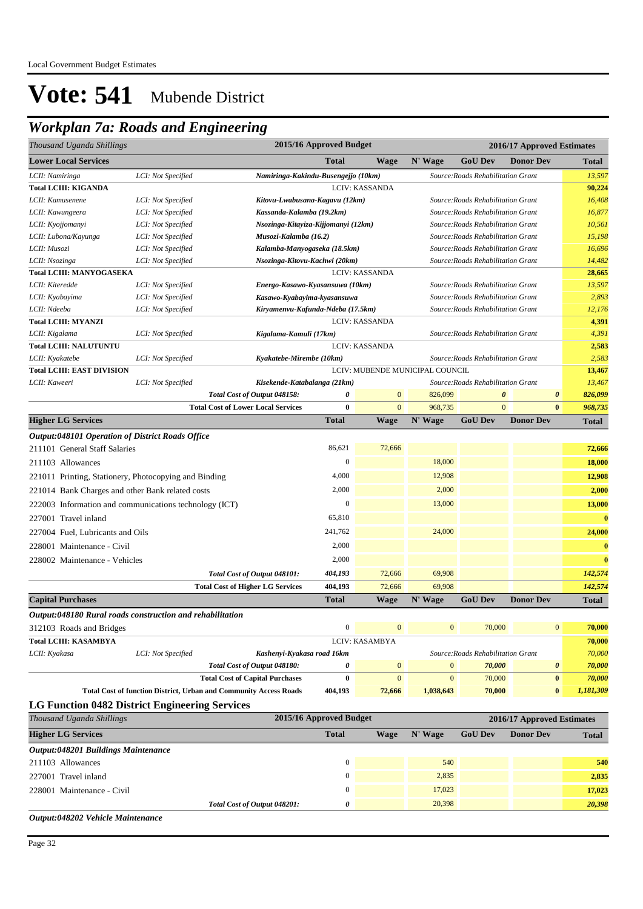## *Workplan 7a: Roads and Engineering*

| Thousand Uganda Shillings                                 |                    |                                                                   | 2015/16 Approved Budget |                       |                                 |                                    | 2016/17 Approved Estimates |                |
|-----------------------------------------------------------|--------------------|-------------------------------------------------------------------|-------------------------|-----------------------|---------------------------------|------------------------------------|----------------------------|----------------|
| <b>Lower Local Services</b>                               |                    |                                                                   | <b>Total</b>            | <b>Wage</b>           | N' Wage                         | <b>GoU</b> Dev                     | <b>Donor Dev</b>           | Total          |
| LCII: Namiringa                                           | LCI: Not Specified | Namiringa-Kakindu-Busengejjo (10km)                               |                         |                       |                                 | Source: Roads Rehabilitation Grant |                            | 13,597         |
| <b>Total LCIII: KIGANDA</b>                               |                    |                                                                   |                         | LCIV: KASSANDA        |                                 |                                    |                            | 90,224         |
| LCII: Kamusenene                                          | LCI: Not Specified | Kitovu-Lwabusana-Kagavu (12km)                                    |                         |                       |                                 | Source: Roads Rehabilitation Grant |                            | 16,408         |
| LCII: Kawungeera                                          | LCI: Not Specified | Kassanda-Kalamba (19.2km)                                         |                         |                       |                                 | Source: Roads Rehabilitation Grant |                            | 16,877         |
| LCII: Kyojjomanyi                                         | LCI: Not Specified | Nsozinga-Kitayiza-Kijjomanyi (12km)                               |                         |                       |                                 | Source: Roads Rehabilitation Grant |                            | 10,561         |
| LCII: Lubona/Kayunga                                      | LCI: Not Specified | Musozi-Kalamba (16.2)                                             |                         |                       |                                 | Source: Roads Rehabilitation Grant |                            | 15,198         |
| LCII: Musozi                                              | LCI: Not Specified | Kalamba-Manyogaseka (18.5km)                                      |                         |                       |                                 | Source: Roads Rehabilitation Grant |                            | 16,696         |
| LCII: Nsozinga                                            | LCI: Not Specified | Nsozinga-Kitovu-Kachwi (20km)                                     |                         |                       |                                 | Source: Roads Rehabilitation Grant |                            | 14,482         |
| Total LCIII: MANYOGASEKA                                  |                    |                                                                   |                         | LCIV: KASSANDA        |                                 |                                    |                            | 28,665         |
| LCII: Kiteredde                                           | LCI: Not Specified | Energo-Kasawo-Kyasansuwa (10km)                                   |                         |                       |                                 | Source: Roads Rehabilitation Grant |                            | 13,597         |
| LCII: Kyabayima                                           | LCI: Not Specified | Kasawo-Kyabayima-kyasansuwa                                       |                         |                       |                                 | Source: Roads Rehabilitation Grant |                            | 2,893          |
| LCII: Ndeeba<br><b>Total LCIII: MYANZI</b>                | LCI: Not Specified | Kiryamenvu-Kafunda-Ndeba (17.5km)                                 |                         | LCIV: KASSANDA        |                                 | Source: Roads Rehabilitation Grant |                            | 12,176         |
| LCII: Kigalama                                            | LCI: Not Specified | Kigalama-Kamuli (17km)                                            |                         |                       |                                 | Source: Roads Rehabilitation Grant |                            | 4,391<br>4,391 |
| <b>Total LCIII: NALUTUNTU</b>                             |                    |                                                                   |                         | <b>LCIV: KASSANDA</b> |                                 |                                    |                            | 2,583          |
| LCII: Kyakatebe                                           | LCI: Not Specified | Kyakatebe-Mirembe (10km)                                          |                         |                       |                                 | Source: Roads Rehabilitation Grant |                            | 2,583          |
| <b>Total LCIII: EAST DIVISION</b>                         |                    |                                                                   |                         |                       | LCIV: MUBENDE MUNICIPAL COUNCIL |                                    |                            | 13,467         |
| LCII: Kaweeri                                             | LCI: Not Specified | Kisekende-Katabalanga (21km)                                      |                         |                       |                                 | Source: Roads Rehabilitation Grant |                            | 13,467         |
|                                                           |                    | Total Cost of Output 048158:                                      | 0                       | $\mathbf{0}$          | 826,099                         | $\boldsymbol{\theta}$              | 0                          | 826,099        |
|                                                           |                    | <b>Total Cost of Lower Local Services</b>                         | 0                       | $\mathbf{0}$          | 968,735                         | $\mathbf{0}$                       | $\bf{0}$                   | 968,735        |
| <b>Higher LG Services</b>                                 |                    |                                                                   | <b>Total</b>            | <b>Wage</b>           | N' Wage                         | <b>GoU Dev</b>                     | <b>Donor Dev</b>           | <b>Total</b>   |
| Output:048101 Operation of District Roads Office          |                    |                                                                   |                         |                       |                                 |                                    |                            |                |
| 211101 General Staff Salaries                             |                    |                                                                   | 86,621                  | 72,666                |                                 |                                    |                            | 72,666         |
| 211103 Allowances                                         |                    |                                                                   | $\mathbf{0}$            |                       | 18,000                          |                                    |                            | 18,000         |
|                                                           |                    |                                                                   | 4,000                   |                       | 12,908                          |                                    |                            | 12,908         |
| 221011 Printing, Stationery, Photocopying and Binding     |                    |                                                                   |                         |                       |                                 |                                    |                            |                |
| 221014 Bank Charges and other Bank related costs          |                    |                                                                   | 2,000                   |                       | 2,000                           |                                    |                            | 2,000          |
| 222003 Information and communications technology (ICT)    |                    |                                                                   | $\boldsymbol{0}$        |                       | 13,000                          |                                    |                            | 13,000         |
| 227001 Travel inland                                      |                    |                                                                   | 65,810                  |                       |                                 |                                    |                            | $\bf{0}$       |
| 227004 Fuel, Lubricants and Oils                          |                    |                                                                   | 241,762                 |                       | 24,000                          |                                    |                            | 24,000         |
| 228001 Maintenance - Civil                                |                    |                                                                   | 2,000                   |                       |                                 |                                    |                            | $\bf{0}$       |
| 228002 Maintenance - Vehicles                             |                    |                                                                   | 2,000                   |                       |                                 |                                    |                            | $\bf{0}$       |
|                                                           |                    | Total Cost of Output 048101:                                      | 404,193                 | 72,666                | 69,908                          |                                    |                            | 142,574        |
|                                                           |                    | <b>Total Cost of Higher LG Services</b>                           | 404,193                 | 72,666                | 69,908                          |                                    |                            | 142,574        |
| <b>Capital Purchases</b>                                  |                    |                                                                   | <b>Total</b>            | <b>Wage</b>           | N' Wage                         | <b>GoU Dev</b>                     | <b>Donor Dev</b>           | <b>Total</b>   |
| Output:048180 Rural roads construction and rehabilitation |                    |                                                                   |                         |                       |                                 |                                    |                            |                |
| 312103 Roads and Bridges                                  |                    |                                                                   | $\boldsymbol{0}$        | $\boldsymbol{0}$      | $\boldsymbol{0}$                | 70,000                             | $\boldsymbol{0}$           | 70,000         |
| <b>Total LCIII: KASAMBYA</b>                              |                    |                                                                   |                         | LCIV: KASAMBYA        |                                 |                                    |                            | 70,000         |
| LCII: Kyakasa                                             | LCI: Not Specified | Kashenyi-Kyakasa road 16km                                        |                         |                       |                                 | Source: Roads Rehabilitation Grant |                            | 70,000         |
|                                                           |                    | Total Cost of Output 048180:                                      | 0                       | $\mathbf{0}$          | $\mathbf{0}$                    | 70,000                             | $\pmb{\theta}$             | 70,000         |
|                                                           |                    | <b>Total Cost of Capital Purchases</b>                            | $\bf{0}$                | $\mathbf{0}$          | $\mathbf{0}$                    | 70,000                             | $\pmb{0}$                  | 70,000         |
|                                                           |                    | Total Cost of function District, Urban and Community Access Roads | 404,193                 | 72,666                | 1,038,643                       | 70,000                             | $\bf{0}$                   | 1,181,309      |
| <b>LG Function 0482 District Engineering Services</b>     |                    |                                                                   |                         |                       |                                 |                                    |                            |                |
| Thousand Uganda Shillings                                 |                    |                                                                   | 2015/16 Approved Budget |                       |                                 |                                    | 2016/17 Approved Estimates |                |
| <b>Higher LG Services</b>                                 |                    |                                                                   | <b>Total</b>            | <b>Wage</b>           | N' Wage                         | <b>GoU Dev</b>                     | <b>Donor Dev</b>           | <b>Total</b>   |
| Output:048201 Buildings Maintenance                       |                    |                                                                   |                         |                       |                                 |                                    |                            |                |
| 211103 Allowances                                         |                    |                                                                   | $\mathbf{0}$            |                       | 540                             |                                    |                            | 540            |
| 227001 Travel inland                                      |                    |                                                                   | $\boldsymbol{0}$        |                       | 2,835                           |                                    |                            | 2,835          |
|                                                           |                    |                                                                   |                         |                       |                                 |                                    |                            |                |
| 228001 Maintenance - Civil                                |                    |                                                                   | $\boldsymbol{0}$        |                       | 17,023                          |                                    |                            | 17,023         |
|                                                           |                    | Total Cost of Output 048201:                                      | 0                       |                       | 20,398                          |                                    |                            | 20,398         |

*Output:048202 Vehicle Maintenance*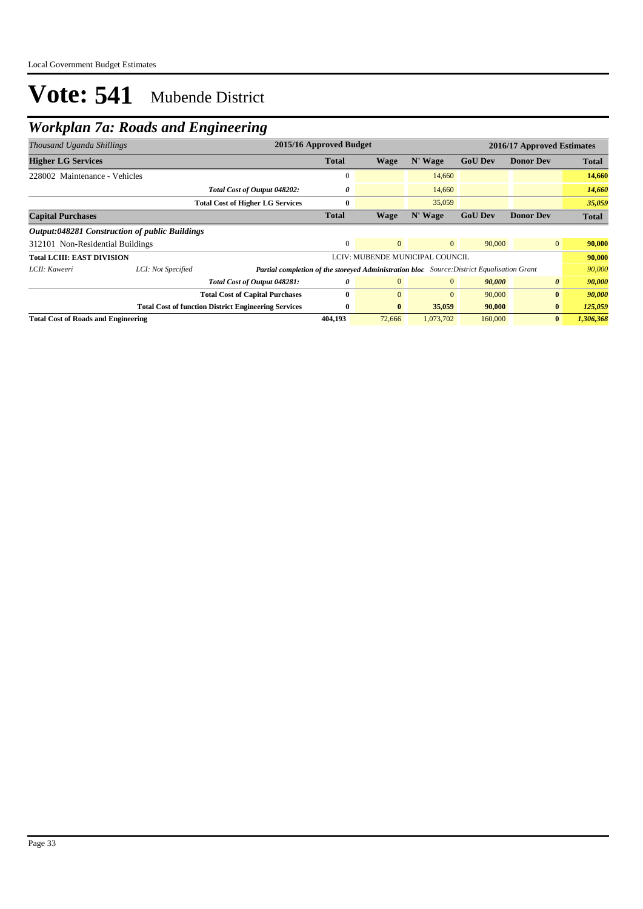## *Workplan 7a: Roads and Engineering*

| Thousand Uganda Shillings                  |                                                | 2015/16 Approved Budget<br>2016/17 Approved Estimates                                             |              |              |                                 |                |                       |              |
|--------------------------------------------|------------------------------------------------|---------------------------------------------------------------------------------------------------|--------------|--------------|---------------------------------|----------------|-----------------------|--------------|
| <b>Higher LG Services</b>                  |                                                |                                                                                                   | <b>Total</b> | Wage         | N' Wage                         | <b>GoU Dev</b> | <b>Donor Dev</b>      | <b>Total</b> |
| 228002 Maintenance - Vehicles              |                                                |                                                                                                   | 0            |              | 14,660                          |                |                       | 14,660       |
|                                            |                                                | Total Cost of Output 048202:                                                                      | 0            |              | 14,660                          |                |                       | 14,660       |
|                                            |                                                | <b>Total Cost of Higher LG Services</b>                                                           | $\bf{0}$     |              | 35,059                          |                |                       | 35,059       |
| <b>Capital Purchases</b>                   |                                                |                                                                                                   | <b>Total</b> | Wage         | N' Wage                         | <b>GoU Dev</b> | <b>Donor Dev</b>      | <b>Total</b> |
|                                            | Output:048281 Construction of public Buildings |                                                                                                   |              |              |                                 |                |                       |              |
| 312101 Non-Residential Buildings           |                                                |                                                                                                   | $\Omega$     | $\Omega$     | $\overline{0}$                  | 90,000         | $\overline{0}$        | 90,000       |
| <b>Total LCIII: EAST DIVISION</b>          |                                                |                                                                                                   |              |              | LCIV: MUBENDE MUNICIPAL COUNCIL |                |                       | 90,000       |
| LCII: Kaweeri                              | LCI: Not Specified                             | <b>Partial completion of the storeyed Administration bloc</b> Source: District Equalisation Grant |              |              |                                 |                |                       | 90,000       |
|                                            |                                                | Total Cost of Output 048281:                                                                      | 0            | $\mathbf{0}$ | $\overline{0}$                  | 90,000         | $\boldsymbol{\theta}$ | 90,000       |
|                                            |                                                | <b>Total Cost of Capital Purchases</b>                                                            | 0            | $\Omega$     | $\mathbf{0}$                    | 90,000         | $\bf{0}$              | 90,000       |
|                                            |                                                | <b>Total Cost of function District Engineering Services</b>                                       | $\bf{0}$     | $\bf{0}$     | 35,059                          | 90,000         | $\bf{0}$              | 125,059      |
| <b>Total Cost of Roads and Engineering</b> |                                                |                                                                                                   | 404,193      | 72,666       | 1,073,702                       | 160,000        | $\bf{0}$              | 1,306,368    |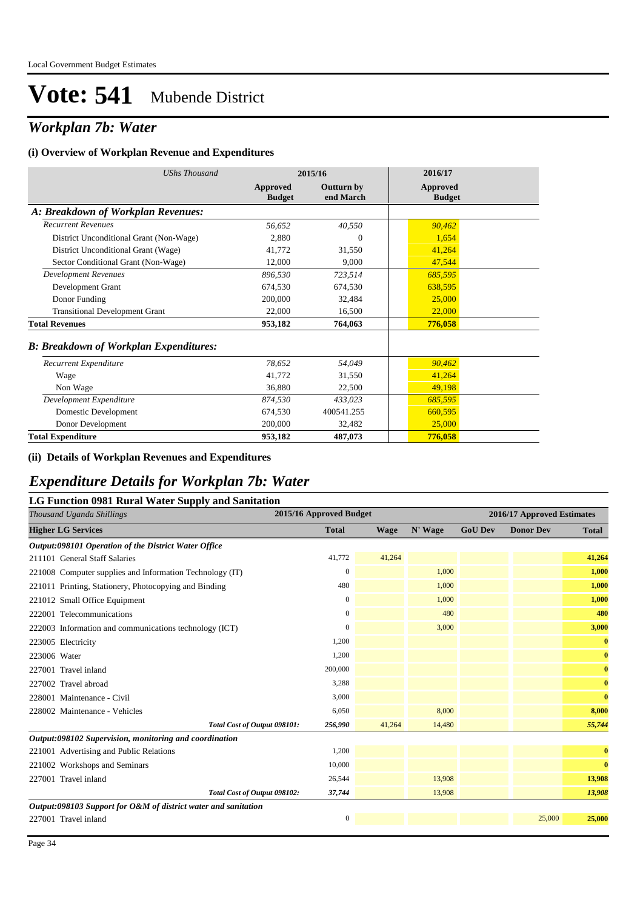## *Workplan 7b: Water*

#### **(i) Overview of Workplan Revenue and Expenditures**

| <b>UShs Thousand</b>                          |                           | 2015/16                        | 2016/17                          |  |
|-----------------------------------------------|---------------------------|--------------------------------|----------------------------------|--|
|                                               | Approved<br><b>Budget</b> | <b>Outturn by</b><br>end March | <b>Approved</b><br><b>Budget</b> |  |
| A: Breakdown of Workplan Revenues:            |                           |                                |                                  |  |
| <b>Recurrent Revenues</b>                     | 56,652                    | 40,550                         | 90,462                           |  |
| District Unconditional Grant (Non-Wage)       | 2,880                     | $\Omega$                       | 1,654                            |  |
| District Unconditional Grant (Wage)           | 41,772                    | 31,550                         | 41,264                           |  |
| Sector Conditional Grant (Non-Wage)           | 12,000                    | 9,000                          | 47,544                           |  |
| <b>Development Revenues</b>                   | 896,530                   | 723,514                        | 685,595                          |  |
| Development Grant                             | 674,530                   | 674,530                        | 638,595                          |  |
| Donor Funding                                 | 200,000                   | 32,484                         | 25,000                           |  |
| <b>Transitional Development Grant</b>         | 22,000                    | 16,500                         | 22,000                           |  |
| <b>Total Revenues</b>                         | 953,182                   | 764,063                        | 776,058                          |  |
| <b>B: Breakdown of Workplan Expenditures:</b> |                           |                                |                                  |  |
| Recurrent Expenditure                         | 78,652                    | 54,049                         | 90,462                           |  |
| Wage                                          | 41,772                    | 31,550                         | 41,264                           |  |
| Non Wage                                      | 36,880                    | 22,500                         | 49,198                           |  |
| Development Expenditure                       | 874,530                   | 433,023                        | 685,595                          |  |
| Domestic Development                          | 674.530                   | 400541.255                     | 660,595                          |  |
| Donor Development                             | 200,000                   | 32,482                         | 25,000                           |  |
| <b>Total Expenditure</b>                      | 953,182                   | 487,073                        | 776,058                          |  |

#### **(ii) Details of Workplan Revenues and Expenditures**

### *Expenditure Details for Workplan 7b: Water*

### **LG Function 0981 Rural Water Supply and Sanitation**

| Thousand Uganda Shillings                                      | 2015/16 Approved Budget |             |         |                | 2016/17 Approved Estimates |              |
|----------------------------------------------------------------|-------------------------|-------------|---------|----------------|----------------------------|--------------|
| <b>Higher LG Services</b>                                      | <b>Total</b>            | <b>Wage</b> | N' Wage | <b>GoU Dev</b> | <b>Donor Dev</b>           | <b>Total</b> |
| Output:098101 Operation of the District Water Office           |                         |             |         |                |                            |              |
| 211101 General Staff Salaries                                  | 41,772                  | 41,264      |         |                |                            | 41,264       |
| 221008 Computer supplies and Information Technology (IT)       | $\mathbf{0}$            |             | 1,000   |                |                            | 1,000        |
| 221011 Printing, Stationery, Photocopying and Binding          | 480                     |             | 1,000   |                |                            | 1,000        |
| 221012 Small Office Equipment                                  | $\mathbf{0}$            |             | 1,000   |                |                            | 1,000        |
| 222001 Telecommunications                                      | $\mathbf{0}$            |             | 480     |                |                            | 480          |
| 222003 Information and communications technology (ICT)         | 0                       |             | 3,000   |                |                            | 3,000        |
| 223005 Electricity                                             | 1,200                   |             |         |                |                            | $\bf{0}$     |
| 223006 Water                                                   | 1,200                   |             |         |                |                            | $\mathbf{0}$ |
| 227001 Travel inland                                           | 200,000                 |             |         |                |                            | $\mathbf{0}$ |
| 227002 Travel abroad                                           | 3,288                   |             |         |                |                            | $\mathbf{0}$ |
| 228001 Maintenance - Civil                                     | 3,000                   |             |         |                |                            | $\mathbf{0}$ |
| 228002 Maintenance - Vehicles                                  | 6,050                   |             | 8,000   |                |                            | 8,000        |
| Total Cost of Output 098101:                                   | 256,990                 | 41,264      | 14,480  |                |                            | 55,744       |
| Output:098102 Supervision, monitoring and coordination         |                         |             |         |                |                            |              |
| 221001 Advertising and Public Relations                        | 1,200                   |             |         |                |                            | $\bf{0}$     |
| 221002 Workshops and Seminars                                  | 10,000                  |             |         |                |                            | $\bf{0}$     |
| 227001 Travel inland                                           | 26,544                  |             | 13,908  |                |                            | 13,908       |
| Total Cost of Output 098102:                                   | 37,744                  |             | 13,908  |                |                            | 13,908       |
| Output:098103 Support for O&M of district water and sanitation |                         |             |         |                |                            |              |
| 227001 Travel inland                                           | $\mathbf{0}$            |             |         |                | 25,000                     | 25,000       |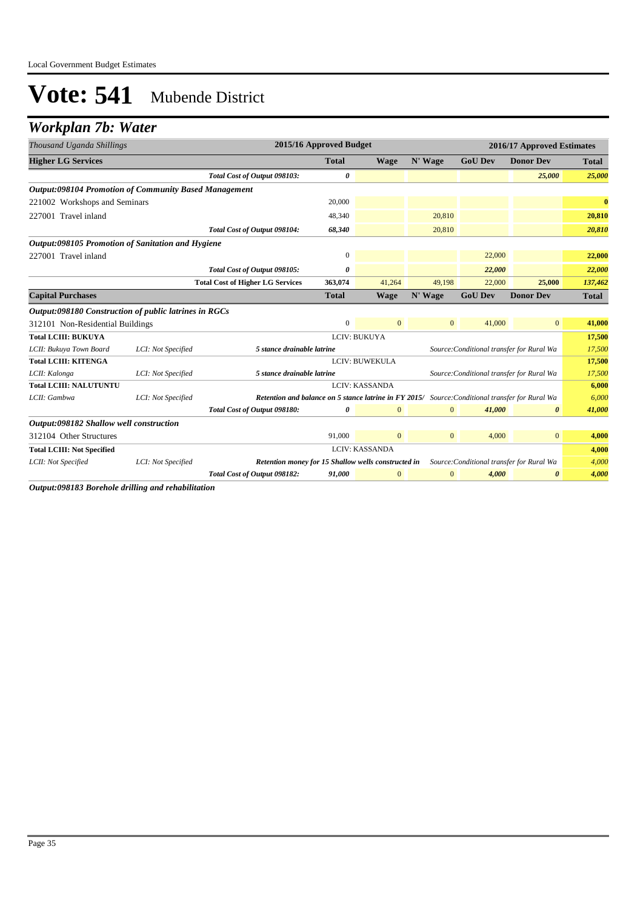## *Workplan 7b: Water*

| Thousand Uganda Shillings                                    |                    |                                                                                                        | 2015/16 Approved Budget |                |              |                                           | 2016/17 Approved Estimates |              |
|--------------------------------------------------------------|--------------------|--------------------------------------------------------------------------------------------------------|-------------------------|----------------|--------------|-------------------------------------------|----------------------------|--------------|
| <b>Higher LG Services</b>                                    |                    |                                                                                                        | <b>Total</b>            | <b>Wage</b>    | N' Wage      | <b>GoU Dev</b>                            | <b>Donor Dev</b>           | <b>Total</b> |
|                                                              |                    | Total Cost of Output 098103:                                                                           | 0                       |                |              |                                           | 25,000                     | 25,000       |
| <b>Output:098104 Promotion of Community Based Management</b> |                    |                                                                                                        |                         |                |              |                                           |                            |              |
| 221002 Workshops and Seminars                                |                    |                                                                                                        | 20,000                  |                |              |                                           |                            | $\bf{0}$     |
| 227001 Travel inland                                         |                    |                                                                                                        | 48,340                  |                | 20,810       |                                           |                            | 20,810       |
|                                                              |                    | Total Cost of Output 098104:                                                                           | 68,340                  |                | 20,810       |                                           |                            | 20,810       |
| Output:098105 Promotion of Sanitation and Hygiene            |                    |                                                                                                        |                         |                |              |                                           |                            |              |
| 227001 Travel inland                                         |                    |                                                                                                        | $\boldsymbol{0}$        |                |              | 22,000                                    |                            | 22,000       |
|                                                              |                    | Total Cost of Output 098105:                                                                           | 0                       |                |              | 22,000                                    |                            | 22,000       |
|                                                              |                    | <b>Total Cost of Higher LG Services</b>                                                                | 363,074                 | 41,264         | 49,198       | 22,000                                    | 25,000                     | 137,462      |
| <b>Capital Purchases</b>                                     |                    |                                                                                                        | <b>Total</b>            | <b>Wage</b>    | N' Wage      | <b>GoU Dev</b>                            | <b>Donor Dev</b>           | <b>Total</b> |
| Output:098180 Construction of public latrines in RGCs        |                    |                                                                                                        |                         |                |              |                                           |                            |              |
| 312101 Non-Residential Buildings                             |                    |                                                                                                        | $\mathbf{0}$            | $\mathbf{0}$   | $\mathbf{0}$ | 41,000                                    | $\overline{0}$             | 41,000       |
| <b>Total LCIII: BUKUYA</b>                                   |                    |                                                                                                        |                         | LCIV: BUKUYA   |              |                                           |                            | 17,500       |
| LCII: Bukuya Town Board                                      | LCI: Not Specified | 5 stance drainable latrine                                                                             |                         |                |              | Source: Conditional transfer for Rural Wa |                            | 17,500       |
| <b>Total LCIII: KITENGA</b>                                  |                    |                                                                                                        |                         | LCIV: BUWEKULA |              |                                           |                            | 17,500       |
| LCII: Kalonga                                                | LCI: Not Specified | 5 stance drainable latrine                                                                             |                         |                |              | Source: Conditional transfer for Rural Wa |                            | 17,500       |
| <b>Total LCIII: NALUTUNTU</b>                                |                    |                                                                                                        |                         | LCIV: KASSANDA |              |                                           |                            | 6,000        |
| LCII: Gambwa                                                 | LCI: Not Specified | <b>Retention and balance on 5 stance latrine in FY 2015/</b> Source: Conditional transfer for Rural Wa |                         |                |              |                                           |                            | 6,000        |
|                                                              |                    | Total Cost of Output 098180:                                                                           | 0                       | $\mathbf{0}$   | $\mathbf{0}$ | 41,000                                    | $\boldsymbol{\theta}$      | 41,000       |
| Output:098182 Shallow well construction                      |                    |                                                                                                        |                         |                |              |                                           |                            |              |
| 312104 Other Structures                                      |                    |                                                                                                        | 91,000                  | $\mathbf{0}$   | $\mathbf{0}$ | 4,000                                     | $\mathbf{0}$               | 4,000        |
| <b>Total LCIII: Not Specified</b>                            |                    |                                                                                                        |                         | LCIV: KASSANDA |              |                                           |                            | 4,000        |
| LCII: Not Specified                                          | LCI: Not Specified | Retention money for 15 Shallow wells constructed in                                                    |                         |                |              | Source: Conditional transfer for Rural Wa |                            | 4,000        |
|                                                              |                    | Total Cost of Output 098182:                                                                           | 91,000                  | $\mathbf{0}$   | $\mathbf{0}$ | 4,000                                     | 0                          | 4,000        |

*Output:098183 Borehole drilling and rehabilitation*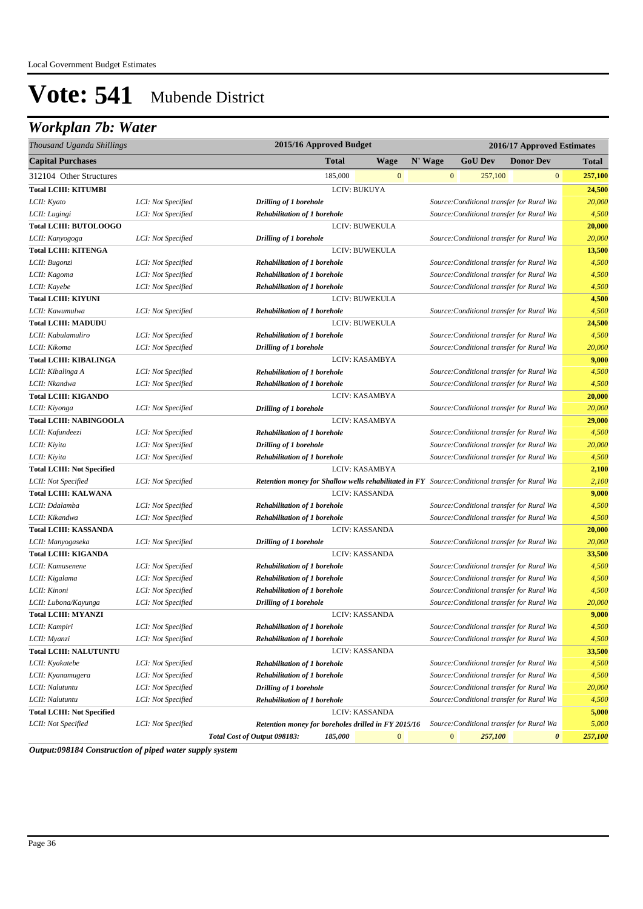## *Workplan 7b: Water*

| Thousand Uganda Shillings         |                    | 2015/16 Approved Budget                                                                         |              |                       |              | 2016/17 Approved Estimates                |                  |              |
|-----------------------------------|--------------------|-------------------------------------------------------------------------------------------------|--------------|-----------------------|--------------|-------------------------------------------|------------------|--------------|
| <b>Capital Purchases</b>          |                    |                                                                                                 | <b>Total</b> | <b>Wage</b>           | N' Wage      | <b>GoU Dev</b>                            | <b>Donor Dev</b> | <b>Total</b> |
| 312104 Other Structures           |                    |                                                                                                 | 185,000      | $\mathbf{0}$          | $\mathbf{0}$ | 257,100                                   | $\boldsymbol{0}$ | 257,100      |
| <b>Total LCIII: KITUMBI</b>       |                    |                                                                                                 |              | LCIV: BUKUYA          |              |                                           |                  | 24,500       |
| LCII: Kyato                       | LCI: Not Specified | Drilling of 1 borehole                                                                          |              |                       |              | Source: Conditional transfer for Rural Wa |                  | 20,000       |
| LCII: Lugingi                     | LCI: Not Specified | <b>Rehabilitation of 1 borehole</b>                                                             |              |                       |              | Source: Conditional transfer for Rural Wa |                  | 4,500        |
| <b>Total LCIII: BUTOLOOGO</b>     |                    |                                                                                                 |              | LCIV: BUWEKULA        |              |                                           |                  | 20,000       |
| LCII: Kanyogoga                   | LCI: Not Specified | Drilling of 1 borehole                                                                          |              |                       |              | Source: Conditional transfer for Rural Wa |                  | 20,000       |
| <b>Total LCIII: KITENGA</b>       |                    |                                                                                                 |              | <b>LCIV: BUWEKULA</b> |              |                                           |                  | 13,500       |
| LCII: Bugonzi                     | LCI: Not Specified | <b>Rehabilitation of 1 borehole</b>                                                             |              |                       |              | Source: Conditional transfer for Rural Wa |                  | 4,500        |
| LCII: Kagoma                      | LCI: Not Specified | <b>Rehabilitation of 1 borehole</b>                                                             |              |                       |              | Source: Conditional transfer for Rural Wa |                  | 4,500        |
| LCII: Kayebe                      | LCI: Not Specified | <b>Rehabilitation of 1 borehole</b>                                                             |              |                       |              | Source: Conditional transfer for Rural Wa |                  | 4,500        |
| <b>Total LCIII: KIYUNI</b>        |                    |                                                                                                 |              | LCIV: BUWEKULA        |              |                                           |                  | 4,500        |
| LCII: Kawumulwa                   | LCI: Not Specified | <b>Rehabilitation of 1 borehole</b>                                                             |              |                       |              | Source: Conditional transfer for Rural Wa |                  | 4,500        |
| <b>Total LCIII: MADUDU</b>        |                    |                                                                                                 |              | LCIV: BUWEKULA        |              |                                           |                  | 24,500       |
| LCII: Kabulamuliro                | LCI: Not Specified | <b>Rehabilitation of 1 borehole</b>                                                             |              |                       |              | Source: Conditional transfer for Rural Wa |                  | 4,500        |
| LCII: Kikoma                      | LCI: Not Specified | Drilling of 1 borehole                                                                          |              |                       |              | Source: Conditional transfer for Rural Wa |                  | 20,000       |
| <b>Total LCIII: KIBALINGA</b>     |                    |                                                                                                 |              | LCIV: KASAMBYA        |              |                                           |                  | 9,000        |
| LCII: Kibalinga A                 | LCI: Not Specified | <b>Rehabilitation of 1 borehole</b>                                                             |              |                       |              | Source: Conditional transfer for Rural Wa |                  | 4,500        |
| LCII: Nkandwa                     | LCI: Not Specified | <b>Rehabilitation of 1 borehole</b>                                                             |              |                       |              | Source: Conditional transfer for Rural Wa |                  | 4,500        |
| <b>Total LCIII: KIGANDO</b>       |                    |                                                                                                 |              | LCIV: KASAMBYA        |              |                                           |                  | 20,000       |
| LCII: Kiyonga                     | LCI: Not Specified | Drilling of 1 borehole                                                                          |              |                       |              | Source: Conditional transfer for Rural Wa |                  | 20,000       |
| <b>Total LCIII: NABINGOOLA</b>    |                    |                                                                                                 |              | LCIV: KASAMBYA        |              |                                           |                  | 29,000       |
| LCII: Kafundeezi                  | LCI: Not Specified | <b>Rehabilitation of 1 borehole</b>                                                             |              |                       |              | Source: Conditional transfer for Rural Wa |                  | 4,500        |
| LCII: Kiyita                      | LCI: Not Specified | Drilling of 1 borehole                                                                          |              |                       |              | Source: Conditional transfer for Rural Wa |                  | 20,000       |
| LCII: Kiyita                      | LCI: Not Specified | <b>Rehabilitation of 1 borehole</b>                                                             |              |                       |              | Source: Conditional transfer for Rural Wa |                  | 4,500        |
| <b>Total LCIII: Not Specified</b> |                    |                                                                                                 |              | LCIV: KASAMBYA        |              |                                           |                  | 2,100        |
| LCII: Not Specified               | LCI: Not Specified | Retention money for Shallow wells rehabilitated in FY Source: Conditional transfer for Rural Wa |              |                       |              |                                           |                  | 2,100        |
| <b>Total LCIII: KALWANA</b>       |                    |                                                                                                 |              | <b>LCIV: KASSANDA</b> |              |                                           |                  | 9,000        |
| LCII: Ddalamba                    | LCI: Not Specified | <b>Rehabilitation of 1 borehole</b>                                                             |              |                       |              | Source: Conditional transfer for Rural Wa |                  | 4,500        |
| LCII: Kikandwa                    | LCI: Not Specified | <b>Rehabilitation of 1 borehole</b>                                                             |              |                       |              | Source: Conditional transfer for Rural Wa |                  | 4,500        |
| <b>Total LCIII: KASSANDA</b>      |                    |                                                                                                 |              | <b>LCIV: KASSANDA</b> |              |                                           |                  | 20,000       |
| LCII: Manyogaseka                 | LCI: Not Specified | Drilling of 1 borehole                                                                          |              |                       |              | Source: Conditional transfer for Rural Wa |                  | 20,000       |
| <b>Total LCIII: KIGANDA</b>       |                    |                                                                                                 |              | <b>LCIV: KASSANDA</b> |              |                                           |                  | 33,500       |
| LCII: Kamusenene                  | LCI: Not Specified | <b>Rehabilitation of 1 borehole</b>                                                             |              |                       |              | Source: Conditional transfer for Rural Wa |                  | 4,500        |
| LCII: Kigalama                    | LCI: Not Specified | Rehabilitation of 1 borehole                                                                    |              |                       |              | Source: Conditional transfer for Rural Wa |                  | 4,500        |
| LCII: Kinoni                      | LCI: Not Specified | <b>Rehabilitation of 1 borehole</b>                                                             |              |                       |              | Source: Conditional transfer for Rural Wa |                  | 4,500        |
| LCII: Lubona/Kayunga              | LCI: Not Specified | Drilling of 1 borehole                                                                          |              |                       |              | Source: Conditional transfer for Rural Wa |                  | 20,000       |
| <b>Total LCIII: MYANZI</b>        |                    |                                                                                                 |              | LCIV: KASSANDA        |              |                                           |                  | 9,000        |
| LCII: Kampiri                     | LCI: Not Specified | <b>Rehabilitation of 1 borehole</b>                                                             |              |                       |              | Source: Conditional transfer for Rural Wa |                  | 4,500        |
| LCII: Myanzi                      | LCI: Not Specified | <b>Rehabilitation of 1 borehole</b>                                                             |              |                       |              | Source: Conditional transfer for Rural Wa |                  | 4,500        |
| <b>Total LCIII: NALUTUNTU</b>     |                    |                                                                                                 |              | LCIV: KASSANDA        |              |                                           |                  | 33,500       |
| LCII: Kyakatebe                   | LCI: Not Specified | <b>Rehabilitation of 1 borehole</b>                                                             |              |                       |              | Source: Conditional transfer for Rural Wa |                  | 4,500        |
| LCII: Kyanamugera                 | LCI: Not Specified | <b>Rehabilitation of 1 borehole</b>                                                             |              |                       |              | Source: Conditional transfer for Rural Wa |                  | 4,500        |
| LCII: Nalutuntu                   | LCI: Not Specified | Drilling of 1 borehole                                                                          |              |                       |              | Source: Conditional transfer for Rural Wa |                  | 20,000       |
| LCII: Nalutuntu                   | LCI: Not Specified | <b>Rehabilitation of 1 borehole</b>                                                             |              |                       |              | Source: Conditional transfer for Rural Wa |                  | 4,500        |
| <b>Total LCIII: Not Specified</b> |                    |                                                                                                 |              | LCIV: KASSANDA        |              |                                           |                  | 5,000        |
| LCII: Not Specified               | LCI: Not Specified | Retention money for boreholes drilled in FY 2015/16                                             |              |                       |              | Source: Conditional transfer for Rural Wa |                  | 5,000        |
|                                   |                    | Total Cost of Output 098183:                                                                    | 185,000      | $\bf{0}$              | $\bf{0}$     | 257,100                                   | 0                | 257,100      |

*Output:098184 Construction of piped water supply system*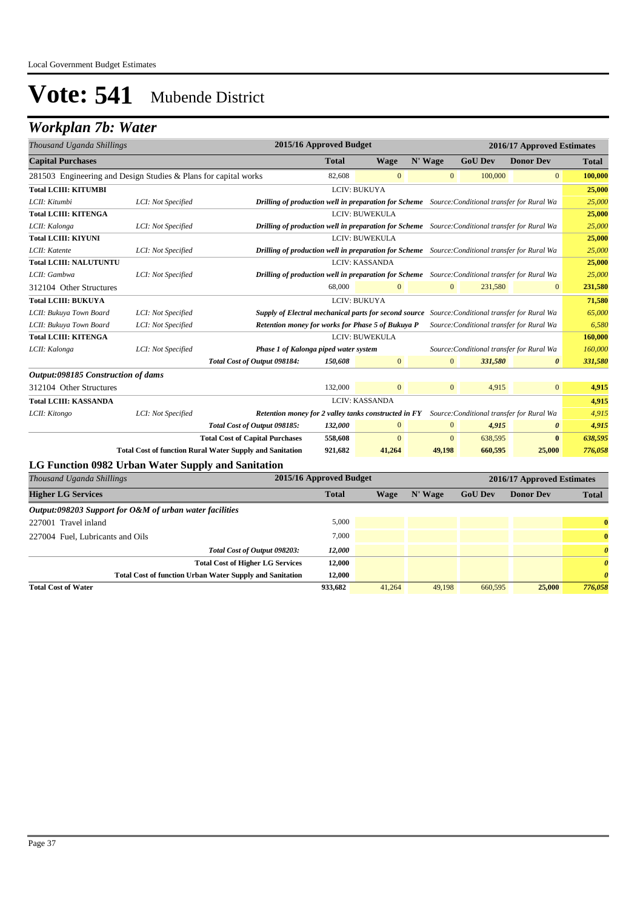### *Workplan 7b: Water*

| Thousand Uganda Shillings                                       |                    |                                                                 | 2015/16 Approved Budget                                                                         |                     |                |                | 2016/17 Approved Estimates                |                       |
|-----------------------------------------------------------------|--------------------|-----------------------------------------------------------------|-------------------------------------------------------------------------------------------------|---------------------|----------------|----------------|-------------------------------------------|-----------------------|
| <b>Capital Purchases</b>                                        |                    |                                                                 | <b>Total</b>                                                                                    | <b>Wage</b>         | N' Wage        | <b>GoU Dev</b> | <b>Donor Dev</b>                          | <b>Total</b>          |
| 281503 Engineering and Design Studies & Plans for capital works |                    |                                                                 | 82,608                                                                                          | $\mathbf{0}$        | $\mathbf{0}$   | 100,000        | $\boldsymbol{0}$                          | 100,000               |
| <b>Total LCIII: KITUMBI</b>                                     |                    |                                                                 |                                                                                                 | LCIV: BUKUYA        |                |                |                                           | 25,000                |
| LCII: Kitumbi                                                   | LCI: Not Specified |                                                                 | Drilling of production well in preparation for Scheme Source: Conditional transfer for Rural Wa |                     |                |                |                                           | 25,000                |
| <b>Total LCIII: KITENGA</b>                                     |                    |                                                                 |                                                                                                 | LCIV: BUWEKULA      |                |                |                                           | 25,000                |
| LCII: Kalonga                                                   | LCI: Not Specified |                                                                 | Drilling of production well in preparation for Scheme Source: Conditional transfer for Rural Wa |                     |                |                |                                           | 25,000                |
| <b>Total LCIII: KIYUNI</b>                                      |                    |                                                                 |                                                                                                 | LCIV: BUWEKULA      |                |                |                                           | 25,000                |
| LCII: Katente                                                   | LCI: Not Specified |                                                                 | Drilling of production well in preparation for Scheme Source: Conditional transfer for Rural Wa |                     |                |                |                                           | 25,000                |
| <b>Total LCIII: NALUTUNTU</b>                                   |                    |                                                                 |                                                                                                 | LCIV: KASSANDA      |                |                |                                           | 25,000                |
| LCII: Gambwa                                                    | LCI: Not Specified |                                                                 | Drilling of production well in preparation for Scheme Source: Conditional transfer for Rural Wa |                     |                |                |                                           | 25,000                |
| 312104 Other Structures                                         |                    |                                                                 | 68,000                                                                                          | $\mathbf{0}$        | $\mathbf{0}$   | 231,580        | $\mathbf{0}$                              | 231,580               |
| <b>Total LCIII: BUKUYA</b>                                      |                    |                                                                 |                                                                                                 | <b>LCIV: BUKUYA</b> |                |                |                                           | 71,580                |
| LCII: Bukuya Town Board                                         | LCI: Not Specified |                                                                 | Supply of Electral mechanical parts for second source Source: Conditional transfer for Rural Wa |                     |                |                |                                           | 65,000                |
| LCII: Bukuya Town Board                                         | LCI: Not Specified |                                                                 | Retention money for works for Phase 5 of Bukuya P                                               |                     |                |                | Source: Conditional transfer for Rural Wa | 6,580                 |
| <b>Total LCIII: KITENGA</b>                                     |                    |                                                                 |                                                                                                 | LCIV: BUWEKULA      |                |                |                                           | 160,000               |
| LCII: Kalonga                                                   | LCI: Not Specified |                                                                 | Phase 1 of Kalonga piped water system                                                           |                     |                |                | Source: Conditional transfer for Rural Wa | 160,000               |
|                                                                 |                    | Total Cost of Output 098184:                                    | 150,608                                                                                         | $\boldsymbol{0}$    | $\mathbf{0}$   | 331,580        | $\boldsymbol{\theta}$                     | 331,580               |
| Output:098185 Construction of dams                              |                    |                                                                 |                                                                                                 |                     |                |                |                                           |                       |
| 312104 Other Structures                                         |                    |                                                                 | 132,000                                                                                         | $\overline{0}$      | $\mathbf{0}$   | 4,915          | $\mathbf{0}$                              | 4,915                 |
| <b>Total LCIII: KASSANDA</b>                                    |                    |                                                                 |                                                                                                 | LCIV: KASSANDA      |                |                |                                           | 4,915                 |
| LCII: Kitongo                                                   | LCI: Not Specified |                                                                 | <b>Retention money for 2 valley tanks constructed in FY</b>                                     |                     |                |                | Source: Conditional transfer for Rural Wa | 4,915                 |
|                                                                 |                    | Total Cost of Output 098185:                                    | 132,000                                                                                         | $\overline{0}$      | $\mathbf{0}$   | 4,915          | $\boldsymbol{\theta}$                     | 4,915                 |
|                                                                 |                    | <b>Total Cost of Capital Purchases</b>                          | 558,608                                                                                         | $\mathbf{0}$        | $\overline{0}$ | 638,595        | $\bf{0}$                                  | 638,595               |
|                                                                 |                    | <b>Total Cost of function Rural Water Supply and Sanitation</b> | 921,682                                                                                         | 41,264              | 49,198         | 660,595        | 25,000                                    | 776,058               |
| LG Function 0982 Urban Water Supply and Sanitation              |                    |                                                                 |                                                                                                 |                     |                |                |                                           |                       |
| Thousand Uganda Shillings                                       |                    |                                                                 | 2015/16 Approved Budget                                                                         |                     |                |                | 2016/17 Approved Estimates                |                       |
| <b>Higher LG Services</b>                                       |                    |                                                                 | <b>Total</b>                                                                                    | <b>Wage</b>         | N' Wage        | <b>GoU Dev</b> | <b>Donor Dev</b>                          | <b>Total</b>          |
| Output:098203 Support for O&M of urban water facilities         |                    |                                                                 |                                                                                                 |                     |                |                |                                           |                       |
| 227001 Travel inland                                            |                    |                                                                 | 5,000                                                                                           |                     |                |                |                                           | $\bf{0}$              |
| 227004 Fuel, Lubricants and Oils                                |                    |                                                                 | 7,000                                                                                           |                     |                |                |                                           | $\bf{0}$              |
|                                                                 |                    | Total Cost of Output 098203:                                    | 12,000                                                                                          |                     |                |                |                                           | $\boldsymbol{\theta}$ |
|                                                                 |                    | <b>Total Cost of Higher LG Services</b>                         | 12,000                                                                                          |                     |                |                |                                           | $\boldsymbol{\theta}$ |
|                                                                 |                    | <b>Total Cost of function Urban Water Supply and Sanitation</b> | 12,000                                                                                          |                     |                |                |                                           | $\boldsymbol{\theta}$ |

**Total Cost of Water 933,682** 41,264 49,198 660,595 **25,000** *776,058*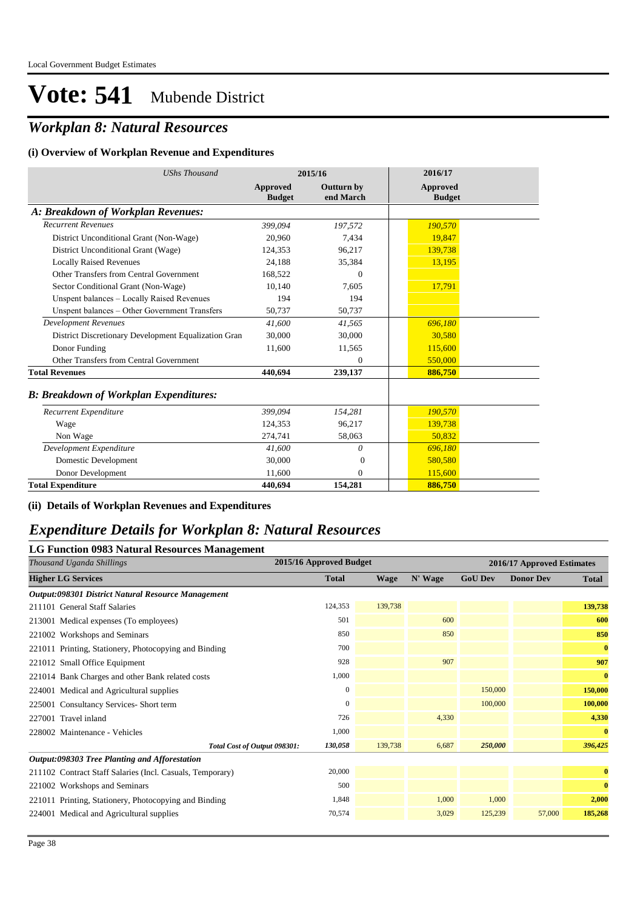## *Workplan 8: Natural Resources*

### **(i) Overview of Workplan Revenue and Expenditures**

| <b>UShs Thousand</b>                                 |                           | 2015/16                        | 2016/17                          |
|------------------------------------------------------|---------------------------|--------------------------------|----------------------------------|
|                                                      | Approved<br><b>Budget</b> | <b>Outturn by</b><br>end March | <b>Approved</b><br><b>Budget</b> |
| A: Breakdown of Workplan Revenues:                   |                           |                                |                                  |
| <b>Recurrent Revenues</b>                            | 399.094                   | 197,572                        | 190,570                          |
| District Unconditional Grant (Non-Wage)              | 20,960                    | 7,434                          | 19,847                           |
| District Unconditional Grant (Wage)                  | 124,353                   | 96,217                         | 139,738                          |
| <b>Locally Raised Revenues</b>                       | 24,188                    | 35,384                         | 13,195                           |
| Other Transfers from Central Government              | 168,522                   | $\Omega$                       |                                  |
| Sector Conditional Grant (Non-Wage)                  | 10,140                    | 7,605                          | 17,791                           |
| Unspent balances - Locally Raised Revenues           | 194                       | 194                            |                                  |
| Unspent balances - Other Government Transfers        | 50,737                    | 50,737                         |                                  |
| <b>Development Revenues</b>                          | 41.600                    | 41,565                         | 696.180                          |
| District Discretionary Development Equalization Gran | 30,000                    | 30,000                         | 30.580                           |
| Donor Funding                                        | 11,600                    | 11,565                         | 115,600                          |
| Other Transfers from Central Government              |                           | $\theta$                       | 550,000                          |
| <b>Total Revenues</b>                                | 440.694                   | 239,137                        | 886,750                          |
| <b>B: Breakdown of Workplan Expenditures:</b>        |                           |                                |                                  |
| Recurrent Expenditure                                | 399.094                   | 154,281                        | 190,570                          |
| Wage                                                 | 124,353                   | 96,217                         | 139,738                          |
| Non Wage                                             | 274,741                   | 58,063                         | 50.832                           |
| Development Expenditure                              | 41,600                    | $\theta$                       | 696,180                          |
| Domestic Development                                 | 30,000                    | $\overline{0}$                 | 580,580                          |
| Donor Development                                    | 11.600                    | $\Omega$                       | 115,600                          |
| <b>Total Expenditure</b>                             | 440.694                   | 154,281                        | 886,750                          |

### **(ii) Details of Workplan Revenues and Expenditures**

### *Expenditure Details for Workplan 8: Natural Resources*

| LG Function 0983 Natural Resources Management             |                         |             |         |                            |                  |              |  |  |  |  |
|-----------------------------------------------------------|-------------------------|-------------|---------|----------------------------|------------------|--------------|--|--|--|--|
| Thousand Uganda Shillings                                 | 2015/16 Approved Budget |             |         | 2016/17 Approved Estimates |                  |              |  |  |  |  |
| <b>Higher LG Services</b>                                 | <b>Total</b>            | <b>Wage</b> | N' Wage | <b>GoU Dev</b>             | <b>Donor Dev</b> | <b>Total</b> |  |  |  |  |
| Output:098301 District Natural Resource Management        |                         |             |         |                            |                  |              |  |  |  |  |
| 211101 General Staff Salaries                             | 124,353                 | 139,738     |         |                            |                  | 139,738      |  |  |  |  |
| 213001 Medical expenses (To employees)                    | 501                     |             | 600     |                            |                  | 600          |  |  |  |  |
| 221002 Workshops and Seminars                             | 850                     |             | 850     |                            |                  | 850          |  |  |  |  |
| 221011 Printing, Stationery, Photocopying and Binding     | 700                     |             |         |                            |                  | $\bf{0}$     |  |  |  |  |
| 221012 Small Office Equipment                             | 928                     |             | 907     |                            |                  | 907          |  |  |  |  |
| 221014 Bank Charges and other Bank related costs          | 1,000                   |             |         |                            |                  | $\bf{0}$     |  |  |  |  |
| 224001 Medical and Agricultural supplies                  | 0                       |             |         | 150,000                    |                  | 150,000      |  |  |  |  |
| 225001 Consultancy Services- Short term                   | $\mathbf{0}$            |             |         | 100,000                    |                  | 100,000      |  |  |  |  |
| 227001 Travel inland                                      | 726                     |             | 4.330   |                            |                  | 4,330        |  |  |  |  |
| 228002 Maintenance - Vehicles                             | 1,000                   |             |         |                            |                  | $\bf{0}$     |  |  |  |  |
| Total Cost of Output 098301:                              | 130,058                 | 139,738     | 6,687   | 250,000                    |                  | 396,425      |  |  |  |  |
| Output:098303 Tree Planting and Afforestation             |                         |             |         |                            |                  |              |  |  |  |  |
| 211102 Contract Staff Salaries (Incl. Casuals, Temporary) | 20,000                  |             |         |                            |                  | $\bf{0}$     |  |  |  |  |
| 221002 Workshops and Seminars                             | 500                     |             |         |                            |                  | $\bf{0}$     |  |  |  |  |
| 221011 Printing, Stationery, Photocopying and Binding     | 1,848                   |             | 1,000   | 1,000                      |                  | 2,000        |  |  |  |  |
| 224001 Medical and Agricultural supplies                  | 70,574                  |             | 3,029   | 125,239                    | 57,000           | 185,268      |  |  |  |  |
|                                                           |                         |             |         |                            |                  |              |  |  |  |  |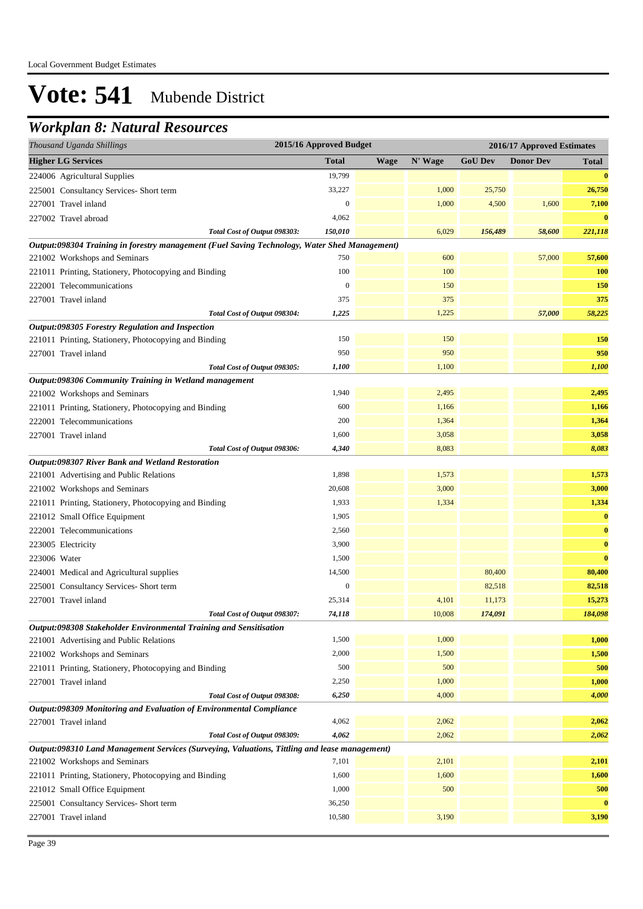### *Workplan 8: Natural Resources*

| Thousand Uganda Shillings                                                                     | 2015/16 Approved Budget |             |         | 2016/17 Approved Estimates |                  |              |
|-----------------------------------------------------------------------------------------------|-------------------------|-------------|---------|----------------------------|------------------|--------------|
| <b>Higher LG Services</b>                                                                     | <b>Total</b>            | <b>Wage</b> | N' Wage | <b>GoU Dev</b>             | <b>Donor Dev</b> | <b>Total</b> |
| 224006 Agricultural Supplies                                                                  | 19,799                  |             |         |                            |                  | $\bf{0}$     |
| 225001 Consultancy Services- Short term                                                       | 33,227                  |             | 1,000   | 25,750                     |                  | 26,750       |
| 227001 Travel inland                                                                          | $\mathbf{0}$            |             | 1,000   | 4,500                      | 1,600            | 7,100        |
| 227002 Travel abroad                                                                          | 4,062                   |             |         |                            |                  | $\bf{0}$     |
| Total Cost of Output 098303:                                                                  | 150,010                 |             | 6,029   | 156,489                    | 58,600           | 221,118      |
| Output:098304 Training in forestry management (Fuel Saving Technology, Water Shed Management) |                         |             |         |                            |                  |              |
| 221002 Workshops and Seminars                                                                 | 750                     |             | 600     |                            | 57,000           | 57,600       |
| 221011 Printing, Stationery, Photocopying and Binding                                         | 100                     |             | 100     |                            |                  | 100          |
| 222001 Telecommunications                                                                     | $\mathbf{0}$            |             | 150     |                            |                  | 150          |
| 227001 Travel inland                                                                          | 375                     |             | 375     |                            |                  | 375          |
| Total Cost of Output 098304:                                                                  | 1,225                   |             | 1,225   |                            | 57,000           | 58,225       |
| Output:098305 Forestry Regulation and Inspection                                              |                         |             |         |                            |                  |              |
| 221011 Printing, Stationery, Photocopying and Binding                                         | 150                     |             | 150     |                            |                  | 150          |
| 227001 Travel inland                                                                          | 950                     |             | 950     |                            |                  | 950          |
| Total Cost of Output 098305:                                                                  | 1,100                   |             | 1,100   |                            |                  | 1,100        |
| Output:098306 Community Training in Wetland management                                        |                         |             |         |                            |                  |              |
| 221002 Workshops and Seminars                                                                 | 1,940                   |             | 2,495   |                            |                  | 2,495        |
| 221011 Printing, Stationery, Photocopying and Binding                                         | 600                     |             | 1,166   |                            |                  | 1,166        |
| 222001 Telecommunications                                                                     | 200                     |             | 1,364   |                            |                  | 1,364        |
| 227001 Travel inland                                                                          | 1,600                   |             | 3,058   |                            |                  | 3,058        |
| Total Cost of Output 098306:                                                                  | 4,340                   |             | 8,083   |                            |                  | 8,083        |
| Output:098307 River Bank and Wetland Restoration                                              |                         |             |         |                            |                  |              |
| 221001 Advertising and Public Relations                                                       | 1,898                   |             | 1,573   |                            |                  | 1,573        |
| 221002 Workshops and Seminars                                                                 | 20,608                  |             | 3,000   |                            |                  | 3,000        |
| 221011 Printing, Stationery, Photocopying and Binding                                         | 1,933                   |             | 1,334   |                            |                  | 1,334        |
| 221012 Small Office Equipment                                                                 | 1,905                   |             |         |                            |                  | $\bf{0}$     |
| 222001 Telecommunications                                                                     | 2,560                   |             |         |                            |                  | $\bf{0}$     |
| 223005 Electricity                                                                            | 3,900                   |             |         |                            |                  | $\bf{0}$     |
| 223006 Water                                                                                  | 1,500                   |             |         |                            |                  | $\bf{0}$     |
| 224001 Medical and Agricultural supplies                                                      | 14,500                  |             |         | 80,400                     |                  | 80,400       |
| 225001 Consultancy Services- Short term                                                       | $\mathbf{0}$            |             |         | 82,518                     |                  | 82,518       |
| 227001 Travel inland                                                                          | 25,314                  |             | 4,101   | 11,173                     |                  | 15,273       |
| Total Cost of Output 098307:                                                                  | 74,118                  |             | 10,008  | 174,091                    |                  | 184,098      |
| Output:098308 Stakeholder Environmental Training and Sensitisation                            |                         |             |         |                            |                  |              |
| 221001 Advertising and Public Relations                                                       | 1,500                   |             | 1,000   |                            |                  | 1,000        |
| 221002 Workshops and Seminars                                                                 | 2,000                   |             | 1,500   |                            |                  | 1,500        |
| 221011 Printing, Stationery, Photocopying and Binding                                         | 500                     |             | 500     |                            |                  | 500          |
| 227001 Travel inland                                                                          | 2,250                   |             | 1,000   |                            |                  | 1,000        |
| Total Cost of Output 098308:                                                                  | 6,250                   |             | 4,000   |                            |                  | 4,000        |
| Output:098309 Monitoring and Evaluation of Environmental Compliance                           |                         |             |         |                            |                  |              |
| 227001 Travel inland                                                                          | 4,062                   |             | 2,062   |                            |                  | 2,062        |
| Total Cost of Output 098309:                                                                  | 4,062                   |             | 2,062   |                            |                  | 2,062        |
| Output:098310 Land Management Services (Surveying, Valuations, Tittling and lease management) |                         |             |         |                            |                  |              |
| 221002 Workshops and Seminars                                                                 | 7,101                   |             | 2,101   |                            |                  | 2,101        |
| 221011 Printing, Stationery, Photocopying and Binding                                         | 1,600                   |             | 1,600   |                            |                  | 1,600        |
| 221012 Small Office Equipment                                                                 | 1,000                   |             | 500     |                            |                  | 500          |
| 225001 Consultancy Services- Short term                                                       | 36,250                  |             |         |                            |                  | $\bf{0}$     |
| 227001 Travel inland                                                                          | 10,580                  |             | 3,190   |                            |                  | 3,190        |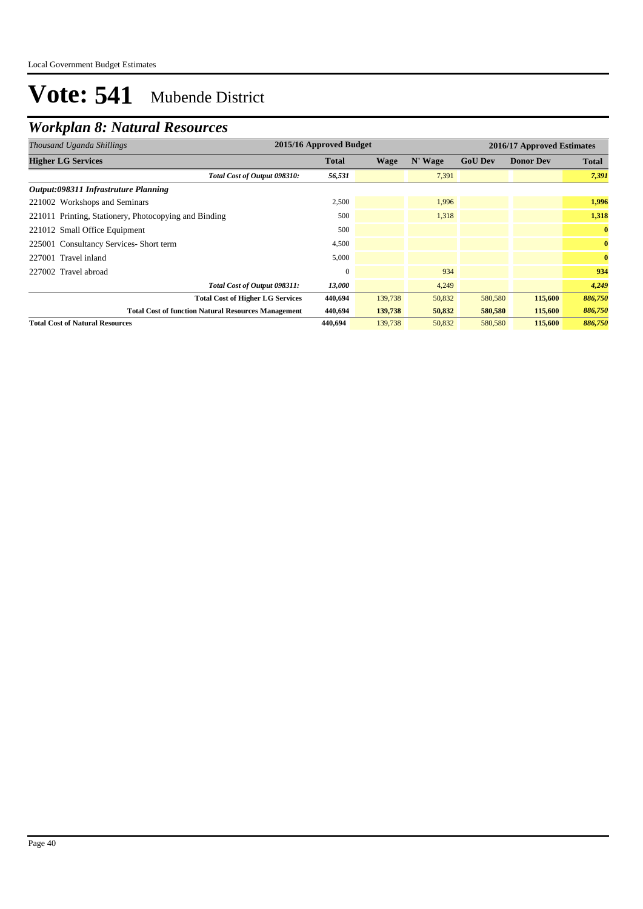## *Workplan 8: Natural Resources*

| Thousand Uganda Shillings                                  | 2015/16 Approved Budget |         |         |                | 2016/17 Approved Estimates |              |  |
|------------------------------------------------------------|-------------------------|---------|---------|----------------|----------------------------|--------------|--|
| <b>Higher LG Services</b>                                  | <b>Total</b>            | Wage    | N' Wage | <b>GoU Dev</b> | <b>Donor Dev</b>           | <b>Total</b> |  |
| Total Cost of Output 098310:                               | 56,531                  |         | 7,391   |                |                            | 7,391        |  |
| Output:098311 Infrastruture Planning                       |                         |         |         |                |                            |              |  |
| 221002 Workshops and Seminars                              | 2,500                   |         | 1,996   |                |                            | 1,996        |  |
| 221011 Printing, Stationery, Photocopying and Binding      | 500                     |         | 1.318   |                |                            | 1,318        |  |
| 221012 Small Office Equipment                              | 500                     |         |         |                |                            | $\bf{0}$     |  |
| 225001 Consultancy Services-Short term                     | 4,500                   |         |         |                |                            | $\bf{0}$     |  |
| 227001 Travel inland                                       | 5,000                   |         |         |                |                            | $\bf{0}$     |  |
| 227002 Travel abroad                                       | $\Omega$                |         | 934     |                |                            | 934          |  |
| Total Cost of Output 098311:                               | 13,000                  |         | 4,249   |                |                            | 4,249        |  |
| <b>Total Cost of Higher LG Services</b>                    | 440,694                 | 139,738 | 50,832  | 580,580        | 115,600                    | 886,750      |  |
| <b>Total Cost of function Natural Resources Management</b> | 440,694                 | 139,738 | 50,832  | 580,580        | 115,600                    | 886,750      |  |
| <b>Total Cost of Natural Resources</b>                     | 440,694                 | 139,738 | 50,832  | 580,580        | 115,600                    | 886,750      |  |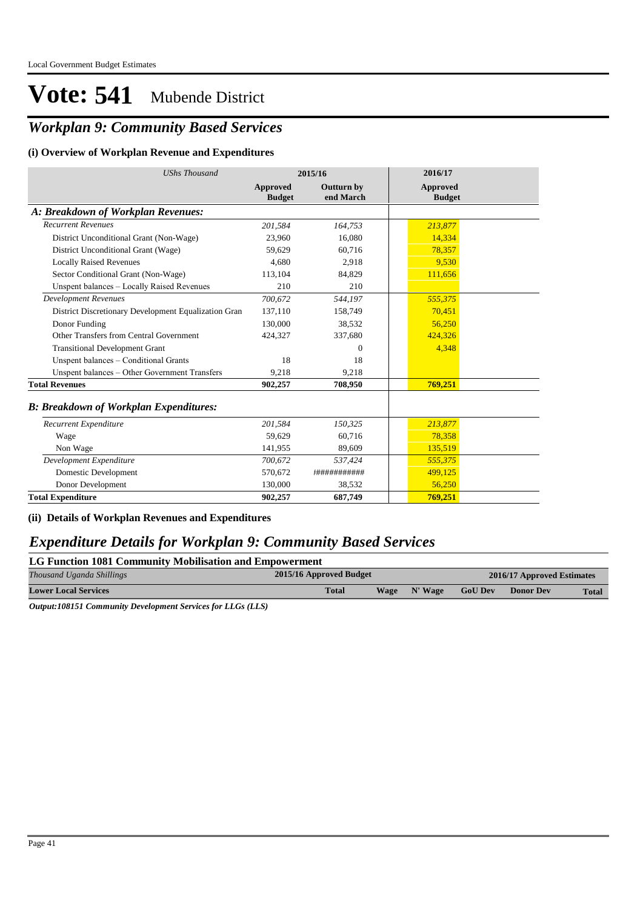## *Workplan 9: Community Based Services*

#### **(i) Overview of Workplan Revenue and Expenditures**

| <b>UShs Thousand</b>                                 |                           | 2015/16                        | 2016/17                          |  |
|------------------------------------------------------|---------------------------|--------------------------------|----------------------------------|--|
|                                                      | Approved<br><b>Budget</b> | <b>Outturn by</b><br>end March | <b>Approved</b><br><b>Budget</b> |  |
| A: Breakdown of Workplan Revenues:                   |                           |                                |                                  |  |
| <b>Recurrent Revenues</b>                            | 201,584                   | 164,753                        | 213,877                          |  |
| District Unconditional Grant (Non-Wage)              | 23,960                    | 16,080                         | 14,334                           |  |
| District Unconditional Grant (Wage)                  | 59,629                    | 60,716                         | 78,357                           |  |
| <b>Locally Raised Revenues</b>                       | 4,680                     | 2,918                          | 9,530                            |  |
| Sector Conditional Grant (Non-Wage)                  | 113,104                   | 84,829                         | 111,656                          |  |
| Unspent balances - Locally Raised Revenues           | 210                       | 210                            |                                  |  |
| <b>Development Revenues</b>                          | 700.672                   | 544,197                        | 555,375                          |  |
| District Discretionary Development Equalization Gran | 137,110                   | 158,749                        | 70,451                           |  |
| Donor Funding                                        | 130,000                   | 38,532                         | 56,250                           |  |
| Other Transfers from Central Government              | 424,327                   | 337,680                        | 424,326                          |  |
| <b>Transitional Development Grant</b>                |                           | $\mathbf{0}$                   | 4,348                            |  |
| Unspent balances - Conditional Grants                | 18                        | 18                             |                                  |  |
| Unspent balances - Other Government Transfers        | 9,218                     | 9,218                          |                                  |  |
| <b>Total Revenues</b>                                | 902,257                   | 708,950                        | 769,251                          |  |
| <b>B: Breakdown of Workplan Expenditures:</b>        |                           |                                |                                  |  |
| Recurrent Expenditure                                | 201,584                   | 150,325                        | 213,877                          |  |
| Wage                                                 | 59.629                    | 60,716                         | 78,358                           |  |
| Non Wage                                             | 141,955                   | 89.609                         | 135,519                          |  |
| Development Expenditure                              | 700,672                   | 537,424                        | 555,375                          |  |
| Domestic Development                                 | 570,672                   | +###########                   | 499.125                          |  |
| Donor Development                                    | 130,000                   | 38,532                         | 56,250                           |  |
| <b>Total Expenditure</b>                             | 902,257                   | 687,749                        | 769,251                          |  |

**(ii) Details of Workplan Revenues and Expenditures**

### *Expenditure Details for Workplan 9: Community Based Services*

| LG Function 1081 Community Mobilisation and Empowerment |                                                       |             |         |                |                  |              |  |  |  |
|---------------------------------------------------------|-------------------------------------------------------|-------------|---------|----------------|------------------|--------------|--|--|--|
| Thousand Uganda Shillings                               | 2015/16 Approved Budget<br>2016/17 Approved Estimates |             |         |                |                  |              |  |  |  |
| <b>Lower Local Services</b>                             | <b>Total</b>                                          | <b>Wage</b> | N' Wage | <b>GoU Dev</b> | <b>Donor Dev</b> | <b>Total</b> |  |  |  |
|                                                         |                                                       |             |         |                |                  |              |  |  |  |

*Output:108151 Community Development Services for LLGs (LLS)*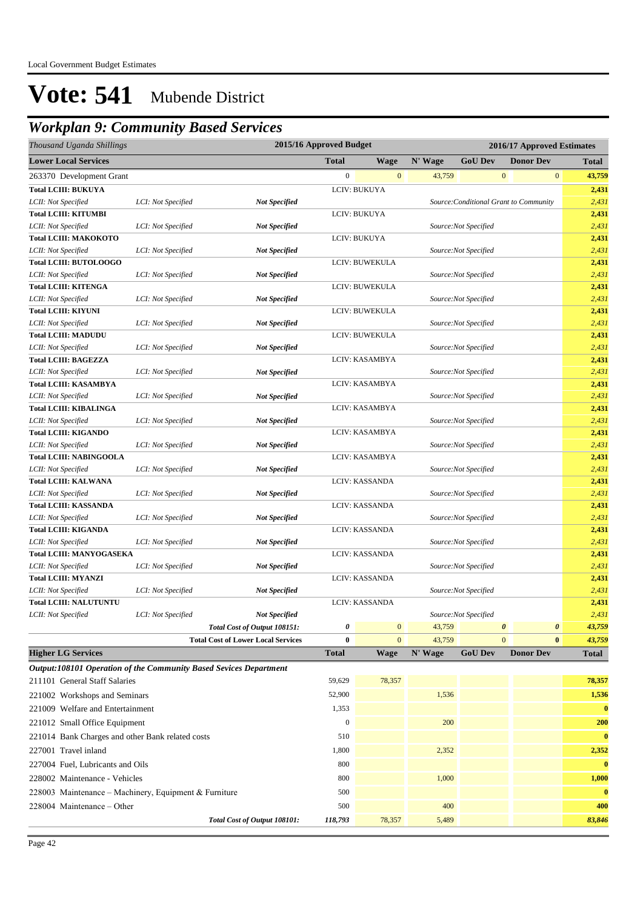## *Workplan 9: Community Based Services*

| Thousand Uganda Shillings                                         |                    |                                           | 2015/16 Approved Budget |                |         |                      | 2016/17 Approved Estimates             |                                 |
|-------------------------------------------------------------------|--------------------|-------------------------------------------|-------------------------|----------------|---------|----------------------|----------------------------------------|---------------------------------|
| <b>Lower Local Services</b>                                       |                    |                                           | <b>Total</b>            | <b>Wage</b>    | N' Wage | <b>GoU Dev</b>       | <b>Donor Dev</b>                       | <b>Total</b>                    |
| 263370 Development Grant                                          |                    |                                           | $\boldsymbol{0}$        | $\mathbf{0}$   | 43,759  |                      | $\boldsymbol{0}$                       | $\boldsymbol{0}$<br>43,759      |
| <b>Total LCIII: BUKUYA</b>                                        |                    |                                           |                         | LCIV: BUKUYA   |         |                      |                                        | 2,431                           |
| LCII: Not Specified                                               | LCI: Not Specified | <b>Not Specified</b>                      |                         |                |         |                      | Source: Conditional Grant to Community | 2,431                           |
| <b>Total LCIII: KITUMBI</b>                                       |                    |                                           |                         | LCIV: BUKUYA   |         |                      |                                        | 2,431                           |
| LCII: Not Specified                                               | LCI: Not Specified | <b>Not Specified</b>                      |                         |                |         | Source:Not Specified |                                        | 2,431                           |
| <b>Total LCIII: MAKOKOTO</b>                                      |                    |                                           |                         | LCIV: BUKUYA   |         |                      |                                        | 2,431                           |
| LCII: Not Specified                                               | LCI: Not Specified | <b>Not Specified</b>                      |                         |                |         | Source:Not Specified |                                        | 2,431                           |
| <b>Total LCIII: BUTOLOOGO</b>                                     |                    |                                           |                         | LCIV: BUWEKULA |         |                      |                                        | 2,431                           |
| LCII: Not Specified                                               | LCI: Not Specified | <b>Not Specified</b>                      |                         |                |         | Source:Not Specified |                                        | 2,431                           |
| <b>Total LCIII: KITENGA</b>                                       |                    |                                           |                         | LCIV: BUWEKULA |         |                      |                                        | 2,431                           |
| LCII: Not Specified                                               | LCI: Not Specified | <b>Not Specified</b>                      |                         |                |         | Source:Not Specified |                                        | 2,431                           |
| <b>Total LCIII: KIYUNI</b>                                        |                    |                                           |                         | LCIV: BUWEKULA |         |                      |                                        | 2,431                           |
| LCII: Not Specified                                               | LCI: Not Specified | <b>Not Specified</b>                      |                         |                |         | Source:Not Specified |                                        | 2,431                           |
| <b>Total LCIII: MADUDU</b>                                        |                    |                                           |                         | LCIV: BUWEKULA |         |                      |                                        | 2,431                           |
| LCII: Not Specified                                               | LCI: Not Specified | <b>Not Specified</b>                      |                         |                |         | Source:Not Specified |                                        | 2,431                           |
| Total LCIII: BAGEZZA                                              |                    |                                           |                         | LCIV: KASAMBYA |         |                      |                                        | 2,431                           |
| LCII: Not Specified                                               | LCI: Not Specified | <b>Not Specified</b>                      |                         |                |         | Source:Not Specified |                                        | 2,431                           |
| <b>Total LCIII: KASAMBYA</b>                                      |                    |                                           |                         | LCIV: KASAMBYA |         |                      |                                        | 2,431                           |
| LCII: Not Specified                                               | LCI: Not Specified | <b>Not Specified</b>                      |                         |                |         | Source:Not Specified |                                        | 2,431                           |
| <b>Total LCIII: KIBALINGA</b>                                     |                    |                                           |                         | LCIV: KASAMBYA |         |                      |                                        | 2,431                           |
| LCII: Not Specified                                               | LCI: Not Specified | <b>Not Specified</b>                      |                         |                |         | Source:Not Specified |                                        | 2,431                           |
| <b>Total LCIII: KIGANDO</b>                                       |                    |                                           |                         | LCIV: KASAMBYA |         |                      |                                        | 2,431                           |
| LCII: Not Specified                                               | LCI: Not Specified | <b>Not Specified</b>                      |                         |                |         | Source:Not Specified |                                        | 2,431                           |
| Total LCIII: NABINGOOLA                                           |                    |                                           |                         | LCIV: KASAMBYA |         |                      |                                        | 2,431                           |
| LCII: Not Specified                                               | LCI: Not Specified | <b>Not Specified</b>                      |                         |                |         | Source:Not Specified |                                        | 2,431                           |
| <b>Total LCIII: KALWANA</b>                                       |                    |                                           |                         | LCIV: KASSANDA |         |                      |                                        | 2,431                           |
| LCII: Not Specified                                               | LCI: Not Specified | <b>Not Specified</b>                      |                         |                |         | Source:Not Specified |                                        | 2,431                           |
| <b>Total LCIII: KASSANDA</b>                                      |                    |                                           |                         | LCIV: KASSANDA |         |                      |                                        | 2,431<br>2,431                  |
| LCII: Not Specified<br><b>Total LCIII: KIGANDA</b>                | LCI: Not Specified | <b>Not Specified</b>                      |                         | LCIV: KASSANDA |         | Source:Not Specified |                                        | 2,431                           |
| LCII: Not Specified                                               | LCI: Not Specified | <b>Not Specified</b>                      |                         |                |         | Source:Not Specified |                                        | 2,431                           |
| <b>Total LCIII: MANYOGASEKA</b>                                   |                    |                                           |                         | LCIV: KASSANDA |         |                      |                                        | 2,431                           |
| LCII: Not Specified                                               | LCI: Not Specified | <b>Not Specified</b>                      |                         |                |         | Source:Not Specified |                                        | 2,431                           |
| <b>Total LCIII: MYANZI</b>                                        |                    |                                           |                         | LCIV: KASSANDA |         |                      |                                        | 2,431                           |
| LCII: Not Specified                                               | LCI: Not Specified | <b>Not Specified</b>                      |                         |                |         | Source:Not Specified |                                        | 2,431                           |
| <b>Total LCIII: NALUTUNTU</b>                                     |                    |                                           |                         | LCIV: KASSANDA |         |                      |                                        | 2,431                           |
| LCII: Not Specified                                               | LCI: Not Specified | <b>Not Specified</b>                      |                         |                |         | Source:Not Specified |                                        | 2,431                           |
|                                                                   |                    | Total Cost of Output 108151:              | 0                       | $\bf{0}$       | 43,759  |                      | $\boldsymbol{\theta}$                  | $\boldsymbol{\theta}$<br>43,759 |
|                                                                   |                    | <b>Total Cost of Lower Local Services</b> | $\bf{0}$                | $\overline{0}$ | 43,759  |                      | $\overline{0}$                         | $\bf{0}$<br>43,759              |
| <b>Higher LG Services</b>                                         |                    |                                           | <b>Total</b>            | <b>Wage</b>    | N' Wage | <b>GoU Dev</b>       | <b>Donor Dev</b>                       | <b>Total</b>                    |
| Output:108101 Operation of the Community Based Sevices Department |                    |                                           |                         |                |         |                      |                                        |                                 |
| 211101 General Staff Salaries                                     |                    |                                           | 59,629                  | 78,357         |         |                      |                                        | 78,357                          |
| 221002 Workshops and Seminars                                     |                    |                                           | 52,900                  |                | 1,536   |                      |                                        | 1,536                           |
| 221009 Welfare and Entertainment                                  |                    |                                           | 1,353                   |                |         |                      |                                        | $\bf{0}$                        |
|                                                                   |                    |                                           |                         |                |         |                      |                                        |                                 |
| 221012 Small Office Equipment                                     |                    |                                           | $\mathbf{0}$            |                | 200     |                      |                                        | 200                             |
| 221014 Bank Charges and other Bank related costs                  |                    |                                           | 510                     |                |         |                      |                                        | $\bf{0}$                        |
| 227001 Travel inland                                              |                    |                                           | 1,800                   |                | 2,352   |                      |                                        | 2,352                           |
| 227004 Fuel, Lubricants and Oils                                  |                    |                                           | 800                     |                |         |                      |                                        | $\bf{0}$                        |
| 228002 Maintenance - Vehicles                                     |                    |                                           | 800                     |                | 1,000   |                      |                                        | 1,000                           |
| 228003 Maintenance – Machinery, Equipment & Furniture             |                    |                                           | 500                     |                |         |                      |                                        | $\bf{0}$                        |
| 228004 Maintenance - Other                                        |                    |                                           | 500                     |                | 400     |                      |                                        | 400                             |
|                                                                   |                    | Total Cost of Output 108101:              | 118,793                 | 78,357         | 5,489   |                      |                                        | 83,846                          |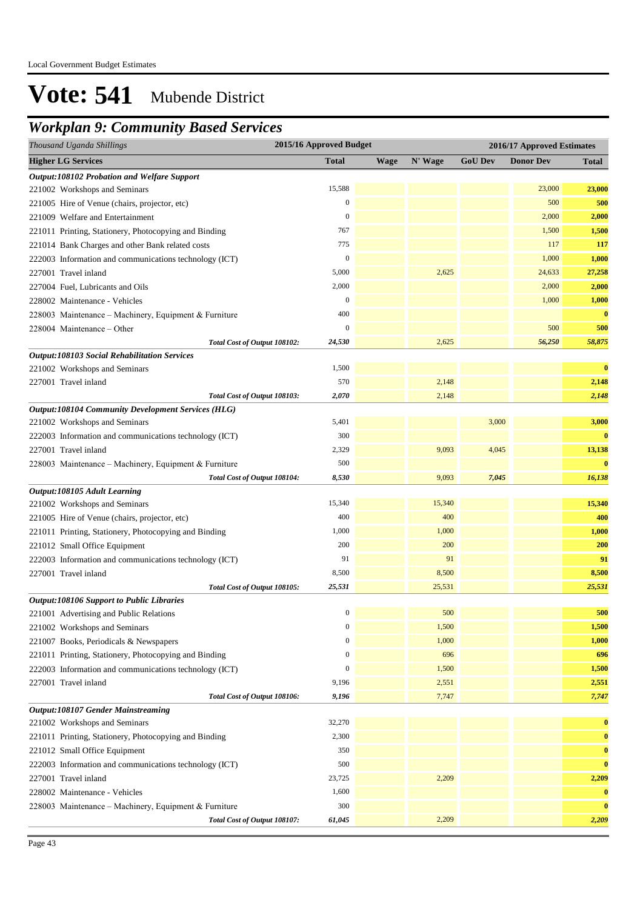## *Workplan 9: Community Based Services*

| Thousand Uganda Shillings                                 | 2015/16 Approved Budget |             |         |                | 2016/17 Approved Estimates |              |
|-----------------------------------------------------------|-------------------------|-------------|---------|----------------|----------------------------|--------------|
| <b>Higher LG Services</b>                                 | <b>Total</b>            | <b>Wage</b> | N' Wage | <b>GoU Dev</b> | <b>Donor Dev</b>           | <b>Total</b> |
| Output:108102 Probation and Welfare Support               |                         |             |         |                |                            |              |
| 221002 Workshops and Seminars                             | 15,588                  |             |         |                | 23,000                     | 23,000       |
| 221005 Hire of Venue (chairs, projector, etc)             | $\mathbf{0}$            |             |         |                | 500                        | 500          |
| 221009 Welfare and Entertainment                          | $\mathbf{0}$            |             |         |                | 2,000                      | 2,000        |
| 221011 Printing, Stationery, Photocopying and Binding     | 767                     |             |         |                | 1,500                      | 1,500        |
| 221014 Bank Charges and other Bank related costs          | 775                     |             |         |                | 117                        | 117          |
| 222003 Information and communications technology (ICT)    | $\mathbf{0}$            |             |         |                | 1,000                      | 1,000        |
| 227001 Travel inland                                      | 5,000                   |             | 2,625   |                | 24,633                     | 27,258       |
| 227004 Fuel, Lubricants and Oils                          | 2,000                   |             |         |                | 2,000                      | 2,000        |
| 228002 Maintenance - Vehicles                             | $\mathbf{0}$            |             |         |                | 1,000                      | 1,000        |
| 228003 Maintenance - Machinery, Equipment & Furniture     | 400                     |             |         |                |                            | $\bf{0}$     |
| 228004 Maintenance – Other                                | $\overline{0}$          |             |         |                | 500                        | 500          |
| Total Cost of Output 108102:                              | 24,530                  |             | 2,625   |                | 56,250                     | 58,875       |
| <b>Output:108103 Social Rehabilitation Services</b>       |                         |             |         |                |                            |              |
| 221002 Workshops and Seminars                             | 1,500                   |             |         |                |                            | $\bf{0}$     |
| 227001 Travel inland                                      | 570                     |             | 2,148   |                |                            | 2,148        |
| Total Cost of Output 108103:                              | 2,070                   |             | 2,148   |                |                            | 2,148        |
| <b>Output:108104 Community Development Services (HLG)</b> |                         |             |         |                |                            |              |
| 221002 Workshops and Seminars                             | 5,401                   |             |         | 3,000          |                            | 3,000        |
| 222003 Information and communications technology (ICT)    | 300                     |             |         |                |                            | $\bf{0}$     |
| 227001 Travel inland                                      | 2,329                   |             | 9,093   | 4,045          |                            | 13,138       |
| 228003 Maintenance - Machinery, Equipment & Furniture     | 500                     |             |         |                |                            | $\bf{0}$     |
| Total Cost of Output 108104:                              | 8,530                   |             | 9,093   | 7,045          |                            | 16,138       |
| Output:108105 Adult Learning                              |                         |             |         |                |                            |              |
| 221002 Workshops and Seminars                             | 15,340                  |             | 15,340  |                |                            | 15,340       |
| 221005 Hire of Venue (chairs, projector, etc)             | 400                     |             | 400     |                |                            | 400          |
| 221011 Printing, Stationery, Photocopying and Binding     | 1,000                   |             | 1,000   |                |                            | 1,000        |
| 221012 Small Office Equipment                             | 200                     |             | 200     |                |                            | 200          |
| 222003 Information and communications technology (ICT)    | 91                      |             | 91      |                |                            | 91           |
| 227001 Travel inland                                      | 8,500                   |             | 8,500   |                |                            | 8,500        |
| Total Cost of Output 108105:                              | 25,531                  |             | 25,531  |                |                            | 25,531       |
| <b>Output:108106 Support to Public Libraries</b>          |                         |             |         |                |                            |              |
| 221001 Advertising and Public Relations                   | $\boldsymbol{0}$        |             | 500     |                |                            | 500          |
| 221002 Workshops and Seminars                             | $\boldsymbol{0}$        |             | 1,500   |                |                            | 1,500        |
| 221007 Books, Periodicals & Newspapers                    | $\boldsymbol{0}$        |             | 1,000   |                |                            | 1,000        |
| 221011 Printing, Stationery, Photocopying and Binding     | $\mathbf{0}$            |             | 696     |                |                            | 696          |
| 222003 Information and communications technology (ICT)    | $\boldsymbol{0}$        |             | 1,500   |                |                            | 1,500        |
| 227001 Travel inland                                      | 9,196                   |             | 2,551   |                |                            | 2,551        |
| Total Cost of Output 108106:                              | 9,196                   |             | 7,747   |                |                            | 7,747        |
| <b>Output:108107 Gender Mainstreaming</b>                 |                         |             |         |                |                            |              |
| 221002 Workshops and Seminars                             | 32,270                  |             |         |                |                            | $\bf{0}$     |
| 221011 Printing, Stationery, Photocopying and Binding     | 2,300                   |             |         |                |                            | $\bf{0}$     |
| 221012 Small Office Equipment                             | 350                     |             |         |                |                            | $\bf{0}$     |
| 222003 Information and communications technology (ICT)    | 500                     |             |         |                |                            | $\bf{0}$     |
| 227001 Travel inland                                      | 23,725                  |             | 2,209   |                |                            | 2,209        |
| 228002 Maintenance - Vehicles                             | 1,600                   |             |         |                |                            | $\bf{0}$     |
| 228003 Maintenance - Machinery, Equipment & Furniture     | 300                     |             |         |                |                            | $\bf{0}$     |
| Total Cost of Output 108107:                              | 61,045                  |             | 2,209   |                |                            | 2,209        |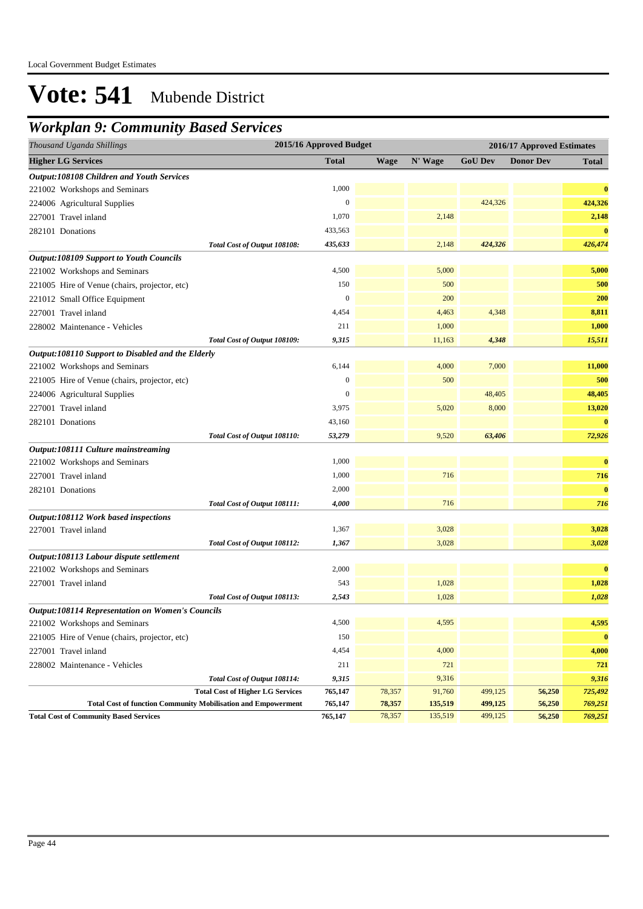## *Workplan 9: Community Based Services*

| Thousand Uganda Shillings                                            |                                         | 2015/16 Approved Budget |             |         |                | 2016/17 Approved Estimates |              |
|----------------------------------------------------------------------|-----------------------------------------|-------------------------|-------------|---------|----------------|----------------------------|--------------|
| <b>Higher LG Services</b>                                            |                                         | <b>Total</b>            | <b>Wage</b> | N' Wage | <b>GoU Dev</b> | <b>Donor Dev</b>           | <b>Total</b> |
| <b>Output:108108 Children and Youth Services</b>                     |                                         |                         |             |         |                |                            |              |
| 221002 Workshops and Seminars                                        |                                         | 1,000                   |             |         |                |                            | $\bf{0}$     |
| 224006 Agricultural Supplies                                         |                                         | $\boldsymbol{0}$        |             |         | 424,326        |                            | 424,326      |
| 227001 Travel inland                                                 |                                         | 1,070                   |             | 2,148   |                |                            | 2,148        |
| 282101 Donations                                                     |                                         | 433,563                 |             |         |                |                            | $\bf{0}$     |
|                                                                      | Total Cost of Output 108108:            | 435,633                 |             | 2,148   | 424,326        |                            | 426,474      |
| <b>Output:108109 Support to Youth Councils</b>                       |                                         |                         |             |         |                |                            |              |
| 221002 Workshops and Seminars                                        |                                         | 4,500                   |             | 5,000   |                |                            | 5,000        |
| 221005 Hire of Venue (chairs, projector, etc)                        |                                         | 150                     |             | 500     |                |                            | 500          |
| 221012 Small Office Equipment                                        |                                         | $\boldsymbol{0}$        |             | 200     |                |                            | 200          |
| 227001 Travel inland                                                 |                                         | 4,454                   |             | 4,463   | 4,348          |                            | 8,811        |
| 228002 Maintenance - Vehicles                                        |                                         | 211                     |             | 1,000   |                |                            | 1,000        |
|                                                                      | Total Cost of Output 108109:            | 9,315                   |             | 11,163  | 4,348          |                            | 15,511       |
| Output:108110 Support to Disabled and the Elderly                    |                                         |                         |             |         |                |                            |              |
| 221002 Workshops and Seminars                                        |                                         | 6,144                   |             | 4,000   | 7,000          |                            | 11,000       |
| 221005 Hire of Venue (chairs, projector, etc)                        |                                         | $\boldsymbol{0}$        |             | 500     |                |                            | 500          |
| 224006 Agricultural Supplies                                         |                                         | $\boldsymbol{0}$        |             |         | 48,405         |                            | 48,405       |
| 227001 Travel inland                                                 |                                         | 3,975                   |             | 5,020   | 8,000          |                            | 13,020       |
| 282101 Donations                                                     |                                         | 43,160                  |             |         |                |                            | $\bf{0}$     |
|                                                                      | Total Cost of Output 108110:            | 53,279                  |             | 9,520   | 63,406         |                            | 72,926       |
| Output:108111 Culture mainstreaming                                  |                                         |                         |             |         |                |                            |              |
| 221002 Workshops and Seminars                                        |                                         | 1,000                   |             |         |                |                            | $\bf{0}$     |
| 227001 Travel inland                                                 |                                         | 1,000                   |             | 716     |                |                            | 716          |
| 282101 Donations                                                     |                                         | 2,000                   |             |         |                |                            | $\bf{0}$     |
|                                                                      | Total Cost of Output 108111:            | 4,000                   |             | 716     |                |                            | 716          |
| Output:108112 Work based inspections                                 |                                         |                         |             |         |                |                            |              |
| 227001 Travel inland                                                 |                                         | 1,367                   |             | 3,028   |                |                            | 3,028        |
|                                                                      | Total Cost of Output 108112:            | 1,367                   |             | 3,028   |                |                            | 3,028        |
| Output:108113 Labour dispute settlement                              |                                         |                         |             |         |                |                            |              |
| 221002 Workshops and Seminars                                        |                                         | 2,000                   |             |         |                |                            | $\bf{0}$     |
| 227001 Travel inland                                                 |                                         | 543                     |             | 1,028   |                |                            | 1,028        |
|                                                                      | Total Cost of Output 108113:            | 2,543                   |             | 1,028   |                |                            | 1,028        |
| <b>Output:108114 Representation on Women's Councils</b>              |                                         |                         |             |         |                |                            |              |
| 221002 Workshops and Seminars                                        |                                         | 4,500                   |             | 4,595   |                |                            | 4,595        |
| 221005 Hire of Venue (chairs, projector, etc)                        |                                         | 150                     |             |         |                |                            | $\bf{0}$     |
| 227001 Travel inland                                                 |                                         | 4,454                   |             | 4,000   |                |                            | 4,000        |
| 228002 Maintenance - Vehicles                                        |                                         | 211                     |             | 721     |                |                            | 721          |
|                                                                      | Total Cost of Output 108114:            | 9,315                   |             | 9,316   |                |                            | 9,316        |
|                                                                      | <b>Total Cost of Higher LG Services</b> | 765,147                 | 78,357      | 91,760  | 499,125        | 56,250                     | 725,492      |
| <b>Total Cost of function Community Mobilisation and Empowerment</b> |                                         | 765,147                 | 78,357      | 135,519 | 499,125        | 56,250                     | 769,251      |
| <b>Total Cost of Community Based Services</b>                        |                                         | 765,147                 | 78,357      | 135,519 | 499,125        | 56,250                     | 769,251      |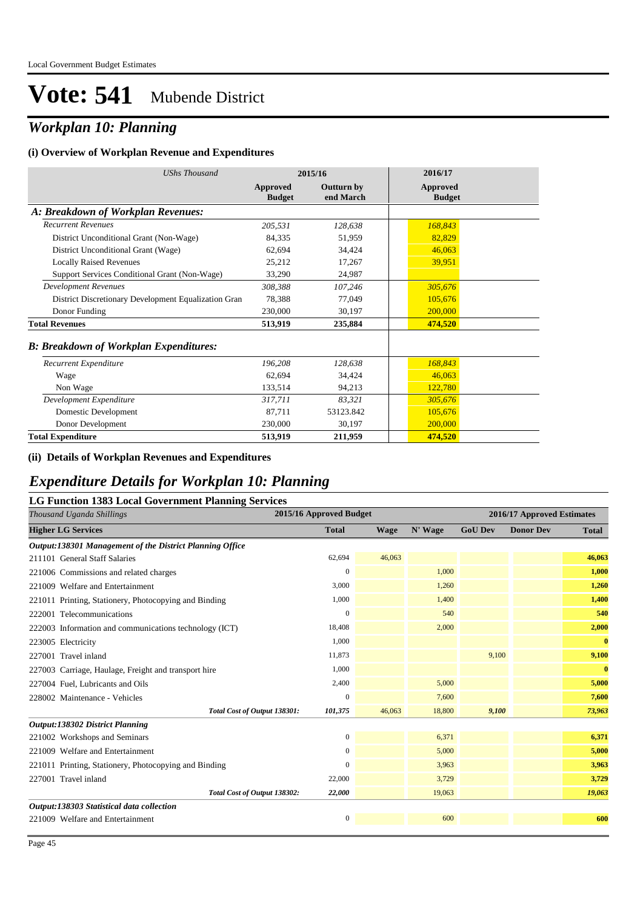## *Workplan 10: Planning*

#### **(i) Overview of Workplan Revenue and Expenditures**

| <b>UShs Thousand</b>                                 |                           | 2015/16                        | 2016/17                   |
|------------------------------------------------------|---------------------------|--------------------------------|---------------------------|
|                                                      | Approved<br><b>Budget</b> | <b>Outturn by</b><br>end March | Approved<br><b>Budget</b> |
| A: Breakdown of Workplan Revenues:                   |                           |                                |                           |
| <b>Recurrent Revenues</b>                            | 205,531                   | 128,638                        | 168,843                   |
| District Unconditional Grant (Non-Wage)              | 84,335                    | 51,959                         | 82,829                    |
| District Unconditional Grant (Wage)                  | 62,694                    | 34,424                         | 46,063                    |
| <b>Locally Raised Revenues</b>                       | 25,212                    | 17,267                         | 39,951                    |
| Support Services Conditional Grant (Non-Wage)        | 33,290                    | 24,987                         |                           |
| <b>Development Revenues</b>                          | 308,388                   | 107,246                        | 305,676                   |
| District Discretionary Development Equalization Gran | 78,388                    | 77,049                         | 105,676                   |
| Donor Funding                                        | 230,000                   | 30,197                         | 200,000                   |
| <b>Total Revenues</b>                                | 513,919                   | 235,884                        | 474,520                   |
| <b>B: Breakdown of Workplan Expenditures:</b>        |                           |                                |                           |
| Recurrent Expenditure                                | 196,208                   | 128,638                        | 168,843                   |
| Wage                                                 | 62.694                    | 34,424                         | 46,063                    |
| Non Wage                                             | 133,514                   | 94,213                         | 122,780                   |
| Development Expenditure                              | 317,711                   | 83,321                         | 305,676                   |
| Domestic Development                                 | 87,711                    | 53123.842                      | 105,676                   |
| Donor Development                                    | 230,000                   | 30,197                         | 200,000                   |
| <b>Total Expenditure</b>                             | 513,919                   | 211,959                        | 474,520                   |

#### **(ii) Details of Workplan Revenues and Expenditures**

### *Expenditure Details for Workplan 10: Planning*

### **LG Function 1383 Local Government Planning Services**

| Thousand Uganda Shillings                                | 2015/16 Approved Budget |             |         |                | 2016/17 Approved Estimates |              |  |
|----------------------------------------------------------|-------------------------|-------------|---------|----------------|----------------------------|--------------|--|
| <b>Higher LG Services</b>                                | <b>Total</b>            | <b>Wage</b> | N' Wage | <b>GoU Dev</b> | <b>Donor Dev</b>           | <b>Total</b> |  |
| Output:138301 Management of the District Planning Office |                         |             |         |                |                            |              |  |
| 211101 General Staff Salaries                            | 62,694                  | 46,063      |         |                |                            | 46,063       |  |
| 221006 Commissions and related charges                   | $\mathbf{0}$            |             | 1,000   |                |                            | 1,000        |  |
| 221009 Welfare and Entertainment                         | 3,000                   |             | 1,260   |                |                            | 1,260        |  |
| 221011 Printing, Stationery, Photocopying and Binding    | 1,000                   |             | 1.400   |                |                            | 1,400        |  |
| 222001 Telecommunications                                | $\mathbf{0}$            |             | 540     |                |                            | 540          |  |
| 222003 Information and communications technology (ICT)   | 18,408                  |             | 2,000   |                |                            | 2,000        |  |
| 223005 Electricity                                       | 1,000                   |             |         |                |                            | $\bf{0}$     |  |
| 227001 Travel inland                                     | 11,873                  |             |         | 9,100          |                            | 9,100        |  |
| 227003 Carriage, Haulage, Freight and transport hire     | 1,000                   |             |         |                |                            | $\bf{0}$     |  |
| 227004 Fuel, Lubricants and Oils                         | 2,400                   |             | 5,000   |                |                            | 5,000        |  |
| 228002 Maintenance - Vehicles                            | $\mathbf{0}$            |             | 7,600   |                |                            | 7,600        |  |
| Total Cost of Output 138301:                             | 101,375                 | 46,063      | 18,800  | 9,100          |                            | 73,963       |  |
| <b>Output:138302 District Planning</b>                   |                         |             |         |                |                            |              |  |
| 221002 Workshops and Seminars                            | $\boldsymbol{0}$        |             | 6,371   |                |                            | 6,371        |  |
| 221009 Welfare and Entertainment                         | $\mathbf{0}$            |             | 5,000   |                |                            | 5,000        |  |
| 221011 Printing, Stationery, Photocopying and Binding    | $\mathbf{0}$            |             | 3,963   |                |                            | 3,963        |  |
| 227001 Travel inland                                     | 22,000                  |             | 3,729   |                |                            | 3,729        |  |
| Total Cost of Output 138302:                             | 22,000                  |             | 19,063  |                |                            | 19,063       |  |
| Output:138303 Statistical data collection                |                         |             |         |                |                            |              |  |
| 221009 Welfare and Entertainment                         | $\boldsymbol{0}$        |             | 600     |                |                            | 600          |  |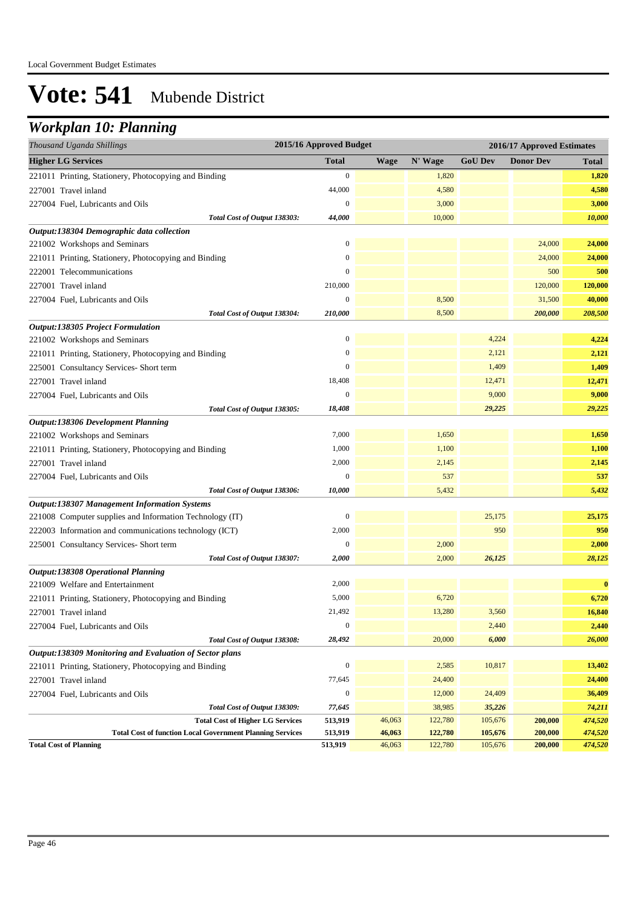## *Workplan 10: Planning*

| Thousand Uganda Shillings                                                                         | 2015/16 Approved Budget |                  |                    | 2016/17 Approved Estimates |                    |                    |
|---------------------------------------------------------------------------------------------------|-------------------------|------------------|--------------------|----------------------------|--------------------|--------------------|
| <b>Higher LG Services</b>                                                                         | <b>Total</b>            | <b>Wage</b>      | N' Wage            | <b>GoU Dev</b>             | <b>Donor Dev</b>   | <b>Total</b>       |
| 221011 Printing, Stationery, Photocopying and Binding                                             | $\boldsymbol{0}$        |                  | 1,820              |                            |                    | 1,820              |
| 227001 Travel inland                                                                              | 44,000                  |                  | 4,580              |                            |                    | 4,580              |
| 227004 Fuel, Lubricants and Oils                                                                  | $\boldsymbol{0}$        |                  | 3,000              |                            |                    | 3,000              |
| Total Cost of Output 138303:                                                                      | 44,000                  |                  | 10,000             |                            |                    | 10,000             |
| Output:138304 Demographic data collection                                                         |                         |                  |                    |                            |                    |                    |
| 221002 Workshops and Seminars                                                                     | $\boldsymbol{0}$        |                  |                    |                            | 24,000             | 24,000             |
| 221011 Printing, Stationery, Photocopying and Binding                                             | $\boldsymbol{0}$        |                  |                    |                            | 24,000             | 24,000             |
| 222001 Telecommunications                                                                         | $\boldsymbol{0}$        |                  |                    |                            | 500                | 500                |
| 227001 Travel inland                                                                              | 210,000                 |                  |                    |                            | 120,000            | 120,000            |
| 227004 Fuel, Lubricants and Oils                                                                  | $\boldsymbol{0}$        |                  | 8,500              |                            | 31,500             | 40,000             |
| Total Cost of Output 138304:                                                                      | 210,000                 |                  | 8,500              |                            | 200,000            | 208,500            |
| <b>Output:138305 Project Formulation</b>                                                          |                         |                  |                    |                            |                    |                    |
| 221002 Workshops and Seminars                                                                     | $\boldsymbol{0}$        |                  |                    | 4,224                      |                    | 4,224              |
| 221011 Printing, Stationery, Photocopying and Binding                                             | $\boldsymbol{0}$        |                  |                    | 2,121                      |                    | 2,121              |
| 225001 Consultancy Services- Short term                                                           | $\overline{0}$          |                  |                    | 1,409                      |                    | 1,409              |
| 227001 Travel inland                                                                              | 18,408                  |                  |                    | 12,471                     |                    | 12,471             |
| 227004 Fuel, Lubricants and Oils                                                                  | $\boldsymbol{0}$        |                  |                    | 9,000                      |                    | 9,000              |
| Total Cost of Output 138305:                                                                      | 18,408                  |                  |                    | 29,225                     |                    | 29,225             |
| Output:138306 Development Planning                                                                |                         |                  |                    |                            |                    |                    |
| 221002 Workshops and Seminars                                                                     | 7,000                   |                  | 1,650              |                            |                    | 1,650              |
| 221011 Printing, Stationery, Photocopying and Binding                                             | 1,000                   |                  | 1,100              |                            |                    | 1,100              |
| 227001 Travel inland                                                                              | 2,000                   |                  | 2,145              |                            |                    | 2,145              |
| 227004 Fuel, Lubricants and Oils                                                                  | $\boldsymbol{0}$        |                  | 537                |                            |                    | 537                |
| Total Cost of Output 138306:                                                                      | 10,000                  |                  | 5,432              |                            |                    | 5,432              |
| <b>Output:138307 Management Information Systems</b>                                               |                         |                  |                    |                            |                    |                    |
| 221008 Computer supplies and Information Technology (IT)                                          | $\boldsymbol{0}$        |                  |                    | 25,175                     |                    | 25,175             |
| 222003 Information and communications technology (ICT)                                            | 2,000                   |                  |                    | 950                        |                    | 950                |
| 225001 Consultancy Services- Short term                                                           | $\boldsymbol{0}$        |                  | 2,000              |                            |                    | 2,000              |
| Total Cost of Output 138307:                                                                      | 2,000                   |                  | 2,000              | 26,125                     |                    | 28,125             |
| <b>Output:138308 Operational Planning</b>                                                         |                         |                  |                    |                            |                    |                    |
| 221009 Welfare and Entertainment                                                                  | 2,000                   |                  |                    |                            |                    | $\bf{0}$           |
| 221011 Printing, Stationery, Photocopying and Binding                                             | 5,000                   |                  | 6,720              |                            |                    | 6,720              |
| 227001 Travel inland                                                                              | 21,492                  |                  | 13,280             | 3,560                      |                    | 16,840             |
| 227004 Fuel, Lubricants and Oils                                                                  | $\boldsymbol{0}$        |                  |                    | 2,440                      |                    | 2,440              |
| Total Cost of Output 138308:                                                                      | 28,492                  |                  | 20,000             | 6,000                      |                    | 26,000             |
| Output:138309 Monitoring and Evaluation of Sector plans                                           |                         |                  |                    |                            |                    |                    |
| 221011 Printing, Stationery, Photocopying and Binding                                             | $\boldsymbol{0}$        |                  | 2,585              | 10,817                     |                    | 13,402             |
| 227001 Travel inland                                                                              | 77,645                  |                  | 24,400             |                            |                    | 24,400             |
| 227004 Fuel, Lubricants and Oils                                                                  | $\boldsymbol{0}$        |                  | 12,000             | 24,409                     |                    | 36,409             |
| Total Cost of Output 138309:                                                                      | 77,645                  |                  | 38,985             | 35,226                     |                    | 74,211             |
| <b>Total Cost of Higher LG Services</b>                                                           | 513,919                 | 46,063           | 122,780            | 105,676                    | 200,000            | 474,520            |
| <b>Total Cost of function Local Government Planning Services</b><br><b>Total Cost of Planning</b> | 513,919<br>513,919      | 46,063<br>46,063 | 122,780<br>122,780 | 105,676<br>105,676         | 200,000<br>200,000 | 474,520<br>474,520 |
|                                                                                                   |                         |                  |                    |                            |                    |                    |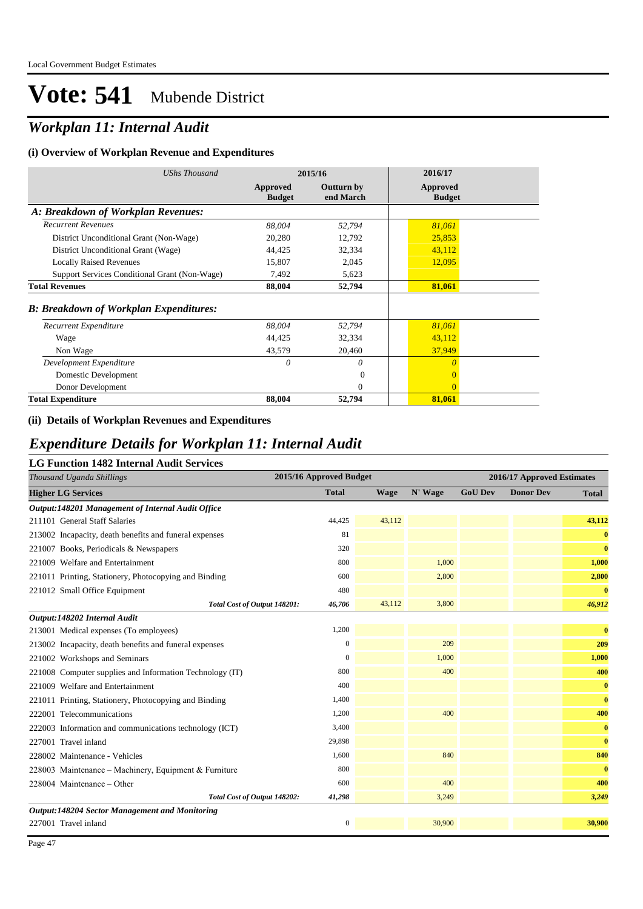## *Workplan 11: Internal Audit*

#### **(i) Overview of Workplan Revenue and Expenditures**

| <b>UShs Thousand</b>                           | 2015/16                   |                                | 2016/17                   |
|------------------------------------------------|---------------------------|--------------------------------|---------------------------|
|                                                | Approved<br><b>Budget</b> | <b>Outturn by</b><br>end March | Approved<br><b>Budget</b> |
| A: Breakdown of Workplan Revenues:             |                           |                                |                           |
| <b>Recurrent Revenues</b>                      | 88,004                    | 52,794                         | 81,061                    |
| District Unconditional Grant (Non-Wage)        | 20,280                    | 12,792                         | 25,853                    |
| District Unconditional Grant (Wage)            | 44,425                    | 32,334                         | 43,112                    |
| <b>Locally Raised Revenues</b>                 | 15,807                    | 2,045                          | 12,095                    |
| Support Services Conditional Grant (Non-Wage)  | 7,492                     | 5,623                          |                           |
| <b>Total Revenues</b>                          | 88,004                    | 52,794                         | 81,061                    |
| <b>B</b> : Breakdown of Workplan Expenditures: |                           |                                |                           |
| Recurrent Expenditure                          | 88,004                    | 52,794                         | 81,061                    |
| Wage                                           | 44,425                    | 32,334                         | 43,112                    |
| Non Wage                                       | 43,579                    | 20,460                         | 37,949                    |
| Development Expenditure                        | 0                         | 0                              | $\theta$                  |
| Domestic Development                           |                           | $\Omega$                       | $\overline{0}$            |
| Donor Development                              |                           | $\Omega$                       | $\theta$                  |
| <b>Total Expenditure</b>                       | 88,004                    | 52,794                         | 81,061                    |

### **(ii) Details of Workplan Revenues and Expenditures**

### *Expenditure Details for Workplan 11: Internal Audit*

### **LG Function 1482 Internal Audit Services**

| Thousand Uganda Shillings                                | 2015/16 Approved Budget | 2016/17 Approved Estimates |         |                |                  |              |
|----------------------------------------------------------|-------------------------|----------------------------|---------|----------------|------------------|--------------|
| <b>Higher LG Services</b>                                | <b>Total</b>            | <b>Wage</b>                | N' Wage | <b>GoU Dev</b> | <b>Donor Dev</b> | <b>Total</b> |
| Output:148201 Management of Internal Audit Office        |                         |                            |         |                |                  |              |
| 211101 General Staff Salaries                            | 44,425                  | 43,112                     |         |                |                  | 43,112       |
| 213002 Incapacity, death benefits and funeral expenses   | 81                      |                            |         |                |                  | $\bf{0}$     |
| 221007 Books, Periodicals & Newspapers                   | 320                     |                            |         |                |                  | $\bf{0}$     |
| 221009 Welfare and Entertainment                         | 800                     |                            | 1,000   |                |                  | 1,000        |
| 221011 Printing, Stationery, Photocopying and Binding    | 600                     |                            | 2,800   |                |                  | 2,800        |
| 221012 Small Office Equipment                            | 480                     |                            |         |                |                  | $\bf{0}$     |
| Total Cost of Output 148201:                             | 46,706                  | 43,112                     | 3,800   |                |                  | 46,912       |
| Output:148202 Internal Audit                             |                         |                            |         |                |                  |              |
| 213001 Medical expenses (To employees)                   | 1,200                   |                            |         |                |                  | $\bf{0}$     |
| 213002 Incapacity, death benefits and funeral expenses   | $\boldsymbol{0}$        |                            | 209     |                |                  | 209          |
| 221002 Workshops and Seminars                            | $\mathbf{0}$            |                            | 1,000   |                |                  | 1,000        |
| 221008 Computer supplies and Information Technology (IT) | 800                     |                            | 400     |                |                  | 400          |
| 221009 Welfare and Entertainment                         | 400                     |                            |         |                |                  | $\bf{0}$     |
| 221011 Printing, Stationery, Photocopying and Binding    | 1,400                   |                            |         |                |                  | $\bf{0}$     |
| 222001 Telecommunications                                | 1,200                   |                            | 400     |                |                  | 400          |
| 222003 Information and communications technology (ICT)   | 3,400                   |                            |         |                |                  | $\bf{0}$     |
| 227001 Travel inland                                     | 29,898                  |                            |         |                |                  | $\bf{0}$     |
| 228002 Maintenance - Vehicles                            | 1,600                   |                            | 840     |                |                  | 840          |
| 228003 Maintenance – Machinery, Equipment & Furniture    | 800                     |                            |         |                |                  | $\bf{0}$     |
| 228004 Maintenance – Other                               | 600                     |                            | 400     |                |                  | 400          |
| Total Cost of Output 148202:                             | 41,298                  |                            | 3,249   |                |                  | 3,249        |
| <b>Output:148204 Sector Management and Monitoring</b>    |                         |                            |         |                |                  |              |
| 227001 Travel inland                                     | $\boldsymbol{0}$        |                            | 30,900  |                |                  | 30,900       |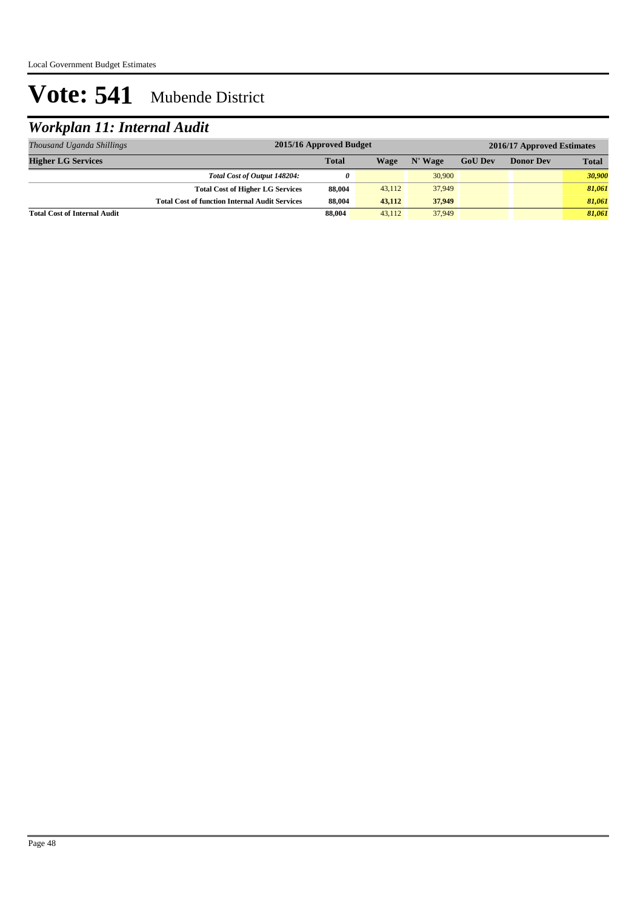## *Workplan 11: Internal Audit*

| Thousand Uganda Shillings           | 2015/16 Approved Budget                               |              |        |         | 2016/17 Approved Estimates |                  |              |  |
|-------------------------------------|-------------------------------------------------------|--------------|--------|---------|----------------------------|------------------|--------------|--|
| <b>Higher LG Services</b>           |                                                       | <b>Total</b> | Wage   | N' Wage | <b>GoU Dev</b>             | <b>Donor Dev</b> | <b>Total</b> |  |
|                                     | Total Cost of Output 148204:                          | 0            |        | 30,900  |                            |                  | 30,900       |  |
|                                     | <b>Total Cost of Higher LG Services</b>               | 88,004       | 43.112 | 37,949  |                            |                  | 81,061       |  |
|                                     | <b>Total Cost of function Internal Audit Services</b> | 88,004       | 43,112 | 37,949  |                            |                  | 81,061       |  |
| <b>Total Cost of Internal Audit</b> |                                                       | 88,004       | 43.112 | 37,949  |                            |                  | 81,061       |  |